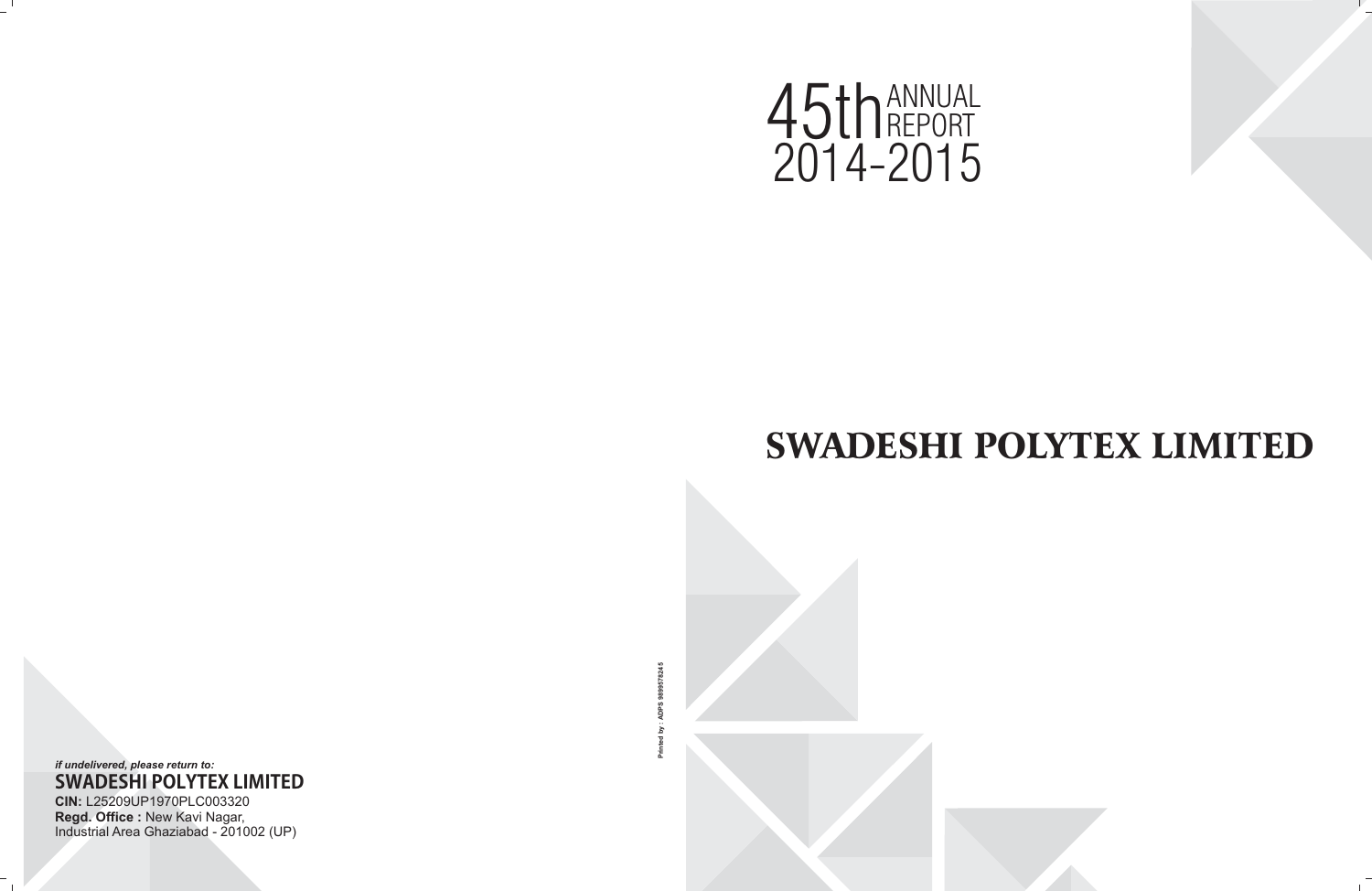

# SWADESHI POLYTEX LIMITED

**Printed by : ADPS 9899578245**

*if undelivered, please return to:* **SWADESHI POLYTEX LIMITED CIN:** L25209UP1970PLC003320 **Regd. Office :** New Kavi Nagar, Industrial Area Ghaziabad - 201002 (UP)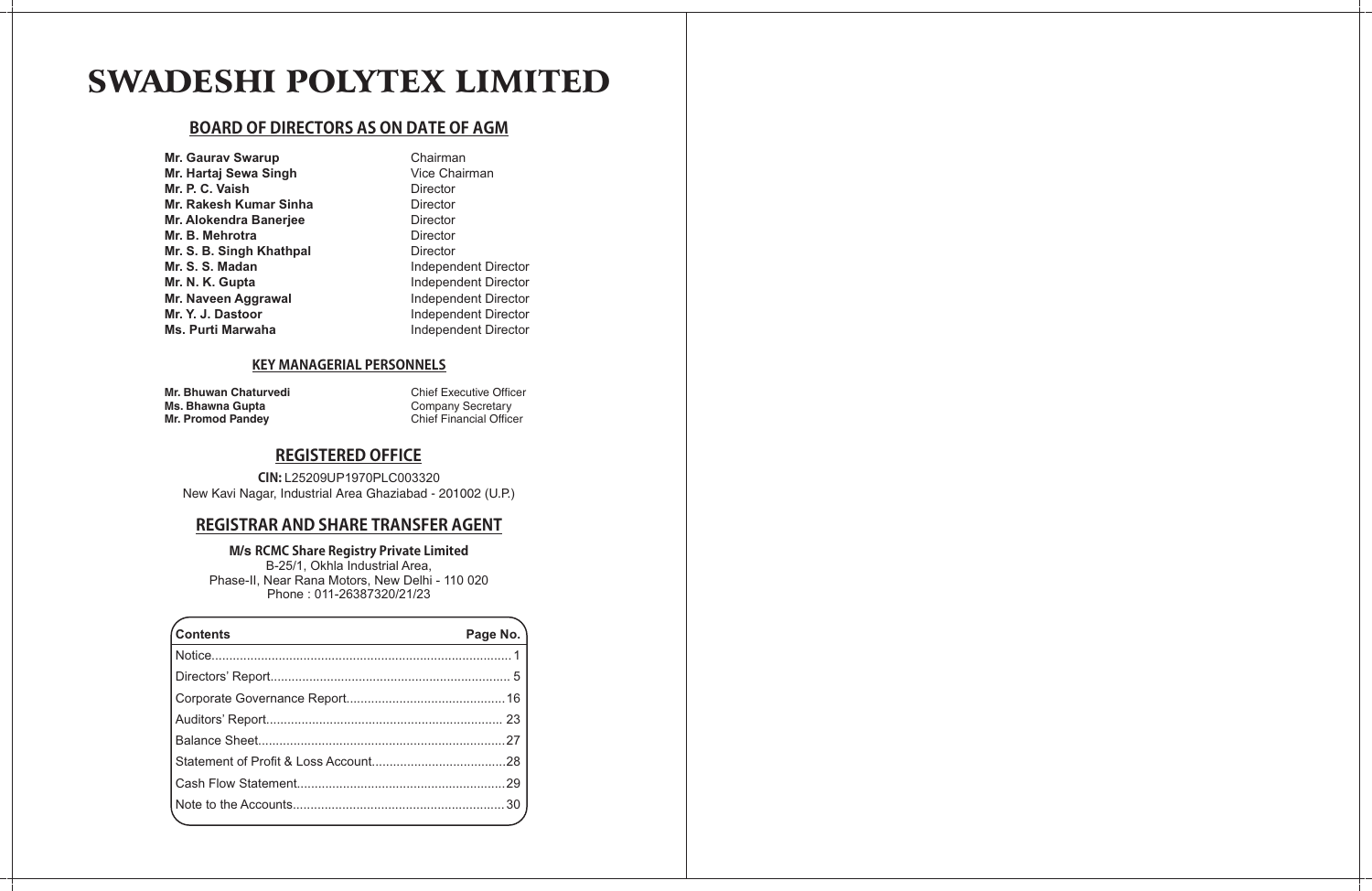## SWADESHI POLYTEX LIMITED

### **BOARD OF DIRECTORS AS ON DATE OF AGM**

| Mr. Gaurav Swarup        |
|--------------------------|
| Mr. Hartaj Sewa Singh    |
| Mr. P. C. Vaish          |
| Mr. Rakesh Kumar Sinha   |
| Mr. Alokendra Banerjee   |
| Mr. B. Mehrotra          |
| Mr. S. B. Singh Khathpal |
| Mr. S. S. Madan          |
| Mr. N. K. Gupta          |
| Mr. Naveen Aggrawal      |
| Mr. Y. J. Dastoor        |
| <b>Ms. Purti Marwaha</b> |

**Chairman Vice Chairman Director Director Director** Director **Director Independent Director Independent Director Independent Director Independent Director Independent Director** 

### **KEY MANAGERIAL PERSONNELS**

**Mr. Bhuwan Chaturvedi Chief Executive Officer Ms. Bhawna Gupta Company Secretary Mr. Promod Pandey** 

**Company Secretary<br>Chief Financial Officer** 

### **REGISTERED OFFICE**

**CIN:** L25209UP1970PLC003320 New Kavi Nagar, Industrial Area Ghaziabad - 201002 (U.P.)

### **REGISTRAR AND SHARE TRANSFER AGENT**

**M/s RCMC Share Registry Private Limited** B-25/1, Okhla Industrial Area, Phase-II, Near Rana Motors, New Delhi - 110 020 Phone : 011-26387320/21/23

| Contents | Page No. |
|----------|----------|
|          |          |
|          |          |
|          |          |
|          |          |
|          |          |
|          |          |
|          |          |
|          |          |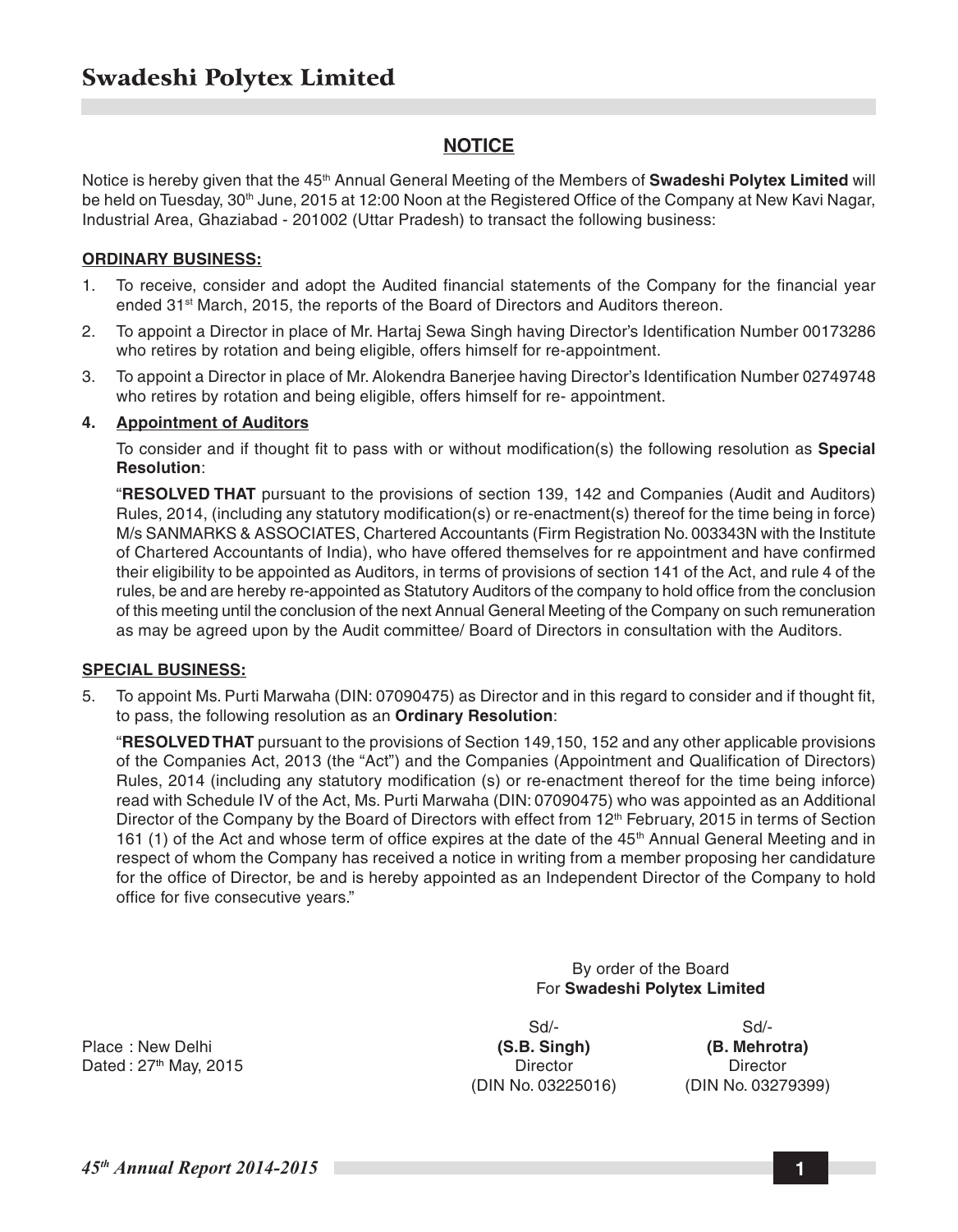#### **NOTICE**

Notice is hereby given that the 45<sup>th</sup> Annual General Meeting of the Members of **Swadeshi Polytex Limited** will be held on Tuesday, 30<sup>th</sup> June, 2015 at 12:00 Noon at the Registered Office of the Company at New Kavi Nagar, Industrial Area, Ghaziabad - 201002 (Uttar Pradesh) to transact the following business:

#### **ORDINARY BUSINESS:**

- 1. To receive, consider and adopt the Audited financial statements of the Company for the financial year ended 31<sup>st</sup> March, 2015, the reports of the Board of Directors and Auditors thereon.
- 2. To appoint a Director in place of Mr. Hartaj Sewa Singh having Director's Identification Number 00173286 who retires by rotation and being eligible, offers himself for re-appointment.
- 3. To appoint a Director in place of Mr. Alokendra Banerjee having Director's Identification Number 02749748 who retires by rotation and being eligible, offers himself for re- appointment.

#### **4. Appointment of Auditors**

To consider and if thought fit to pass with or without modification(s) the following resolution as **Special Resolution**:

"**RESOLVED THAT** pursuant to the provisions of section 139, 142 and Companies (Audit and Auditors) Rules, 2014, (including any statutory modification(s) or re-enactment(s) thereof for the time being in force) M/s SANMARKS & ASSOCIATES, Chartered Accountants (Firm Registration No. 003343N with the Institute of Chartered Accountants of India), who have offered themselves for re appointment and have confirmed their eligibility to be appointed as Auditors, in terms of provisions of section 141 of the Act, and rule 4 of the rules, be and are hereby re-appointed as Statutory Auditors of the company to hold office from the conclusion of this meeting until the conclusion of the next Annual General Meeting of the Company on such remuneration as may be agreed upon by the Audit committee/ Board of Directors in consultation with the Auditors.

#### **SPECIAL BUSINESS:**

5. To appoint Ms. Purti Marwaha (DIN: 07090475) as Director and in this regard to consider and if thought fit, to pass, the following resolution as an **Ordinary Resolution**:

"**RESOLVED THAT** pursuant to the provisions of Section 149,150, 152 and any other applicable provisions of the Companies Act, 2013 (the "Act") and the Companies (Appointment and Qualification of Directors) Rules, 2014 (including any statutory modification (s) or re-enactment thereof for the time being inforce) read with Schedule IV of the Act, Ms. Purti Marwaha (DIN: 07090475) who was appointed as an Additional Director of the Company by the Board of Directors with effect from 12<sup>th</sup> February, 2015 in terms of Section 161 (1) of the Act and whose term of office expires at the date of the 45<sup>th</sup> Annual General Meeting and in respect of whom the Company has received a notice in writing from a member proposing her candidature for the office of Director, be and is hereby appointed as an Independent Director of the Company to hold office for five consecutive years."

> By order of the Board For **Swadeshi Polytex Limited**

Dated : 27<sup>th</sup> May, 2015 **Director** Director Director Director Director

Place : New Delhi **(S.B. Singh) (B. Mehrotra)** (DIN No. 03225016) (DIN No. 03279399)

Sd/- Sd/-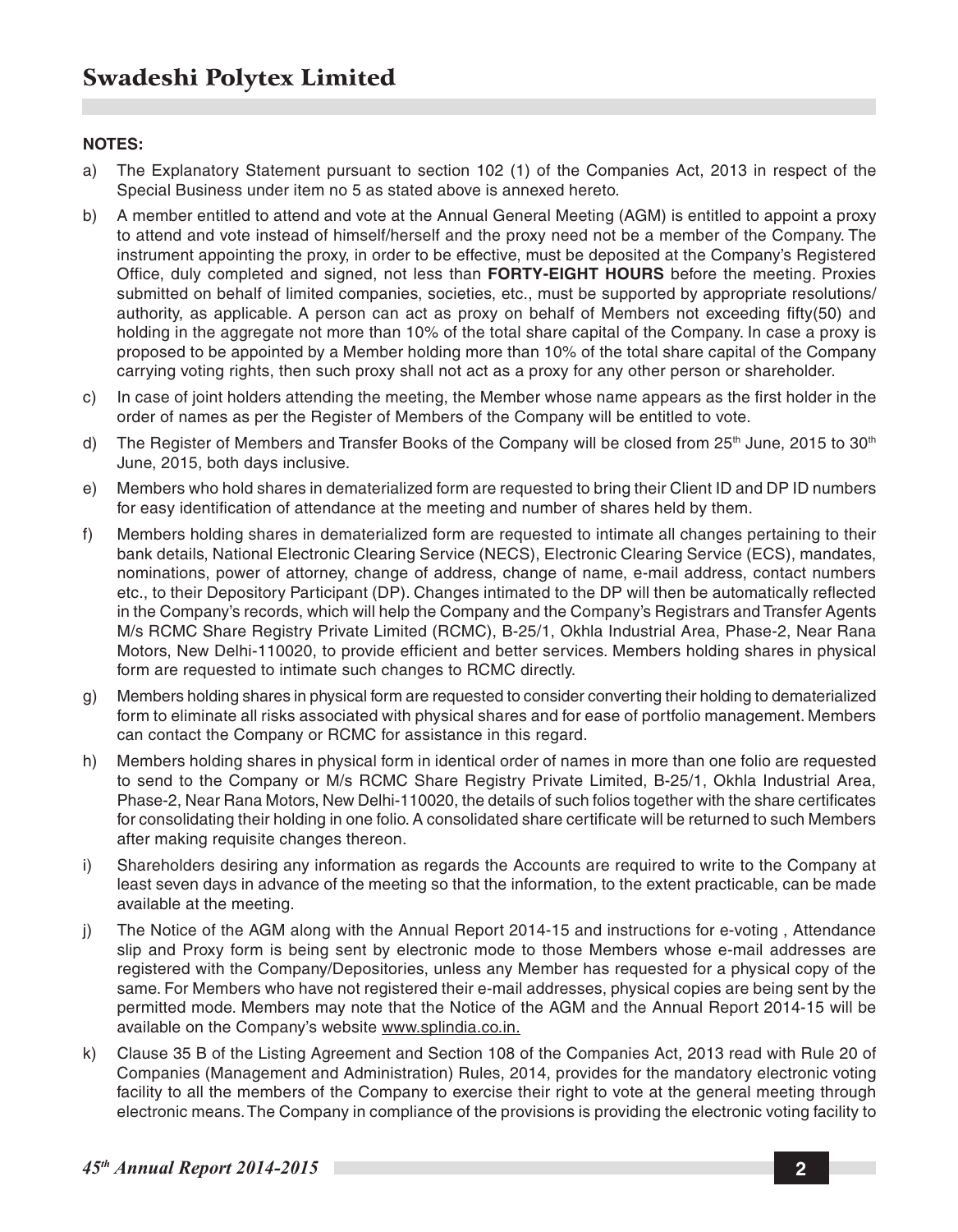#### **NOTES:**

- a) The Explanatory Statement pursuant to section 102 (1) of the Companies Act, 2013 in respect of the Special Business under item no 5 as stated above is annexed hereto.
- b) A member entitled to attend and vote at the Annual General Meeting (AGM) is entitled to appoint a proxy to attend and vote instead of himself/herself and the proxy need not be a member of the Company. The instrument appointing the proxy, in order to be effective, must be deposited at the Company's Registered Office, duly completed and signed, not less than **FORTY-EIGHT HOURS** before the meeting. Proxies submitted on behalf of limited companies, societies, etc., must be supported by appropriate resolutions/ authority, as applicable. A person can act as proxy on behalf of Members not exceeding fifty(50) and holding in the aggregate not more than 10% of the total share capital of the Company. In case a proxy is proposed to be appointed by a Member holding more than 10% of the total share capital of the Company carrying voting rights, then such proxy shall not act as a proxy for any other person or shareholder.
- c) In case of joint holders attending the meeting, the Member whose name appears as the first holder in the order of names as per the Register of Members of the Company will be entitled to vote.
- d) The Register of Members and Transfer Books of the Company will be closed from 25<sup>th</sup> June, 2015 to 30<sup>th</sup> June, 2015, both days inclusive.
- e) Members who hold shares in dematerialized form are requested to bring their Client ID and DP ID numbers for easy identification of attendance at the meeting and number of shares held by them.
- f) Members holding shares in dematerialized form are requested to intimate all changes pertaining to their bank details, National Electronic Clearing Service (NECS), Electronic Clearing Service (ECS), mandates, nominations, power of attorney, change of address, change of name, e-mail address, contact numbers etc., to their Depository Participant (DP). Changes intimated to the DP will then be automatically reflected in the Company's records, which will help the Company and the Company's Registrars and Transfer Agents M/s RCMC Share Registry Private Limited (RCMC), B-25/1, Okhla Industrial Area, Phase-2, Near Rana Motors, New Delhi-110020, to provide efficient and better services. Members holding shares in physical form are requested to intimate such changes to RCMC directly.
- g) Members holding shares in physical form are requested to consider converting their holding to dematerialized form to eliminate all risks associated with physical shares and for ease of portfolio management. Members can contact the Company or RCMC for assistance in this regard.
- h) Members holding shares in physical form in identical order of names in more than one folio are requested to send to the Company or M/s RCMC Share Registry Private Limited, B-25/1, Okhla Industrial Area, Phase-2, Near Rana Motors, New Delhi-110020, the details of such folios together with the share certificates for consolidating their holding in one folio. A consolidated share certificate will be returned to such Members after making requisite changes thereon.
- i) Shareholders desiring any information as regards the Accounts are required to write to the Company at least seven days in advance of the meeting so that the information, to the extent practicable, can be made available at the meeting.
- j) The Notice of the AGM along with the Annual Report 2014-15 and instructions for e-voting , Attendance slip and Proxy form is being sent by electronic mode to those Members whose e-mail addresses are registered with the Company/Depositories, unless any Member has requested for a physical copy of the same. For Members who have not registered their e-mail addresses, physical copies are being sent by the permitted mode. Members may note that the Notice of the AGM and the Annual Report 2014-15 will be available on the Company's website www.splindia.co.in.
- k) Clause 35 B of the Listing Agreement and Section 108 of the Companies Act, 2013 read with Rule 20 of Companies (Management and Administration) Rules, 2014, provides for the mandatory electronic voting facility to all the members of the Company to exercise their right to vote at the general meeting through electronic means. The Company in compliance of the provisions is providing the electronic voting facility to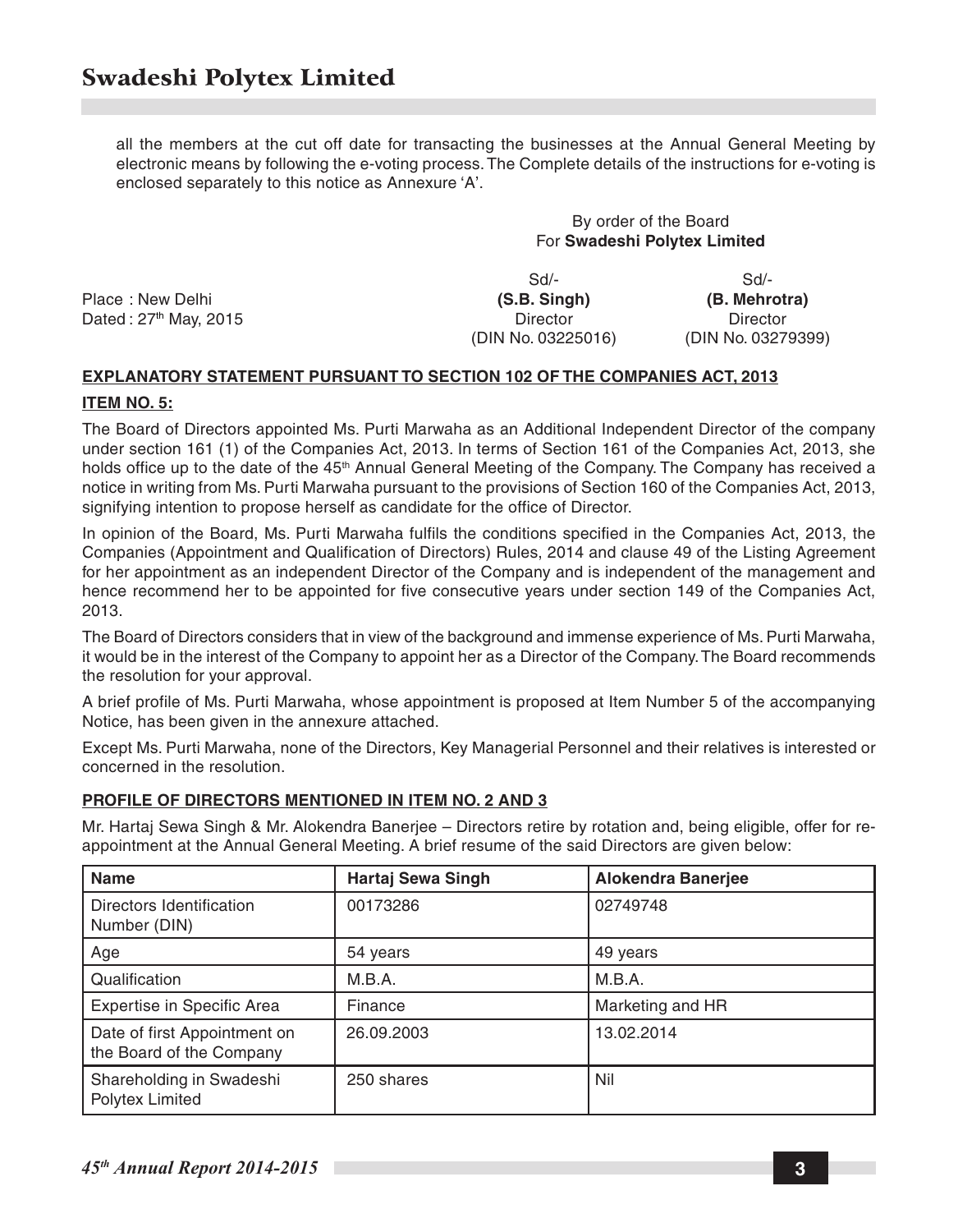all the members at the cut off date for transacting the businesses at the Annual General Meeting by electronic means by following the e-voting process. The Complete details of the instructions for e-voting is enclosed separately to this notice as Annexure 'A'.

#### By order of the Board For **Swadeshi Polytex Limited**

Sd/- Sd/- Place : New Delhi **(S.B. Singh) (B. Mehrotra)** Dated : 27<sup>th</sup> May, 2015 **Director** Director Director Director (DIN No. 03225016) (DIN No. 03279399)

#### **EXPLANATORY STATEMENT PURSUANT TO SECTION 102 OF THE COMPANIES ACT, 2013**

#### **ITEM NO. 5:**

The Board of Directors appointed Ms. Purti Marwaha as an Additional Independent Director of the company under section 161 (1) of the Companies Act, 2013. In terms of Section 161 of the Companies Act, 2013, she holds office up to the date of the 45<sup>th</sup> Annual General Meeting of the Company. The Company has received a notice in writing from Ms. Purti Marwaha pursuant to the provisions of Section 160 of the Companies Act, 2013, signifying intention to propose herself as candidate for the office of Director.

In opinion of the Board, Ms. Purti Marwaha fulfils the conditions specified in the Companies Act, 2013, the Companies (Appointment and Qualification of Directors) Rules, 2014 and clause 49 of the Listing Agreement for her appointment as an independent Director of the Company and is independent of the management and hence recommend her to be appointed for five consecutive years under section 149 of the Companies Act, 2013.

The Board of Directors considers that in view of the background and immense experience of Ms. Purti Marwaha, it would be in the interest of the Company to appoint her as a Director of the Company. The Board recommends the resolution for your approval.

A brief profile of Ms. Purti Marwaha, whose appointment is proposed at Item Number 5 of the accompanying Notice, has been given in the annexure attached.

Except Ms. Purti Marwaha, none of the Directors, Key Managerial Personnel and their relatives is interested or concerned in the resolution.

#### **PROFILE OF DIRECTORS MENTIONED IN ITEM NO. 2 AND 3**

Mr. Hartaj Sewa Singh & Mr. Alokendra Banerjee – Directors retire by rotation and, being eligible, offer for reappointment at the Annual General Meeting. A brief resume of the said Directors are given below:

| <b>Name</b>                                              | Hartaj Sewa Singh | <b>Alokendra Baneriee</b> |  |  |
|----------------------------------------------------------|-------------------|---------------------------|--|--|
| Directors Identification<br>Number (DIN)                 | 00173286          | 02749748                  |  |  |
| Age                                                      | 54 years          | 49 years                  |  |  |
| Qualification                                            | M.B.A.            | M.B.A.                    |  |  |
| Expertise in Specific Area                               | Finance           | Marketing and HR          |  |  |
| Date of first Appointment on<br>the Board of the Company | 26.09.2003        | 13.02.2014                |  |  |
| Shareholding in Swadeshi<br>Polytex Limited              | 250 shares        | Nil                       |  |  |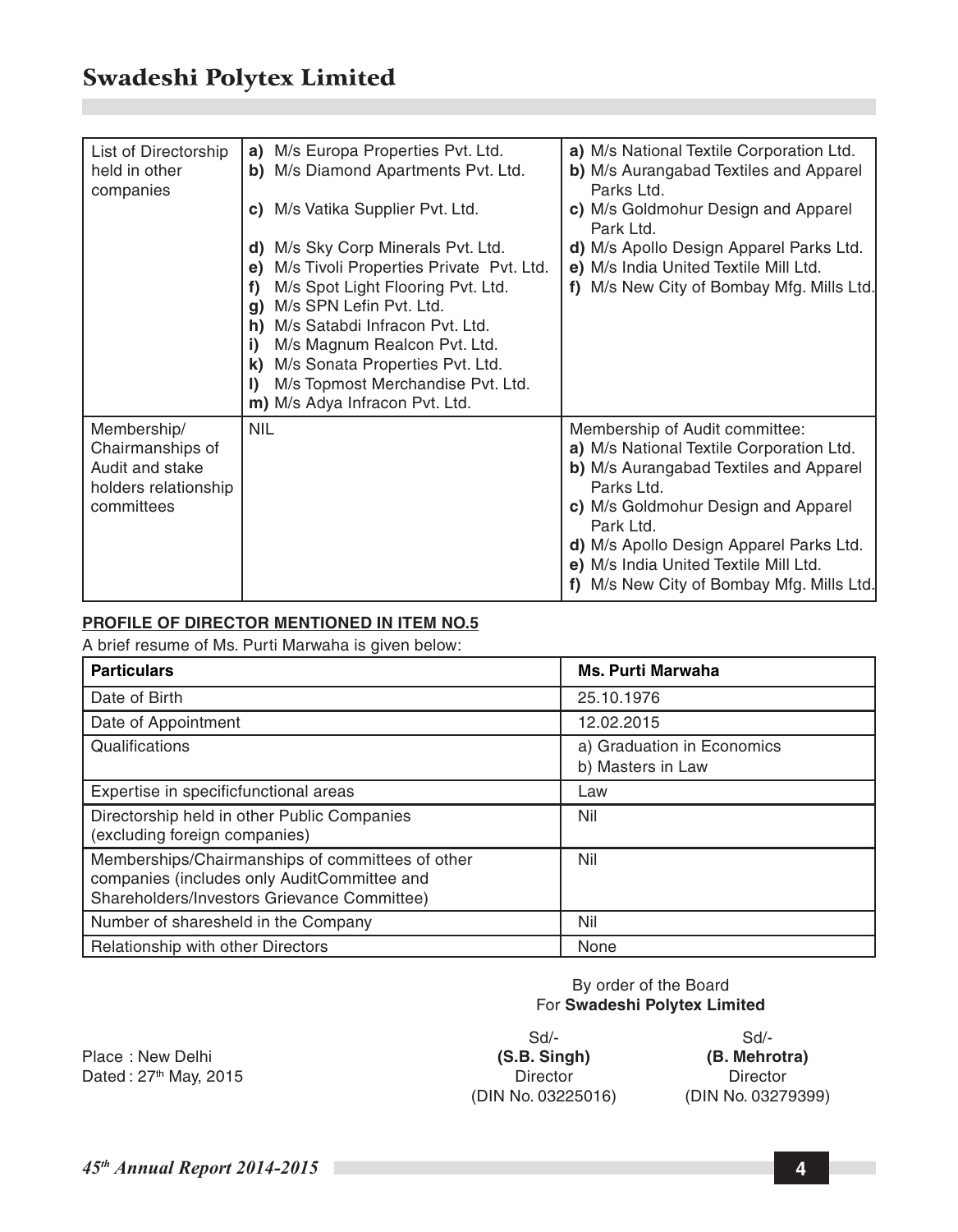| List of Directorship<br>held in other<br>companies                                       | a) M/s Europa Properties Pvt. Ltd.<br>b) M/s Diamond Apartments Pvt. Ltd.                                                                                                                  | a) M/s National Textile Corporation Ltd.<br>b) M/s Aurangabad Textiles and Apparel<br>Parks Ltd.                                                                                                                                                                                                                        |
|------------------------------------------------------------------------------------------|--------------------------------------------------------------------------------------------------------------------------------------------------------------------------------------------|-------------------------------------------------------------------------------------------------------------------------------------------------------------------------------------------------------------------------------------------------------------------------------------------------------------------------|
|                                                                                          | c) M/s Vatika Supplier Pvt. Ltd.                                                                                                                                                           | c) M/s Goldmohur Design and Apparel<br>Park Ltd.                                                                                                                                                                                                                                                                        |
|                                                                                          | d) M/s Sky Corp Minerals Pvt. Ltd.<br>e) M/s Tivoli Properties Private Pvt. Ltd.<br>M/s Spot Light Flooring Pvt. Ltd.<br>f)<br>g) M/s SPN Lefin Pvt. Ltd.                                  | d) M/s Apollo Design Apparel Parks Ltd.<br>e) M/s India United Textile Mill Ltd.<br>f) M/s New City of Bombay Mfg. Mills Ltd.                                                                                                                                                                                           |
|                                                                                          | h) M/s Satabdi Infracon Pvt. Ltd.<br>M/s Magnum Realcon Pvt. Ltd.<br>i)<br>k) M/s Sonata Properties Pvt. Ltd.<br>M/s Topmost Merchandise Pvt. Ltd.<br>I)<br>m) M/s Adya Infracon Pvt. Ltd. |                                                                                                                                                                                                                                                                                                                         |
| Membership/<br>Chairmanships of<br>Audit and stake<br>holders relationship<br>committees | <b>NIL</b>                                                                                                                                                                                 | Membership of Audit committee:<br>a) M/s National Textile Corporation Ltd.<br>b) M/s Aurangabad Textiles and Apparel<br>Parks Ltd.<br>c) M/s Goldmohur Design and Apparel<br>Park Ltd.<br>d) M/s Apollo Design Apparel Parks Ltd.<br>e) M/s India United Textile Mill Ltd.<br>f) M/s New City of Bombay Mfg. Mills Ltd. |

#### **PROFILE OF DIRECTOR MENTIONED IN ITEM NO.5**

A brief resume of Ms. Purti Marwaha is given below:

| <b>Particulars</b>                                                                                                                             | <b>Ms. Purti Marwaha</b>                        |
|------------------------------------------------------------------------------------------------------------------------------------------------|-------------------------------------------------|
| Date of Birth                                                                                                                                  | 25.10.1976                                      |
| Date of Appointment                                                                                                                            | 12.02.2015                                      |
| Qualifications                                                                                                                                 | a) Graduation in Economics<br>b) Masters in Law |
| Expertise in specificfunctional areas                                                                                                          | Law                                             |
| Directorship held in other Public Companies<br>(excluding foreign companies)                                                                   | Nil                                             |
| Memberships/Chairmanships of committees of other<br>companies (includes only AuditCommittee and<br>Shareholders/Investors Grievance Committee) | Nil                                             |
| Number of sharesheld in the Company                                                                                                            | Nil                                             |
| Relationship with other Directors                                                                                                              | None                                            |

#### By order of the Board For **Swadeshi Polytex Limited**

 $Place: New Delhi$ 

Dated : 27<sup>th</sup> May, 2015 Director Director Director Director Director Director Director Director Director Director

Sd/-<br>
(S.B. Singh) (B. Mehrotra) (DIN No. 03279399)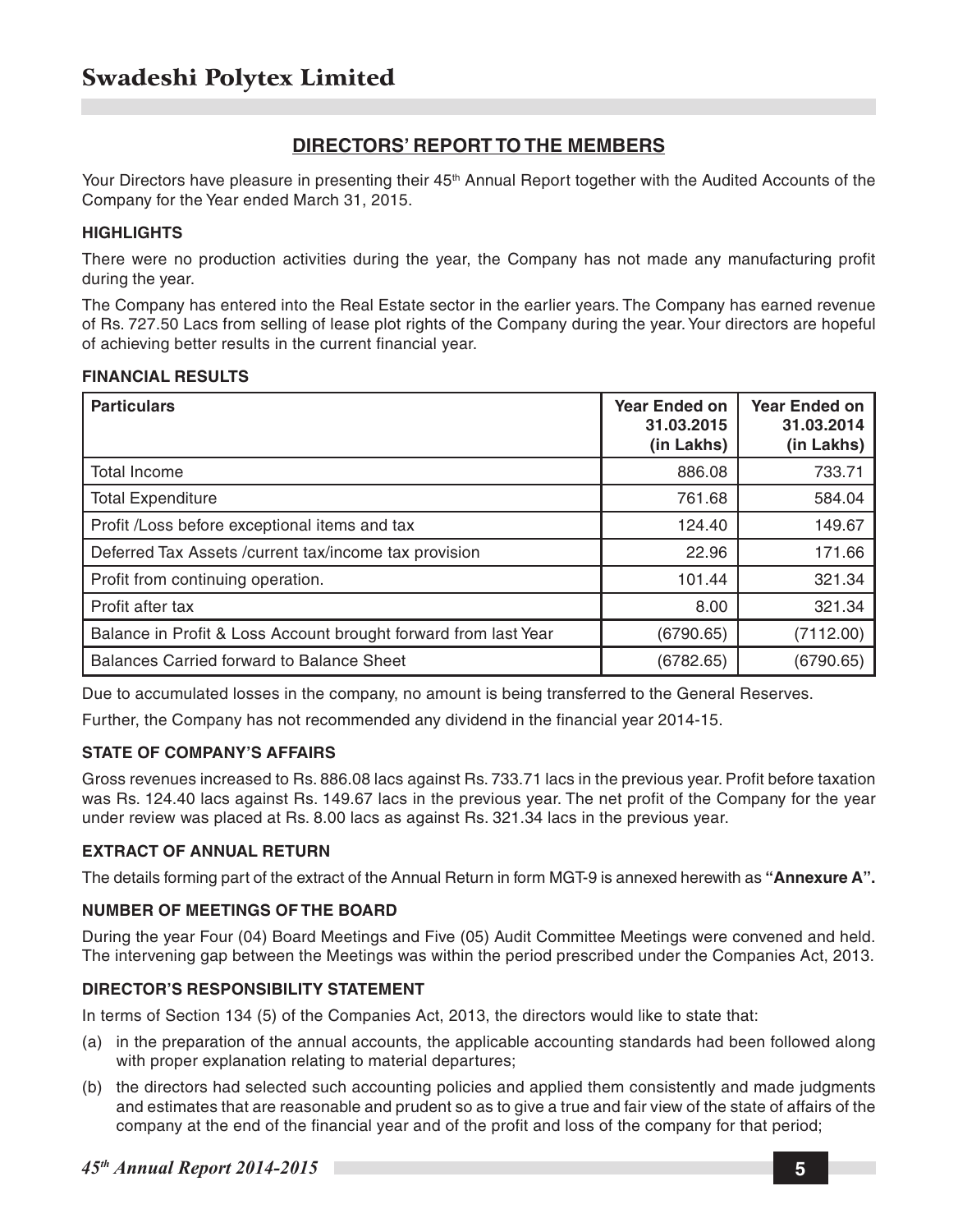#### **DIRECTORS' REPORT TO THE MEMBERS**

Your Directors have pleasure in presenting their 45<sup>th</sup> Annual Report together with the Audited Accounts of the Company for the Year ended March 31, 2015.

#### **HIGHLIGHTS**

There were no production activities during the year, the Company has not made any manufacturing profit during the year.

The Company has entered into the Real Estate sector in the earlier years. The Company has earned revenue of Rs. 727.50 Lacs from selling of lease plot rights of the Company during the year. Your directors are hopeful of achieving better results in the current financial year.

#### **FINANCIAL RESULTS**

| <b>Particulars</b>                                              | <b>Year Ended on</b><br>31.03.2015<br>(in Lakhs) | <b>Year Ended on</b><br>31.03.2014<br>(in Lakhs) |
|-----------------------------------------------------------------|--------------------------------------------------|--------------------------------------------------|
| <b>Total Income</b>                                             | 886.08                                           | 733.71                                           |
| <b>Total Expenditure</b>                                        | 761.68                                           | 584.04                                           |
| Profit /Loss before exceptional items and tax                   | 124.40                                           | 149.67                                           |
| Deferred Tax Assets / current tax/income tax provision          | 22.96                                            | 171.66                                           |
| Profit from continuing operation.                               | 101.44                                           | 321.34                                           |
| Profit after tax                                                | 8.00                                             | 321.34                                           |
| Balance in Profit & Loss Account brought forward from last Year | (6790.65)                                        | (7112.00)                                        |
| Balances Carried forward to Balance Sheet                       | (6782.65)                                        | (6790.65)                                        |

Due to accumulated losses in the company, no amount is being transferred to the General Reserves.

Further, the Company has not recommended any dividend in the financial year 2014-15.

#### **STATE OF COMPANY'S AFFAIRS**

Gross revenues increased to Rs. 886.08 lacs against Rs. 733.71 lacs in the previous year. Profit before taxation was Rs. 124.40 lacs against Rs. 149.67 lacs in the previous year. The net profit of the Company for the year under review was placed at Rs. 8.00 lacs as against Rs. 321.34 lacs in the previous year.

#### **EXTRACT OF ANNUAL RETURN**

The details forming part of the extract of the Annual Return in form MGT-9 is annexed herewith as **"Annexure A".**

#### **NUMBER OF MEETINGS OF THE BOARD**

During the year Four (04) Board Meetings and Five (05) Audit Committee Meetings were convened and held. The intervening gap between the Meetings was within the period prescribed under the Companies Act, 2013.

#### **DIRECTOR'S RESPONSIBILITY STATEMENT**

In terms of Section 134 (5) of the Companies Act, 2013, the directors would like to state that:

- (a) in the preparation of the annual accounts, the applicable accounting standards had been followed along with proper explanation relating to material departures;
- (b) the directors had selected such accounting policies and applied them consistently and made judgments and estimates that are reasonable and prudent so as to give a true and fair view of the state of affairs of the company at the end of the financial year and of the profit and loss of the company for that period;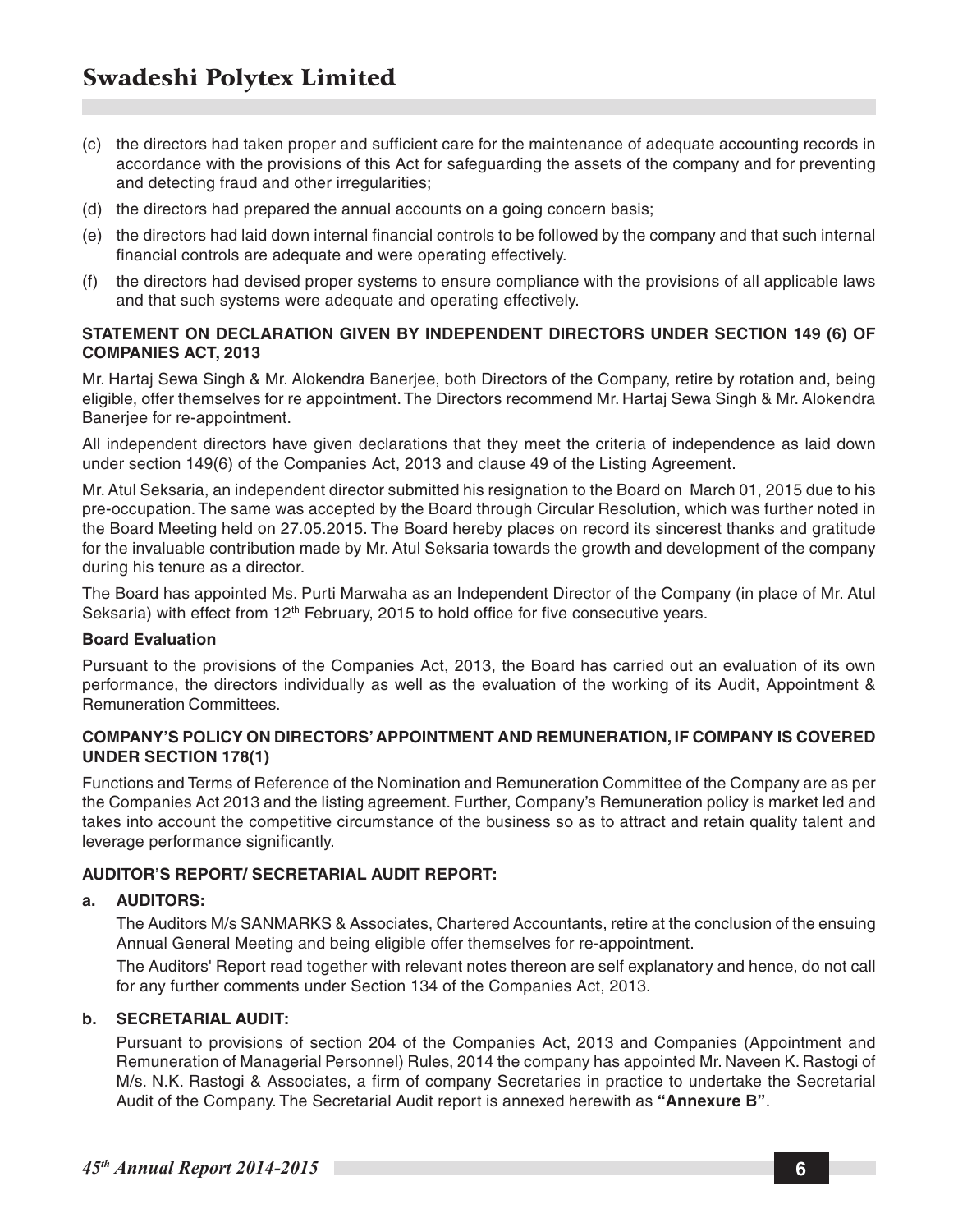- (c) the directors had taken proper and sufficient care for the maintenance of adequate accounting records in accordance with the provisions of this Act for safeguarding the assets of the company and for preventing and detecting fraud and other irregularities;
- (d) the directors had prepared the annual accounts on a going concern basis;
- (e) the directors had laid down internal financial controls to be followed by the company and that such internal financial controls are adequate and were operating effectively.
- (f) the directors had devised proper systems to ensure compliance with the provisions of all applicable laws and that such systems were adequate and operating effectively.

#### **STATEMENT ON DECLARATION GIVEN BY INDEPENDENT DIRECTORS UNDER SECTION 149 (6) OF COMPANIES ACT, 2013**

Mr. Hartaj Sewa Singh & Mr. Alokendra Banerjee, both Directors of the Company, retire by rotation and, being eligible, offer themselves for re appointment. The Directors recommend Mr. Hartaj Sewa Singh & Mr. Alokendra Banerjee for re-appointment.

All independent directors have given declarations that they meet the criteria of independence as laid down under section 149(6) of the Companies Act, 2013 and clause 49 of the Listing Agreement.

Mr. Atul Seksaria, an independent director submitted his resignation to the Board on March 01, 2015 due to his pre-occupation. The same was accepted by the Board through Circular Resolution, which was further noted in the Board Meeting held on 27.05.2015. The Board hereby places on record its sincerest thanks and gratitude for the invaluable contribution made by Mr. Atul Seksaria towards the growth and development of the company during his tenure as a director.

The Board has appointed Ms. Purti Marwaha as an Independent Director of the Company (in place of Mr. Atul Seksaria) with effect from  $12<sup>th</sup>$  February, 2015 to hold office for five consecutive years.

#### **Board Evaluation**

Pursuant to the provisions of the Companies Act, 2013, the Board has carried out an evaluation of its own performance, the directors individually as well as the evaluation of the working of its Audit, Appointment & Remuneration Committees.

#### **COMPANY'S POLICY ON DIRECTORS' APPOINTMENT AND REMUNERATION, IF COMPANY IS COVERED UNDER SECTION 178(1)**

Functions and Terms of Reference of the Nomination and Remuneration Committee of the Company are as per the Companies Act 2013 and the listing agreement. Further, Company's Remuneration policy is market led and takes into account the competitive circumstance of the business so as to attract and retain quality talent and leverage performance significantly.

#### **AUDITOR'S REPORT/ SECRETARIAL AUDIT REPORT:**

#### **a. AUDITORS:**

The Auditors M/s SANMARKS & Associates, Chartered Accountants, retire at the conclusion of the ensuing Annual General Meeting and being eligible offer themselves for re-appointment.

The Auditors' Report read together with relevant notes thereon are self explanatory and hence, do not call for any further comments under Section 134 of the Companies Act, 2013.

#### **b. SECRETARIAL AUDIT:**

Pursuant to provisions of section 204 of the Companies Act, 2013 and Companies (Appointment and Remuneration of Managerial Personnel) Rules, 2014 the company has appointed Mr. Naveen K. Rastogi of M/s. N.K. Rastogi & Associates, a firm of company Secretaries in practice to undertake the Secretarial Audit of the Company. The Secretarial Audit report is annexed herewith as **"Annexure B"**.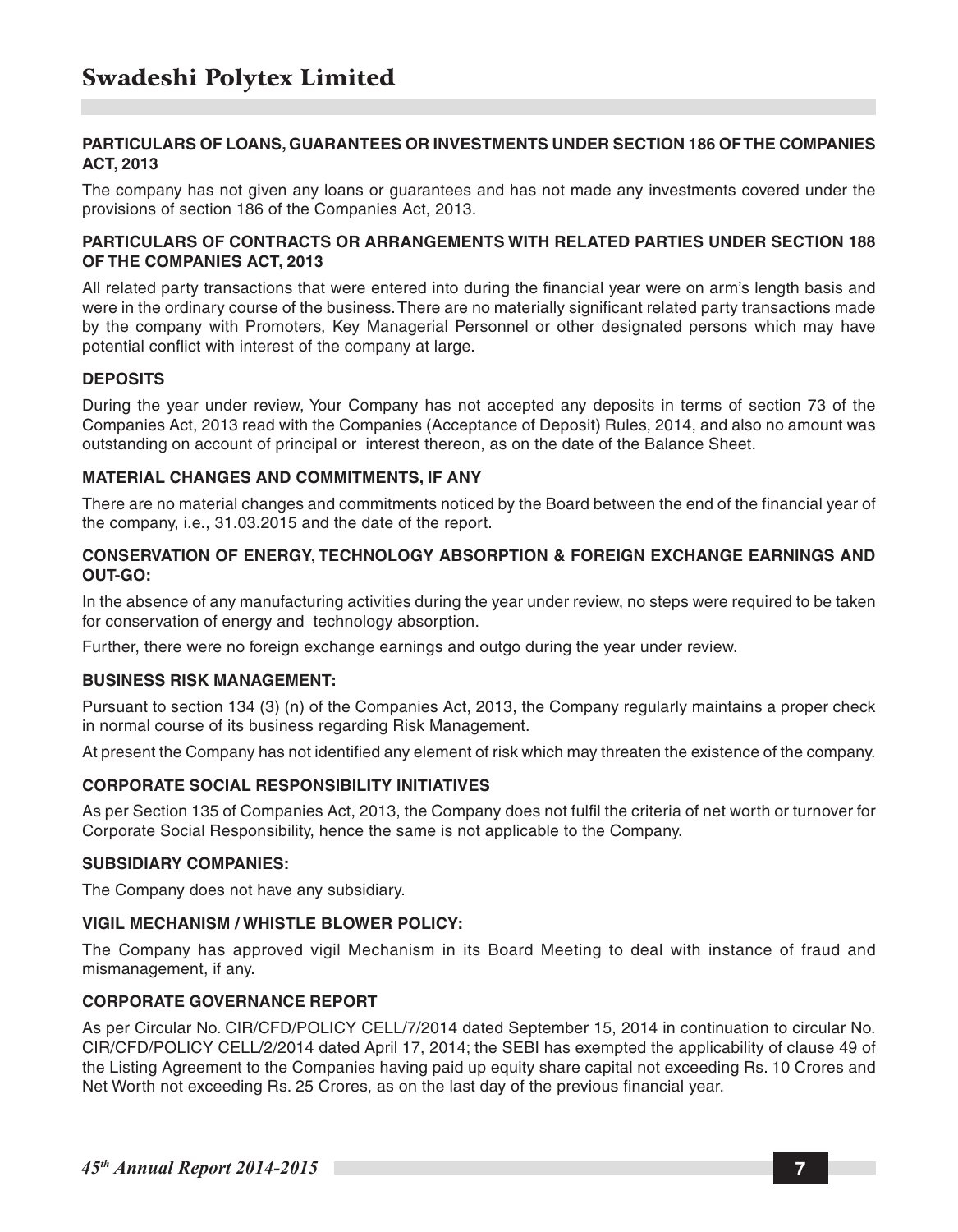#### **PARTICULARS OF LOANS, GUARANTEES OR INVESTMENTS UNDER SECTION 186 OF THE COMPANIES ACT, 2013**

The company has not given any loans or guarantees and has not made any investments covered under the provisions of section 186 of the Companies Act, 2013.

#### **PARTICULARS OF CONTRACTS OR ARRANGEMENTS WITH RELATED PARTIES UNDER SECTION 188 OF THE COMPANIES ACT, 2013**

All related party transactions that were entered into during the financial year were on arm's length basis and were in the ordinary course of the business. There are no materially significant related party transactions made by the company with Promoters, Key Managerial Personnel or other designated persons which may have potential conflict with interest of the company at large.

#### **DEPOSITS**

During the year under review, Your Company has not accepted any deposits in terms of section 73 of the Companies Act, 2013 read with the Companies (Acceptance of Deposit) Rules, 2014, and also no amount was outstanding on account of principal or interest thereon, as on the date of the Balance Sheet.

#### **MATERIAL CHANGES AND COMMITMENTS, IF ANY**

There are no material changes and commitments noticed by the Board between the end of the financial year of the company, i.e., 31.03.2015 and the date of the report.

#### **CONSERVATION OF ENERGY, TECHNOLOGY ABSORPTION & FOREIGN EXCHANGE EARNINGS AND OUT-GO:**

In the absence of any manufacturing activities during the year under review, no steps were required to be taken for conservation of energy and technology absorption.

Further, there were no foreign exchange earnings and outgo during the year under review.

#### **BUSINESS RISK MANAGEMENT:**

Pursuant to section 134 (3) (n) of the Companies Act, 2013, the Company regularly maintains a proper check in normal course of its business regarding Risk Management.

At present the Company has not identified any element of risk which may threaten the existence of the company.

#### **CORPORATE SOCIAL RESPONSIBILITY INITIATIVES**

As per Section 135 of Companies Act, 2013, the Company does not fulfil the criteria of net worth or turnover for Corporate Social Responsibility, hence the same is not applicable to the Company.

#### **SUBSIDIARY COMPANIES:**

The Company does not have any subsidiary.

#### **VIGIL MECHANISM / WHISTLE BLOWER POLICY:**

The Company has approved vigil Mechanism in its Board Meeting to deal with instance of fraud and mismanagement, if any.

#### **CORPORATE GOVERNANCE REPORT**

As per Circular No. CIR/CFD/POLICY CELL/7/2014 dated September 15, 2014 in continuation to circular No. CIR/CFD/POLICY CELL/2/2014 dated April 17, 2014; the SEBI has exempted the applicability of clause 49 of the Listing Agreement to the Companies having paid up equity share capital not exceeding Rs. 10 Crores and Net Worth not exceeding Rs. 25 Crores, as on the last day of the previous financial year.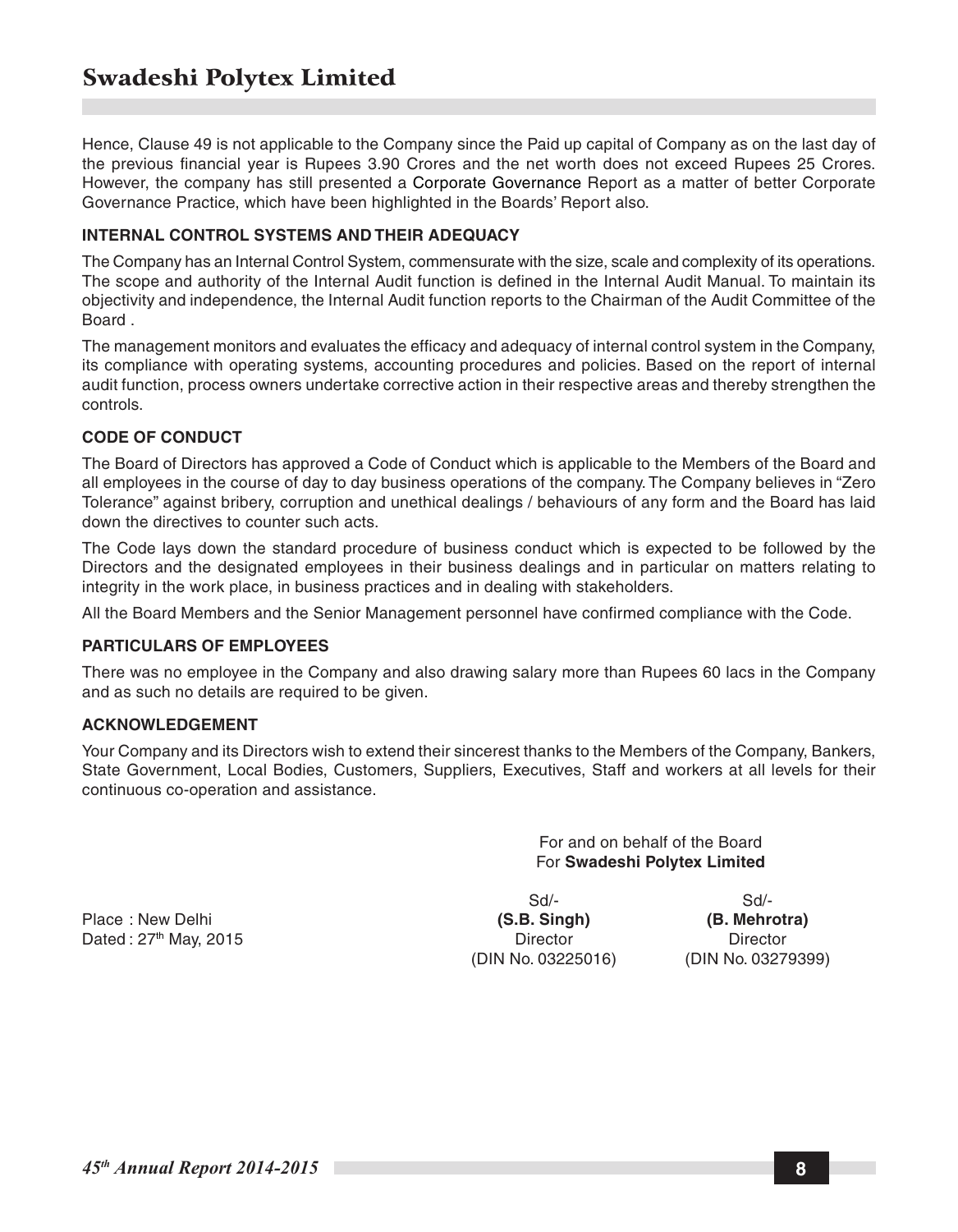Hence, Clause 49 is not applicable to the Company since the Paid up capital of Company as on the last day of the previous financial year is Rupees 3.90 Crores and the net worth does not exceed Rupees 25 Crores. However, the company has still presented a Corporate Governance Report as a matter of better Corporate Governance Practice, which have been highlighted in the Boards' Report also.

#### **INTERNAL CONTROL SYSTEMS AND THEIR ADEQUACY**

The Company has an Internal Control System, commensurate with the size, scale and complexity of its operations. The scope and authority of the Internal Audit function is defined in the Internal Audit Manual. To maintain its objectivity and independence, the Internal Audit function reports to the Chairman of the Audit Committee of the Board .

The management monitors and evaluates the efficacy and adequacy of internal control system in the Company, its compliance with operating systems, accounting procedures and policies. Based on the report of internal audit function, process owners undertake corrective action in their respective areas and thereby strengthen the controls.

#### **CODE OF CONDUCT**

The Board of Directors has approved a Code of Conduct which is applicable to the Members of the Board and all employees in the course of day to day business operations of the company. The Company believes in "Zero Tolerance" against bribery, corruption and unethical dealings / behaviours of any form and the Board has laid down the directives to counter such acts.

The Code lays down the standard procedure of business conduct which is expected to be followed by the Directors and the designated employees in their business dealings and in particular on matters relating to integrity in the work place, in business practices and in dealing with stakeholders.

All the Board Members and the Senior Management personnel have confirmed compliance with the Code.

#### **PARTICULARS OF EMPLOYEES**

There was no employee in the Company and also drawing salary more than Rupees 60 lacs in the Company and as such no details are required to be given.

#### **ACKNOWLEDGEMENT**

Your Company and its Directors wish to extend their sincerest thanks to the Members of the Company, Bankers, State Government, Local Bodies, Customers, Suppliers, Executives, Staff and workers at all levels for their continuous co-operation and assistance.

> For and on behalf of the Board For **Swadeshi Polytex Limited**

Place : New Delhi **(S.B. Singh) (B. Mehrotra)** Dated : 27<sup>th</sup> May, 2015 **Director** Director **Director** Director

(DIN No. 03225016) (DIN No. 03279399)

Sd/- Sd/-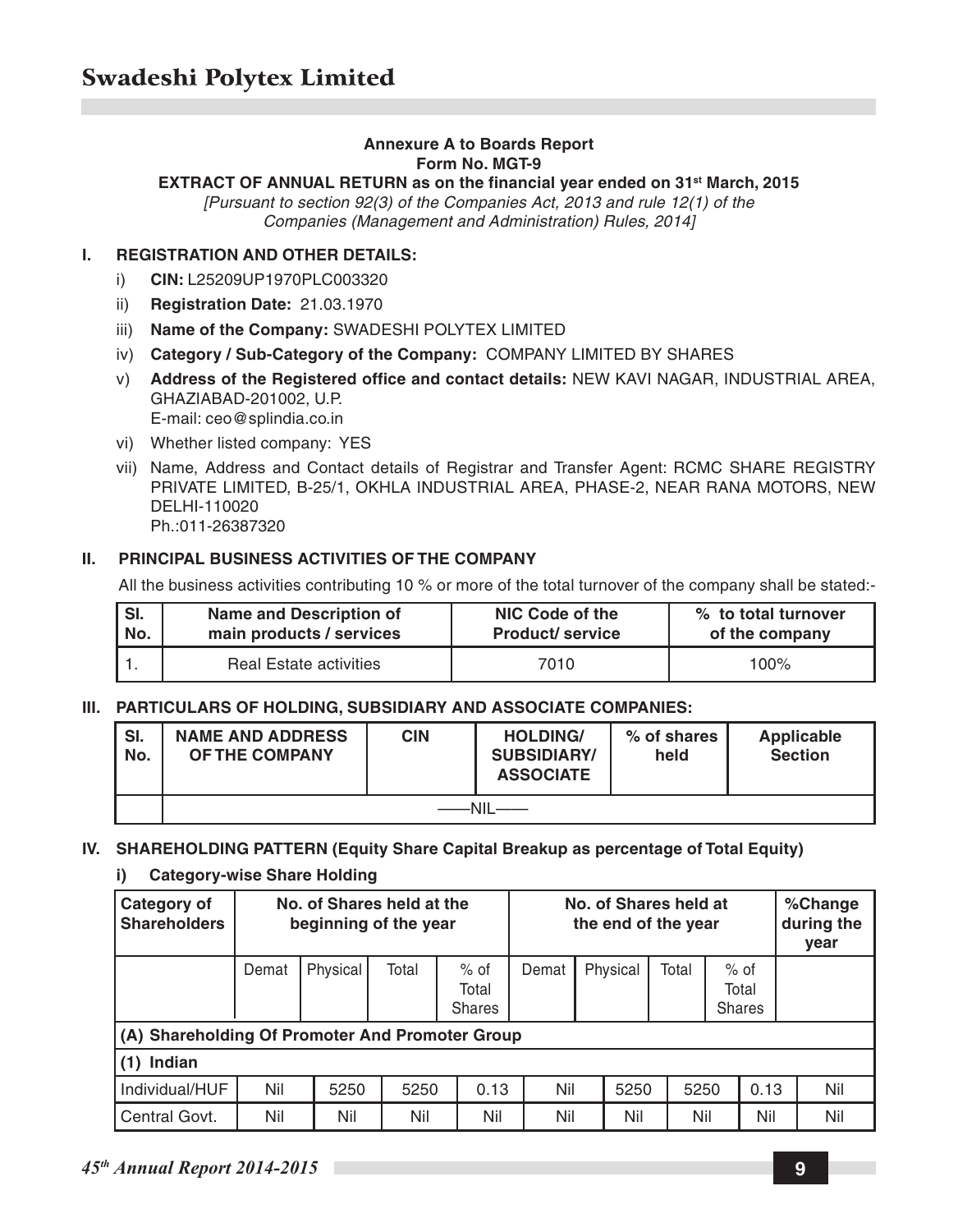#### **Annexure A to Boards Report Form No. MGT-9**

#### **EXTRACT OF ANNUAL RETURN as on the financial year ended on 31st March, 2015**

[Pursuant to section 92(3) of the Companies Act, 2013 and rule 12(1) of the Companies (Management and Administration) Rules, 2014]

#### **I. REGISTRATION AND OTHER DETAILS:**

- i) **CIN:** L25209UP1970PLC003320
- ii) **Registration Date:** 21.03.1970
- iii) **Name of the Company:** SWADESHI POLYTEX LIMITED
- iv) **Category / Sub-Category of the Company:** COMPANY LIMITED BY SHARES
- v) **Address of the Registered office and contact details:** NEW KAVI NAGAR, INDUSTRIAL AREA, GHAZIABAD-201002, U.P. E-mail: ceo@splindia.co.in
- vi) Whether listed company: YES
- vii) Name, Address and Contact details of Registrar and Transfer Agent: RCMC SHARE REGISTRY PRIVATE LIMITED, B-25/1, OKHLA INDUSTRIAL AREA, PHASE-2, NEAR RANA MOTORS, NEW DELHI-110020 Ph.:011-26387320

#### **II. PRINCIPAL BUSINESS ACTIVITIES OF THE COMPANY**

All the business activities contributing 10 % or more of the total turnover of the company shall be stated:-

| ! SI. | Name and Description of       | NIC Code of the        | % to total turnover |  |  |  |
|-------|-------------------------------|------------------------|---------------------|--|--|--|
| ' No. | main products / services      | <b>Product/service</b> | of the company      |  |  |  |
|       | <b>Real Estate activities</b> | 7010                   | 100%                |  |  |  |

#### **III. PARTICULARS OF HOLDING, SUBSIDIARY AND ASSOCIATE COMPANIES:**

| SI.<br>No. | <b>NAME AND ADDRESS</b><br><b>OF THE COMPANY</b> | <b>CIN</b> | <b>HOLDING/</b><br><b>SUBSIDIARY/</b><br><b>ASSOCIATE</b> | $%$ of shares<br>held | Applicable<br><b>Section</b> |  |  |  |  |
|------------|--------------------------------------------------|------------|-----------------------------------------------------------|-----------------------|------------------------------|--|--|--|--|
|            |                                                  |            |                                                           |                       |                              |  |  |  |  |

#### **IV. SHAREHOLDING PATTERN (Equity Share Capital Breakup as percentage of Total Equity)**

#### **i) Category-wise Share Holding**

| Category of<br><b>Shareholders</b>              | No. of Shares held at the<br>beginning of the year |          |       |               |       | No. of Shares held at<br>the end of the year |          |      |                 |               | %Change<br>during the<br>year |
|-------------------------------------------------|----------------------------------------------------|----------|-------|---------------|-------|----------------------------------------------|----------|------|-----------------|---------------|-------------------------------|
|                                                 | Demat                                              | Physical | Total | $%$ of        | Demat |                                              | Physical |      | Total<br>$%$ of |               |                               |
|                                                 |                                                    |          |       | Total         |       |                                              |          |      |                 | Total         |                               |
|                                                 |                                                    |          |       | <b>Shares</b> |       |                                              |          |      |                 | <b>Shares</b> |                               |
| (A) Shareholding Of Promoter And Promoter Group |                                                    |          |       |               |       |                                              |          |      |                 |               |                               |
| $(1)$ Indian                                    |                                                    |          |       |               |       |                                              |          |      |                 |               |                               |
| Individual/HUF                                  | Nil                                                | 5250     | 5250  | 0.13          | Nil   |                                              | 5250     | 5250 |                 | 0.13          | Nil                           |
| Central Govt.                                   | Nil                                                | Nil      | Nil   | Nil           | Nil   |                                              | Nil      | Nil  |                 | Nil           | Nil                           |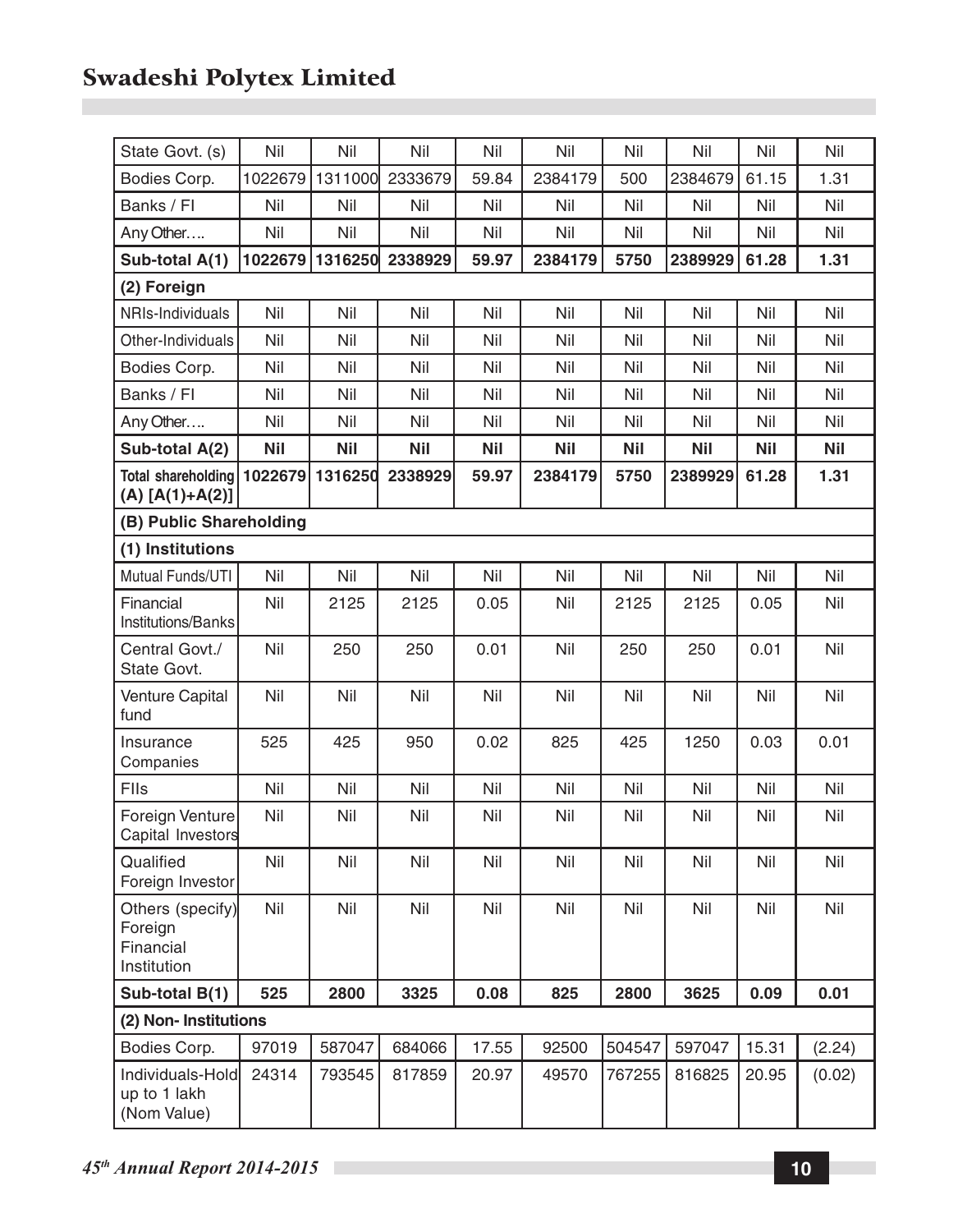| State Govt. (s)                                         | Nil        | Nil        | Nil        | Nil        | Nil     | Nil    | Nil        | Nil   | Nil    |  |  |
|---------------------------------------------------------|------------|------------|------------|------------|---------|--------|------------|-------|--------|--|--|
| Bodies Corp.                                            | 1022679    | 1311000    | 2333679    | 59.84      | 2384179 | 500    | 2384679    | 61.15 | 1.31   |  |  |
| Banks / FI                                              | Nil        | Nil        | Nil        | Nil        | Nil     | Nil    | Nil        | Nil   | Nil    |  |  |
| Any Other                                               | Nil        | Nil        | Nil        | Nil        | Nil     | Nil    | Nil        | Nil   | Nil    |  |  |
| Sub-total A(1)                                          | 1022679    | 1316250    | 2338929    | 59.97      | 2384179 | 5750   | 2389929    | 61.28 | 1.31   |  |  |
| (2) Foreign                                             |            |            |            |            |         |        |            |       |        |  |  |
| NRIs-Individuals                                        | Nil        | Nil        | Nil        | Nil        | Nil     | Nil    | Nil        | Nil   | Nil    |  |  |
| Other-Individuals                                       | Nil        | Nil        | Nil        | Nil        | Nil     | Nil    | Nil        | Nil   | Nil    |  |  |
| Bodies Corp.                                            | Nil        | Nil        | Nil        | Nil        | Nil     | Nil    | Nil        | Nil   | Nil    |  |  |
| Banks / FI                                              | Nil        | Nil        | Nil        | Nil        | Nil     | Nil    | Nil        | Nil   | Nil    |  |  |
| Any Other                                               | Nil        | Nil        | Nil        | Nil        | Nil     | Nil    | Nil        | Nil   | Nil    |  |  |
| Sub-total A(2)                                          | <b>Nil</b> | <b>Nil</b> | <b>Nil</b> | <b>Nil</b> | Nil     | Nil    | <b>Nil</b> | Nil   | Nil    |  |  |
| Total shareholding 1022679<br>(A) [A(1)+A(2)]           |            | 1316250    | 2338929    | 59.97      | 2384179 | 5750   | 2389929    | 61.28 | 1.31   |  |  |
| (B) Public Shareholding                                 |            |            |            |            |         |        |            |       |        |  |  |
| (1) Institutions                                        |            |            |            |            |         |        |            |       |        |  |  |
| Mutual Funds/UTI                                        | Nil        | Nil        | Nil        | Nil        | Nil     | Nil    | Nil        | Nil   | Nil    |  |  |
| Financial<br>Institutions/Banks                         | Nil        | 2125       | 2125       | 0.05       | Nil     | 2125   | 2125       | 0.05  | Nil    |  |  |
| Central Govt./<br>State Govt.                           | Nil        | 250        | 250        | 0.01       | Nil     | 250    | 250        | 0.01  | Nil    |  |  |
| <b>Venture Capital</b><br>fund                          | Nil        | Nil        | Nil        | Nil        | Nil     | Nil    | Nil        | Nil   | Nil    |  |  |
| Insurance<br>Companies                                  | 525        | 425        | 950        | 0.02       | 825     | 425    | 1250       | 0.03  | 0.01   |  |  |
| Flls                                                    | Nil        | Nil        | Nil        | Nil        | Nil     | Nil    | Nil        | Nil   | Nil    |  |  |
| Foreign Venture<br>Capital Investors                    | Nil        | Nil        | Nil        | Nil        | Nil     | Nil    | Nil        | Nil   | Nil    |  |  |
| Qualified<br>Foreign Investor                           | Nil        | Nil        | Nil        | Nil        | Nil     | Nil    | Nil        | Nil   | Nil    |  |  |
| Others (specify)<br>Foreign<br>Financial<br>Institution | Nil        | Nil        | Nil        | Nil        | Nil     | Nil    | Nil        | Nil   | Nil    |  |  |
| Sub-total B(1)                                          | 525        | 2800       | 3325       | 0.08       | 825     | 2800   | 3625       | 0.09  | 0.01   |  |  |
| (2) Non- Institutions                                   |            |            |            |            |         |        |            |       |        |  |  |
| Bodies Corp.                                            | 97019      | 587047     | 684066     | 17.55      | 92500   | 504547 | 597047     | 15.31 | (2.24) |  |  |
| Individuals-Hold<br>up to 1 lakh<br>(Nom Value)         | 24314      | 793545     | 817859     | 20.97      | 49570   | 767255 | 816825     | 20.95 | (0.02) |  |  |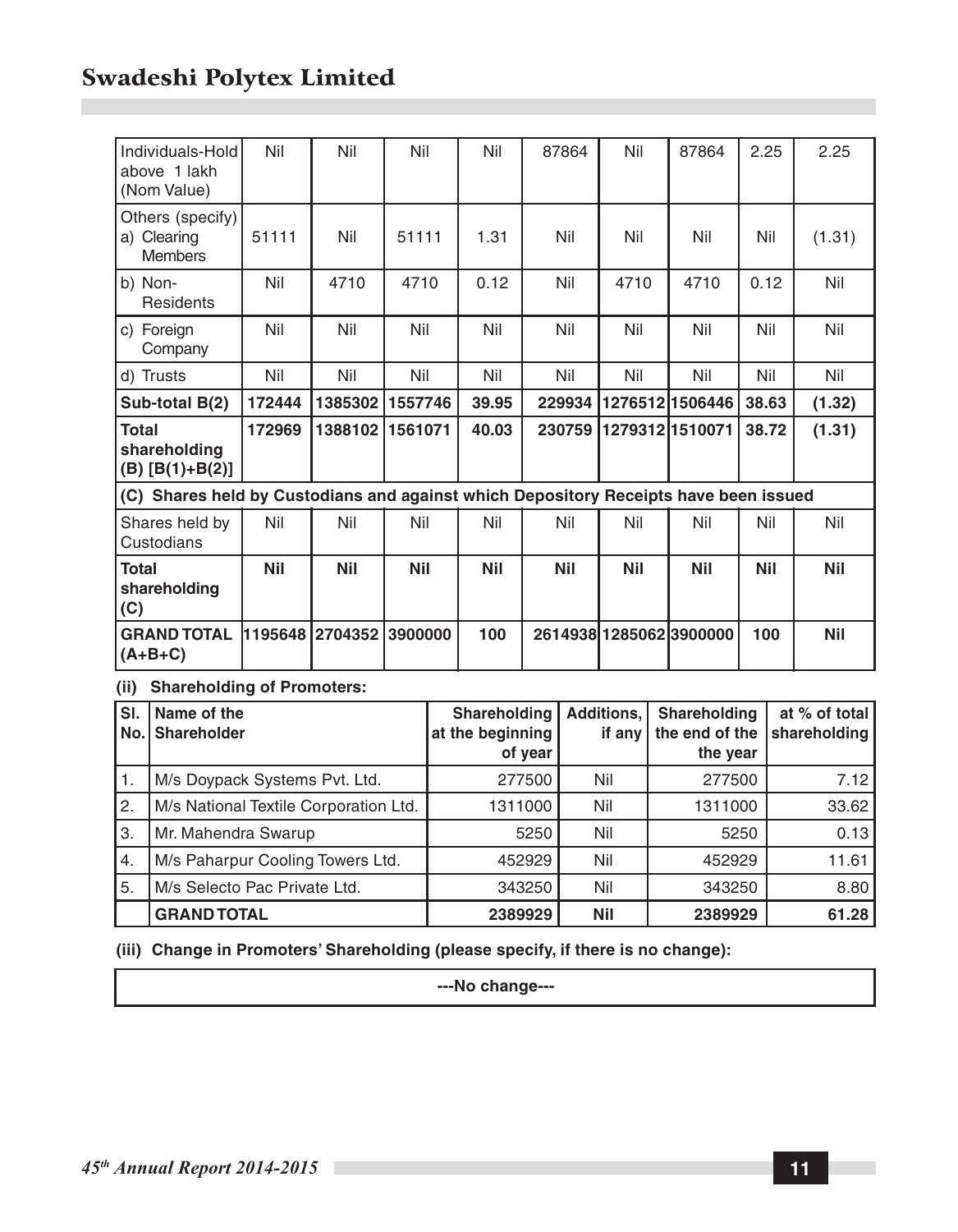|              | Individuals-Hold<br>above 1 lakh<br>(Nom Value)                                      | Nil    | Nil             | Nil     |      | Nil                              |               | 87864  | Nil                         | 87864                                      | 2.25  | 2.25                          |
|--------------|--------------------------------------------------------------------------------------|--------|-----------------|---------|------|----------------------------------|---------------|--------|-----------------------------|--------------------------------------------|-------|-------------------------------|
|              | Others (specify)<br>a) Clearing<br><b>Members</b>                                    | 51111  | Nil             | 51111   |      | 1.31                             |               | Nil    | Nil                         | Nil                                        | Nil   | (1.31)                        |
| b) Non-      | Residents                                                                            | Nil    | 4710            | 4710    |      | 0.12                             |               | Nil    | 4710                        | 4710                                       | 0.12  | Nil                           |
|              | c) Foreign<br>Company                                                                | Nil    | Nil             | Nil     |      | Nil                              |               | Nil    | Nil                         | Nil                                        | Nil   | Nil                           |
|              | d) Trusts                                                                            | Nil    | Nil             | Nil     |      | Nil                              |               | Nil    | Nil                         | Nil                                        | Nil   | Nil                           |
|              | Sub-total B(2)                                                                       | 172444 | 1385302         | 1557746 |      | 39.95                            |               | 229934 |                             | 12765121506446                             | 38.63 | (1.32)                        |
| Total        | shareholding<br>$(B)$ [B(1)+B(2)]                                                    | 172969 | 1388102         | 1561071 |      | 40.03                            |               | 230759 |                             | 1279312 1510071                            | 38.72 | (1.31)                        |
|              | (C) Shares held by Custodians and against which Depository Receipts have been issued |        |                 |         |      |                                  |               |        |                             |                                            |       |                               |
|              | Shares held by<br>Custodians                                                         | Nil    | Nil             | Nil     |      | Nil                              |               | Nil    | Nil                         | Nil                                        | Nil   | Nil                           |
| Total<br>(C) | shareholding                                                                         | Nil    | Nil             | Nil     |      | Nil                              |               | Nil    | Nil                         | Nil                                        | Nil   | <b>Nil</b>                    |
|              | <b>GRAND TOTAL</b><br>$(A+B+C)$                                                      |        | 1195648 2704352 | 3900000 |      | 100                              |               |        |                             | 2614938 1285062 3900000                    | 100   | <b>Nil</b>                    |
| (ii)         | <b>Shareholding of Promoters:</b>                                                    |        |                 |         |      |                                  |               |        |                             |                                            |       |                               |
| SI.<br>No.   | Name of the<br>Shareholder                                                           |        |                 |         |      | Shareholding<br>at the beginning | of year       |        | <b>Additions.</b><br>if anv | Shareholding<br>the end of the<br>the year |       | at % of total<br>shareholding |
| 1.           | M/s Doypack Systems Pvt. Ltd.                                                        |        |                 |         |      |                                  | 277500        |        | Nil                         | 277500                                     |       | 7.12                          |
| 2.           | M/s National Textile Corporation Ltd.                                                |        |                 |         |      | 1311000                          |               |        | Nil                         | 1311000                                    |       | 33.62                         |
| 3.           | Mr. Mahendra Swarup                                                                  |        |                 |         | 5250 |                                  |               | Nil    |                             | 5250                                       | 0.13  |                               |
| 4.           | M/s Paharpur Cooling Towers Ltd.                                                     |        |                 |         |      |                                  | 452929<br>Nil |        |                             | 452929                                     |       | 11.61                         |
| 5.           | M/s Selecto Pac Private Ltd.                                                         |        |                 |         |      |                                  | 343250        |        | Nil                         | 343250                                     |       | 8.80                          |
|              | <b>GRAND TOTAL</b>                                                                   |        |                 |         |      | 2389929                          |               |        | <b>Nil</b>                  | 2389929                                    |       | 61.28                         |

**(iii) Change in Promoters' Shareholding (please specify, if there is no change):**

**---No change---**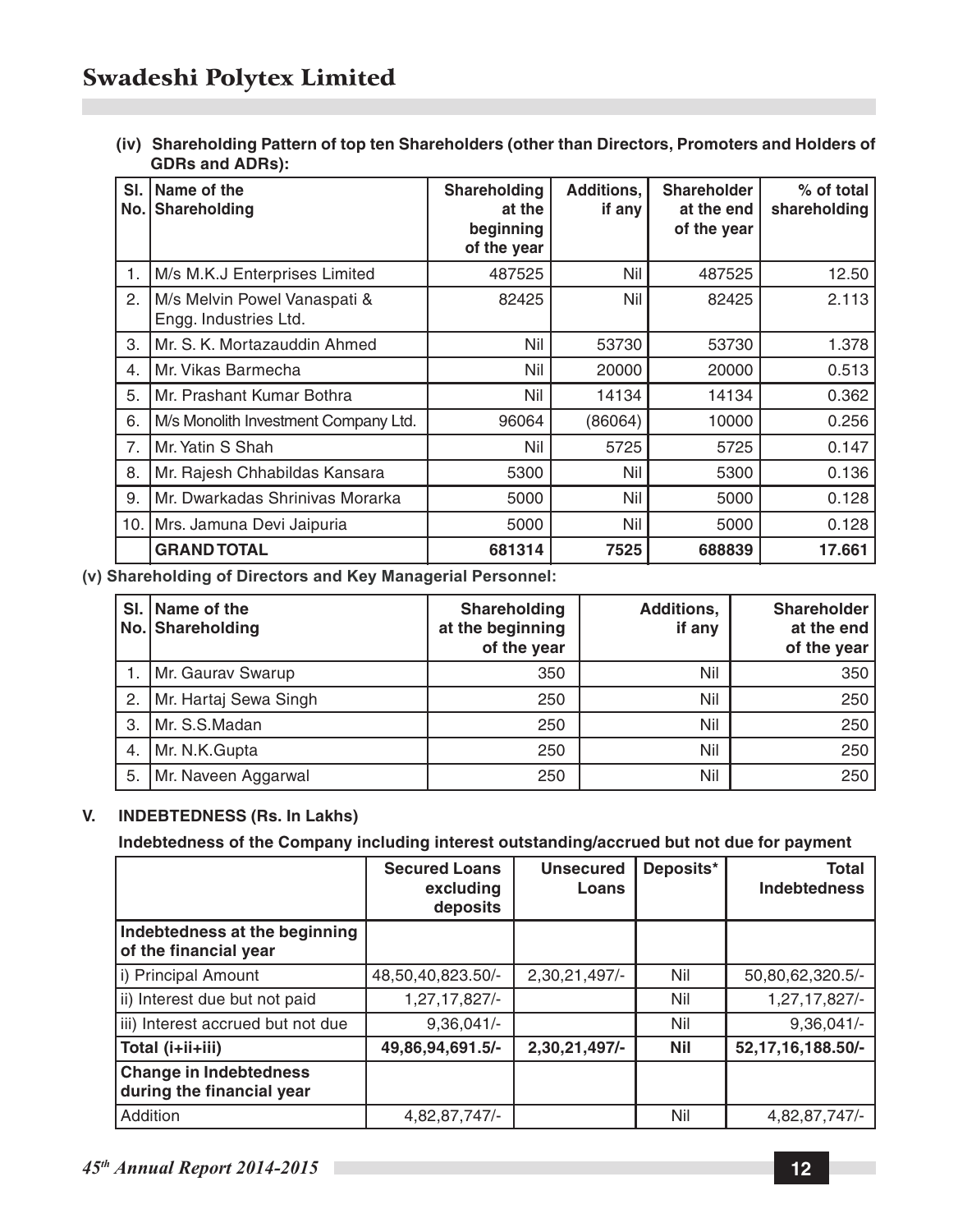**(iv) Shareholding Pattern of top ten Shareholders (other than Directors, Promoters and Holders of GDRs and ADRs):**

| SI. | Name of the<br>No. Shareholding                       | Shareholding<br>at the<br>beginning<br>of the year | Additions,<br>if any | <b>Shareholder</b><br>at the end<br>of the year | % of total<br>shareholding |
|-----|-------------------------------------------------------|----------------------------------------------------|----------------------|-------------------------------------------------|----------------------------|
| 1.  | M/s M.K.J Enterprises Limited                         | 487525                                             | Nil                  | 487525                                          | 12.50                      |
| 2.  | M/s Melvin Powel Vanaspati &<br>Engg. Industries Ltd. | 82425                                              | Nil                  | 82425                                           | 2.113                      |
| 3.  | Mr. S. K. Mortazauddin Ahmed                          | Nil                                                | 53730                | 53730                                           | 1.378                      |
| 4.  | Mr. Vikas Barmecha                                    | Nil                                                | 20000                | 20000                                           | 0.513                      |
| 5.  | Mr. Prashant Kumar Bothra                             | Nil                                                | 14134                | 14134                                           | 0.362                      |
| 6.  | M/s Monolith Investment Company Ltd.                  | 96064                                              | (86064)              | 10000                                           | 0.256                      |
| 7.  | Mr. Yatin S Shah                                      | Nil                                                | 5725                 | 5725                                            | 0.147                      |
| 8.  | Mr. Rajesh Chhabildas Kansara                         | 5300                                               | Nil                  | 5300                                            | 0.136                      |
| 9.  | Mr. Dwarkadas Shriniyas Morarka                       | 5000                                               | Nil                  | 5000                                            | 0.128                      |
| 10. | Mrs. Jamuna Devi Jaipuria                             | 5000                                               | Nil                  | 5000                                            | 0.128                      |
|     | <b>GRAND TOTAL</b>                                    | 681314                                             | 7525                 | 688839                                          | 17.661                     |

**(v) Shareholding of Directors and Key Managerial Personnel:**

|    | SI. Name of the<br>No. Shareholding | Shareholding<br>at the beginning<br>of the year | <b>Additions,</b><br>if any | <b>Shareholder</b><br>at the end<br>of the year |
|----|-------------------------------------|-------------------------------------------------|-----------------------------|-------------------------------------------------|
|    | Mr. Gaurav Swarup                   | 350                                             | Nil                         | 350                                             |
| 2. | Mr. Hartaj Sewa Singh               | 250                                             | Nil                         | 250                                             |
| 3. | Mr. S.S.Madan                       | 250                                             | Nil                         | 250                                             |
| 4. | Mr. N.K.Gupta                       | 250                                             | Nil                         | 250                                             |
| 5. | Mr. Naveen Aggarwal                 | 250                                             | Nil                         | 250                                             |

#### **V. INDEBTEDNESS (Rs. In Lakhs)**

**Indebtedness of the Company including interest outstanding/accrued but not due for payment**

|                                                            | <b>Secured Loans</b><br>excluding<br>deposits | <b>Unsecured</b><br>Loans | Deposits* | <b>Total</b><br><b>Indebtedness</b> |
|------------------------------------------------------------|-----------------------------------------------|---------------------------|-----------|-------------------------------------|
| Indebtedness at the beginning<br>of the financial year     |                                               |                           |           |                                     |
| i) Principal Amount                                        | 48,50,40,823.50/-                             | 2,30,21,497/-             | Nil       | 50,80,62,320.5/-                    |
| ii) Interest due but not paid                              | 1,27,17,827/-                                 |                           | Nil       | 1,27,17,827/-                       |
| iii) Interest accrued but not due                          | $9.36.041/-$                                  |                           | Nil       | $9.36.041/-$                        |
| Total (i+ii+iii)                                           | 49,86,94,691.5/-                              | 2,30,21,497/-             | Nil       | 52, 17, 16, 188. 50/-               |
| <b>Change in Indebtedness</b><br>during the financial year |                                               |                           |           |                                     |
| Addition                                                   | 4,82,87,747/-                                 |                           | Nil       | 4,82,87,747/-                       |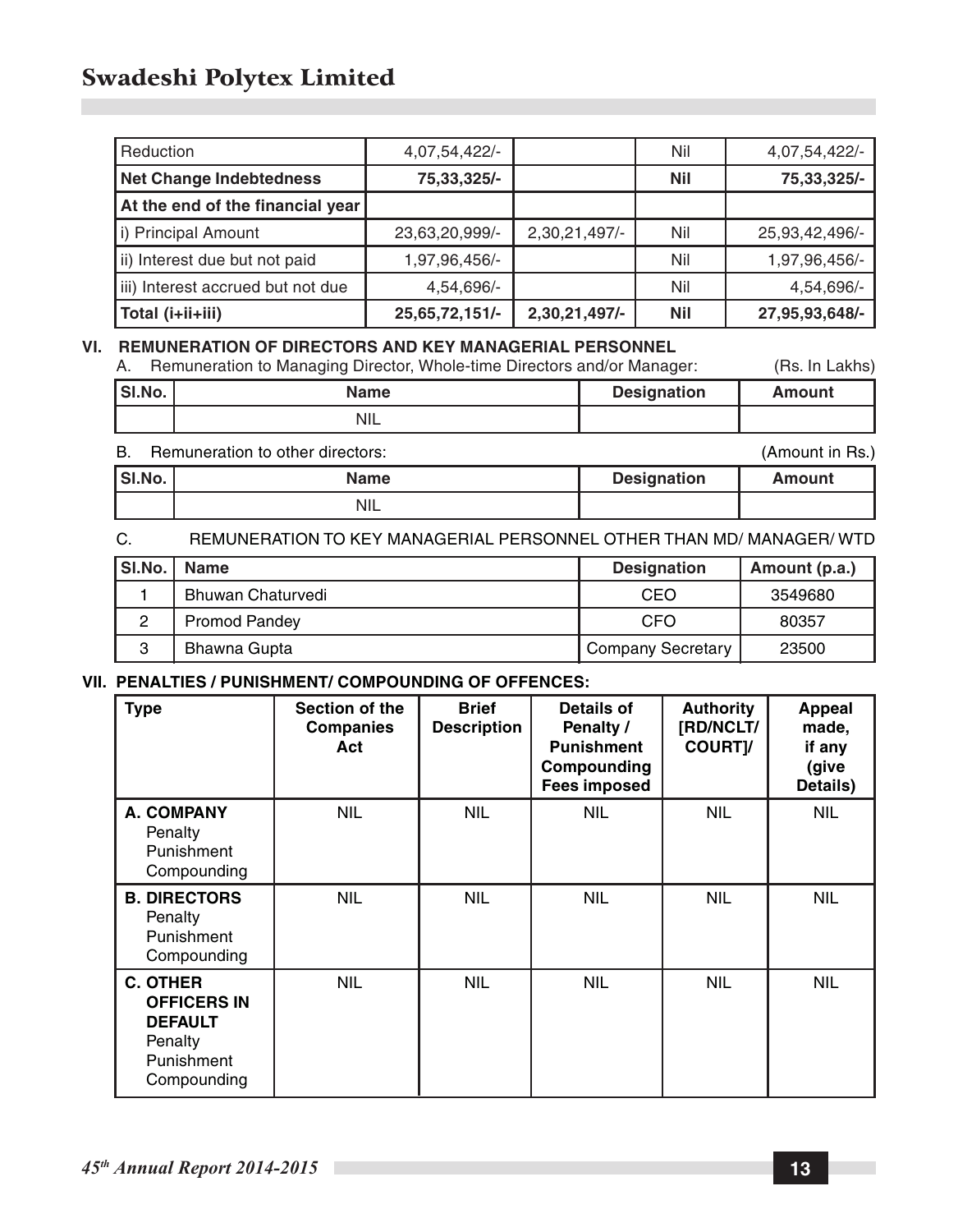| Reduction                         | 4,07,54,422/-  |               | Nil        | 4,07,54,422/-  |
|-----------------------------------|----------------|---------------|------------|----------------|
| <b>Net Change Indebtedness</b>    | 75,33,325/-    |               | <b>Nil</b> | 75, 33, 325/-  |
| At the end of the financial year  |                |               |            |                |
| i) Principal Amount               | 23,63,20,999/- | 2,30,21,497/- | Nil        | 25,93,42,496/- |
| ii) Interest due but not paid     | 1,97,96,456/-  |               | Nil        | 1,97,96,456/-  |
| iii) Interest accrued but not due | 4,54,696/-     |               | Nil        | 4,54,696/-     |
| Total (i+ii+iii)                  | 25,65,72,151/- | 2,30,21,497/- | <b>Nil</b> | 27,95,93,648/- |

#### **VI. REMUNERATION OF DIRECTORS AND KEY MANAGERIAL PERSONNEL**

|  | A. Remuneration to Managing Director, Whole-time Directors and/or Manager: | (Rs. In Lakhs) |
|--|----------------------------------------------------------------------------|----------------|
|--|----------------------------------------------------------------------------|----------------|

| SI.No. | Name       | <b>Designation</b> | Amount |
|--------|------------|--------------------|--------|
|        | <b>NIL</b> |                    |        |

#### B. Remuneration to other directors: (Amount in Rs.)

| SI.No. | Name       | <b>Designation</b> | Amount |
|--------|------------|--------------------|--------|
|        | <b>NIL</b> |                    |        |
|        |            |                    |        |

#### C. REMUNERATION TO KEY MANAGERIAL PERSONNEL OTHER THAN MD/ MANAGER/ WTD

| SI.No. | <b>Name</b>              | <b>Designation</b> | Amount (p.a.) |
|--------|--------------------------|--------------------|---------------|
|        | <b>Bhuwan Chaturvedi</b> | CEO                | 3549680       |
|        | <b>Promod Pandey</b>     | CEO                | 80357         |
| ∘      | Bhawna Gupta             | Company Secretary  | 23500         |

#### **VII. PENALTIES / PUNISHMENT/ COMPOUNDING OF OFFENCES:**

| <b>Type</b>                                                                                     | Section of the<br><b>Companies</b><br>Act | <b>Brief</b><br><b>Description</b> | Details of<br>Penalty /<br><b>Punishment</b><br>Compounding<br><b>Fees imposed</b> | <b>Authority</b><br>[RD/NCLT/<br><b>COURT</b> I/ | Appeal<br>made,<br>if any<br>(give<br>Details) |
|-------------------------------------------------------------------------------------------------|-------------------------------------------|------------------------------------|------------------------------------------------------------------------------------|--------------------------------------------------|------------------------------------------------|
| A. COMPANY<br>Penalty<br>Punishment<br>Compounding                                              | NIL.                                      | <b>NIL</b>                         | <b>NIL</b>                                                                         | <b>NIL</b>                                       | NIL.                                           |
| <b>B. DIRECTORS</b><br>Penalty<br>Punishment<br>Compounding                                     | <b>NIL</b>                                | <b>NIL</b>                         | <b>NIL</b>                                                                         | <b>NIL</b>                                       | <b>NIL</b>                                     |
| <b>C. OTHER</b><br><b>OFFICERS IN</b><br><b>DEFAULT</b><br>Penalty<br>Punishment<br>Compounding | NIL.                                      | <b>NIL</b>                         | <b>NIL</b>                                                                         | <b>NIL</b>                                       | <b>NIL</b>                                     |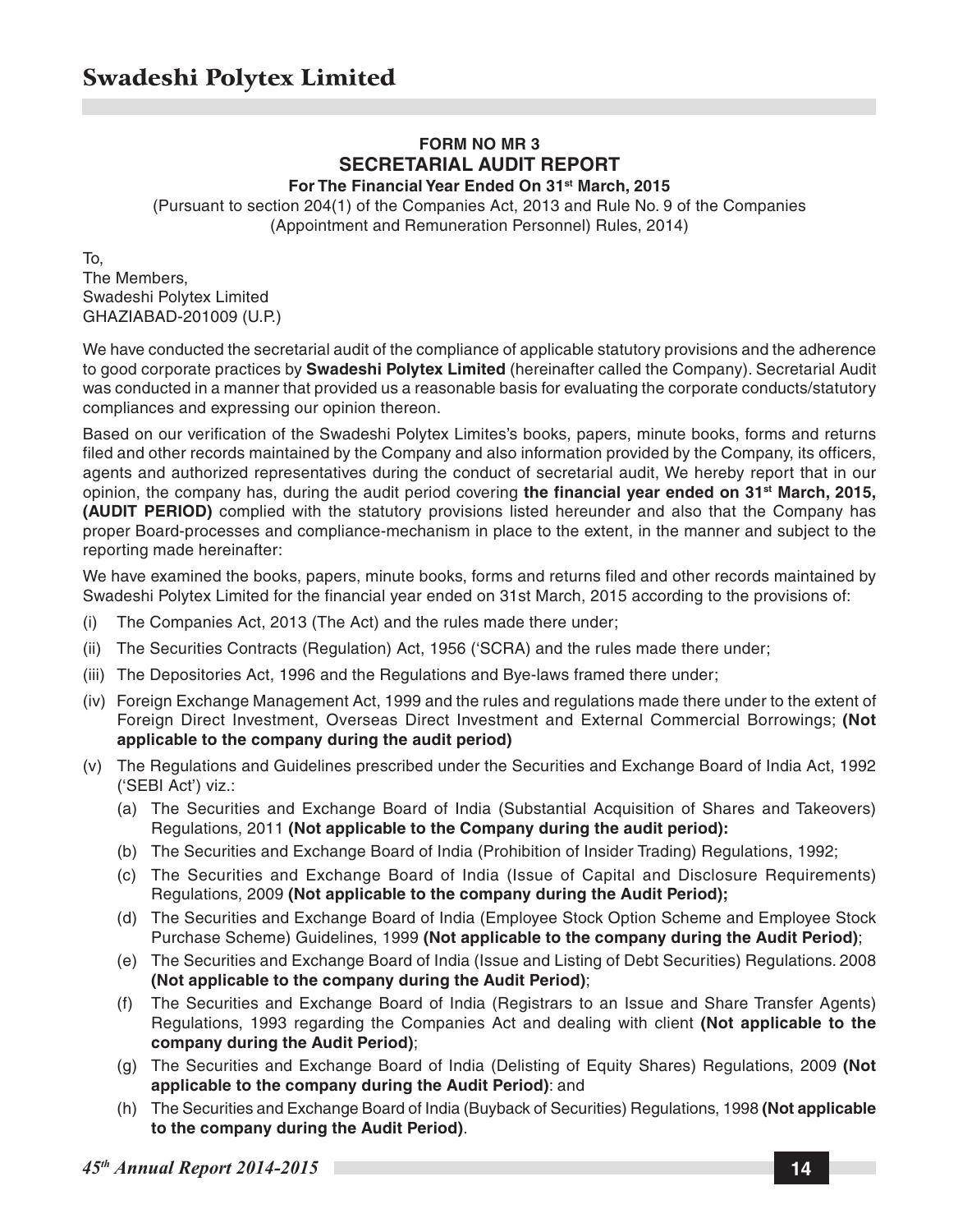#### **FORM NO MR 3 SECRETARIAL AUDIT REPORT**

**For The Financial Year Ended On 31st March, 2015** (Pursuant to section 204(1) of the Companies Act, 2013 and Rule No. 9 of the Companies (Appointment and Remuneration Personnel) Rules, 2014)

To, The Members, Swadeshi Polytex Limited GHAZIABAD-201009 (U.P.)

We have conducted the secretarial audit of the compliance of applicable statutory provisions and the adherence to good corporate practices by **Swadeshi Polytex Limited** (hereinafter called the Company). Secretarial Audit was conducted in a manner that provided us a reasonable basis for evaluating the corporate conducts/statutory compliances and expressing our opinion thereon.

Based on our verification of the Swadeshi Polytex Limites's books, papers, minute books, forms and returns filed and other records maintained by the Company and also information provided by the Company, its officers, agents and authorized representatives during the conduct of secretarial audit, We hereby report that in our opinion, the company has, during the audit period covering **the financial year ended on 31st March, 2015, (AUDIT PERIOD)** complied with the statutory provisions listed hereunder and also that the Company has proper Board-processes and compliance-mechanism in place to the extent, in the manner and subject to the reporting made hereinafter:

We have examined the books, papers, minute books, forms and returns filed and other records maintained by Swadeshi Polytex Limited for the financial year ended on 31st March, 2015 according to the provisions of:

- (i) The Companies Act, 2013 (The Act) and the rules made there under;
- (ii) The Securities Contracts (Regulation) Act, 1956 ('SCRA) and the rules made there under;
- (iii) The Depositories Act, 1996 and the Regulations and Bye-laws framed there under;
- (iv) Foreign Exchange Management Act, 1999 and the rules and regulations made there under to the extent of Foreign Direct Investment, Overseas Direct Investment and External Commercial Borrowings; **(Not applicable to the company during the audit period)**
- (v) The Regulations and Guidelines prescribed under the Securities and Exchange Board of India Act, 1992 ('SEBI Act') viz.:
	- (a) The Securities and Exchange Board of India (Substantial Acquisition of Shares and Takeovers) Regulations, 2011 **(Not applicable to the Company during the audit period):**
	- (b) The Securities and Exchange Board of India (Prohibition of Insider Trading) Regulations, 1992;
	- (c) The Securities and Exchange Board of India (Issue of Capital and Disclosure Requirements) Regulations, 2009 **(Not applicable to the company during the Audit Period);**
	- (d) The Securities and Exchange Board of India (Employee Stock Option Scheme and Employee Stock Purchase Scheme) Guidelines, 1999 **(Not applicable to the company during the Audit Period)**;
	- (e) The Securities and Exchange Board of India (Issue and Listing of Debt Securities) Regulations. 2008 **(Not applicable to the company during the Audit Period)**;
	- (f) The Securities and Exchange Board of India (Registrars to an Issue and Share Transfer Agents) Regulations, 1993 regarding the Companies Act and dealing with client **(Not applicable to the company during the Audit Period)**;
	- (g) The Securities and Exchange Board of India (Delisting of Equity Shares) Regulations, 2009 **(Not applicable to the company during the Audit Period)**: and
	- (h) The Securities and Exchange Board of India (Buyback of Securities) Regulations, 1998 **(Not applicable to the company during the Audit Period)**.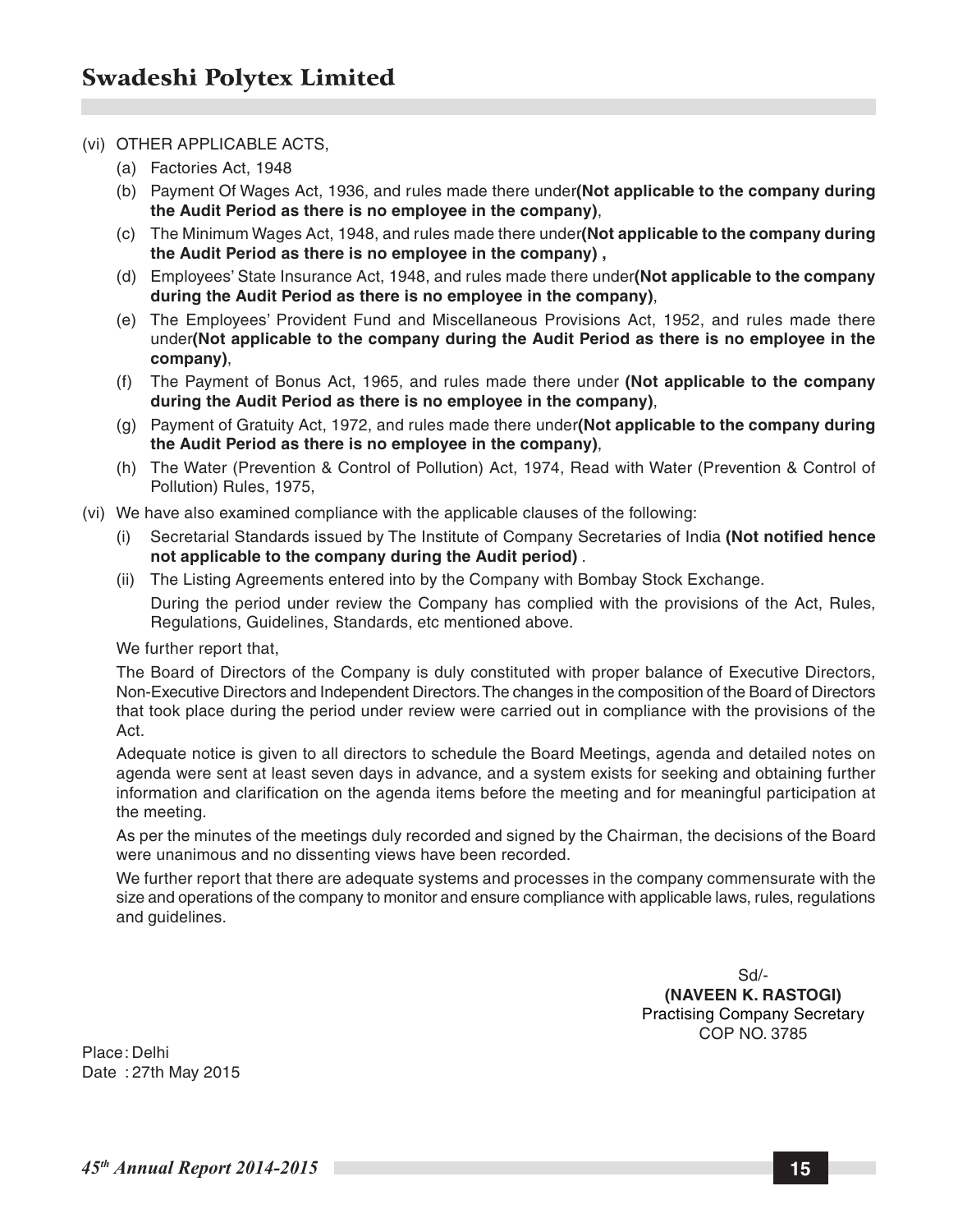#### (vi) OTHER APPLICABLE ACTS,

- (a) Factories Act, 1948
- (b) Payment Of Wages Act, 1936, and rules made there under**(Not applicable to the company during the Audit Period as there is no employee in the company)**,
- (c) The Minimum Wages Act, 1948, and rules made there under**(Not applicable to the company during the Audit Period as there is no employee in the company) ,**
- (d) Employees' State Insurance Act, 1948, and rules made there under**(Not applicable to the company during the Audit Period as there is no employee in the company)**,
- (e) The Employees' Provident Fund and Miscellaneous Provisions Act, 1952, and rules made there under**(Not applicable to the company during the Audit Period as there is no employee in the company)**,
- (f) The Payment of Bonus Act, 1965, and rules made there under **(Not applicable to the company during the Audit Period as there is no employee in the company)**,
- (g) Payment of Gratuity Act, 1972, and rules made there under**(Not applicable to the company during the Audit Period as there is no employee in the company)**,
- (h) The Water (Prevention & Control of Pollution) Act, 1974, Read with Water (Prevention & Control of Pollution) Rules, 1975,
- (vi) We have also examined compliance with the applicable clauses of the following:
	- (i) Secretarial Standards issued by The Institute of Company Secretaries of India **(Not notified hence not applicable to the company during the Audit period)** .
	- (ii) The Listing Agreements entered into by the Company with Bombay Stock Exchange. During the period under review the Company has complied with the provisions of the Act, Rules, Regulations, Guidelines, Standards, etc mentioned above.

We further report that,

The Board of Directors of the Company is duly constituted with proper balance of Executive Directors, Non-Executive Directors and Independent Directors. The changes in the composition of the Board of Directors that took place during the period under review were carried out in compliance with the provisions of the Act.

Adequate notice is given to all directors to schedule the Board Meetings, agenda and detailed notes on agenda were sent at least seven days in advance, and a system exists for seeking and obtaining further information and clarification on the agenda items before the meeting and for meaningful participation at the meeting.

As per the minutes of the meetings duly recorded and signed by the Chairman, the decisions of the Board were unanimous and no dissenting views have been recorded.

We further report that there are adequate systems and processes in the company commensurate with the size and operations of the company to monitor and ensure compliance with applicable laws, rules, regulations and guidelines.

> Sd/- **(NAVEEN K. RASTOGI)** Practising Company Secretary COP NO. 3785

Place: Delhi Date : 27th May 2015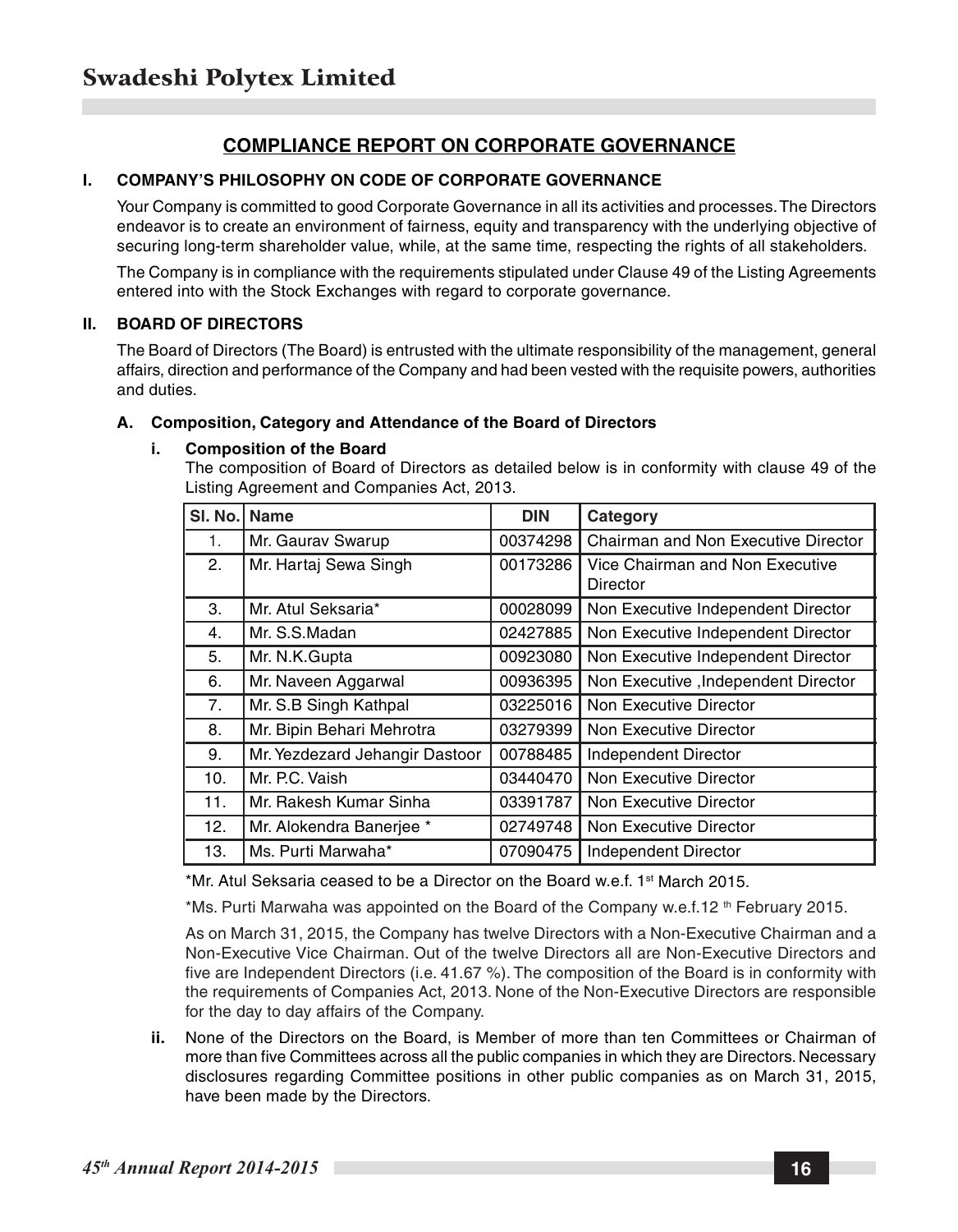#### **COMPLIANCE REPORT ON CORPORATE GOVERNANCE**

#### **I. COMPANY'S PHILOSOPHY ON CODE OF CORPORATE GOVERNANCE**

Your Company is committed to good Corporate Governance in all its activities and processes. The Directors endeavor is to create an environment of fairness, equity and transparency with the underlying objective of securing long-term shareholder value, while, at the same time, respecting the rights of all stakeholders.

The Company is in compliance with the requirements stipulated under Clause 49 of the Listing Agreements entered into with the Stock Exchanges with regard to corporate governance.

#### **II. BOARD OF DIRECTORS**

The Board of Directors (The Board) is entrusted with the ultimate responsibility of the management, general affairs, direction and performance of the Company and had been vested with the requisite powers, authorities and duties.

#### **A. Composition, Category and Attendance of the Board of Directors**

#### **i. Composition of the Board**

The composition of Board of Directors as detailed below is in conformity with clause 49 of the Listing Agreement and Companies Act, 2013.

| SI. No. | <b>Name</b>                    | <b>DIN</b> | Category                                           |
|---------|--------------------------------|------------|----------------------------------------------------|
| 1.      | Mr. Gaurav Swarup              | 00374298   | Chairman and Non Executive Director                |
| 2.      | Mr. Hartaj Sewa Singh          | 00173286   | Vice Chairman and Non Executive<br><b>Director</b> |
| 3.      | Mr. Atul Seksaria*             | 00028099   | Non Executive Independent Director                 |
| 4.      | Mr. S.S.Madan                  | 02427885   | Non Executive Independent Director                 |
| 5.      | Mr. N.K. Gupta                 | 00923080   | Non Executive Independent Director                 |
| 6.      | Mr. Naveen Aggarwal            | 00936395   | Non Executive , Independent Director               |
| 7.      | Mr. S.B Singh Kathpal          | 03225016   | Non Executive Director                             |
| 8.      | Mr. Bipin Behari Mehrotra      | 03279399   | Non Executive Director                             |
| 9.      | Mr. Yezdezard Jehangir Dastoor | 00788485   | Independent Director                               |
| 10.     | Mr. P.C. Vaish                 | 03440470   | Non Executive Director                             |
| 11.     | Mr. Rakesh Kumar Sinha         | 03391787   | Non Executive Director                             |
| 12.     | Mr. Alokendra Banerjee *       | 02749748   | Non Executive Director                             |
| 13.     | Ms. Purti Marwaha*             | 07090475   | Independent Director                               |

\*Mr. Atul Seksaria ceased to be a Director on the Board w.e.f. 1<sup>st</sup> March 2015.

\*Ms. Purti Marwaha was appointed on the Board of the Company w.e.f. 12  $th$  February 2015.

As on March 31, 2015, the Company has twelve Directors with a Non-Executive Chairman and a Non-Executive Vice Chairman. Out of the twelve Directors all are Non-Executive Directors and five are Independent Directors (i.e. 41.67 %). The composition of the Board is in conformity with the requirements of Companies Act, 2013. None of the Non-Executive Directors are responsible for the day to day affairs of the Company.

**ii.** None of the Directors on the Board, is Member of more than ten Committees or Chairman of more than five Committees across all the public companies in which they are Directors. Necessary disclosures regarding Committee positions in other public companies as on March 31, 2015, have been made by the Directors.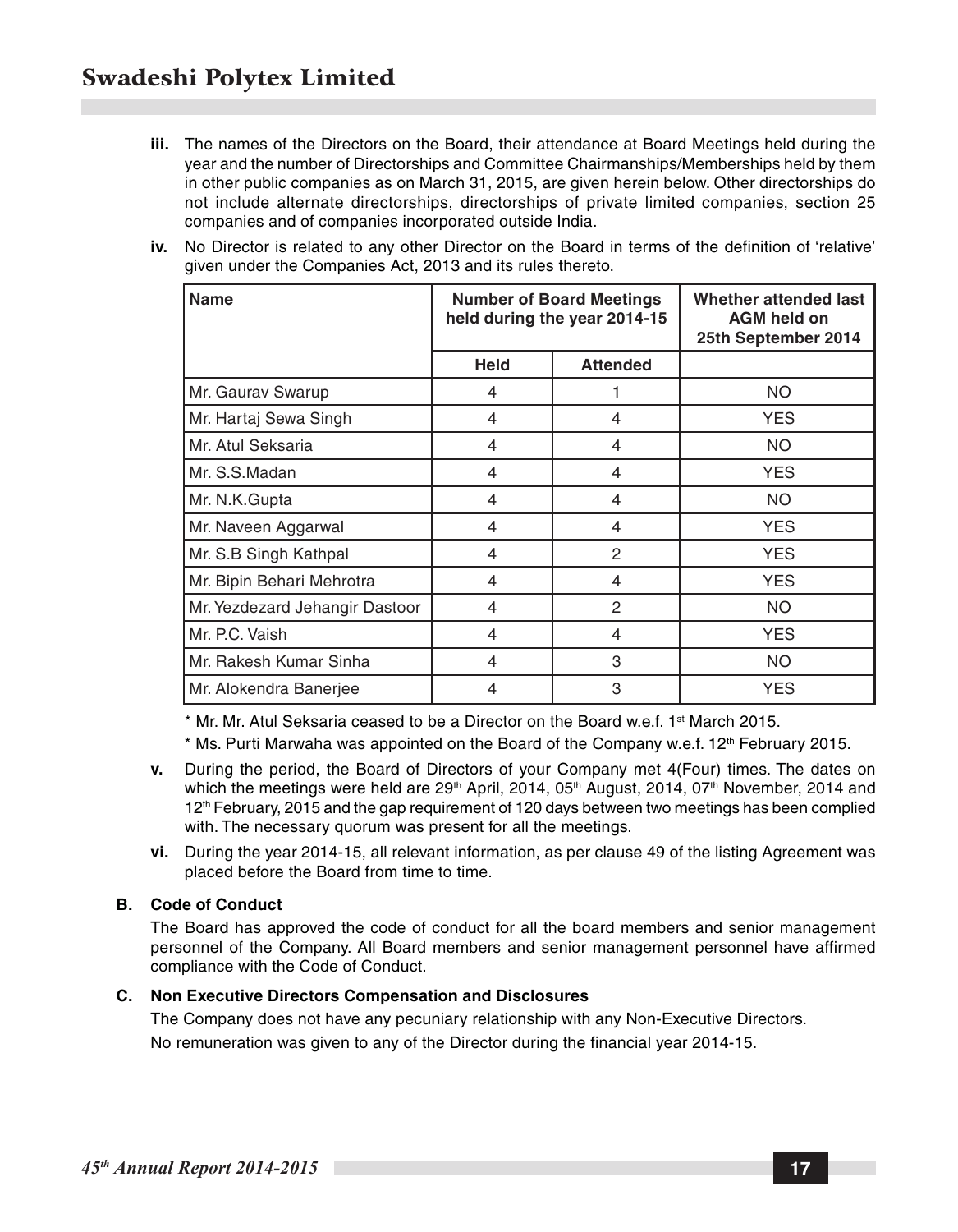- **iii.** The names of the Directors on the Board, their attendance at Board Meetings held during the year and the number of Directorships and Committee Chairmanships/Memberships held by them in other public companies as on March 31, 2015, are given herein below. Other directorships do not include alternate directorships, directorships of private limited companies, section 25 companies and of companies incorporated outside India.
- **iv.** No Director is related to any other Director on the Board in terms of the definition of 'relative' given under the Companies Act, 2013 and its rules thereto.

| <b>Name</b>                    | <b>Number of Board Meetings</b><br>held during the year 2014-15 |                 | Whether attended last<br><b>AGM held on</b><br>25th September 2014 |
|--------------------------------|-----------------------------------------------------------------|-----------------|--------------------------------------------------------------------|
|                                | <b>Held</b>                                                     | <b>Attended</b> |                                                                    |
| Mr. Gaurav Swarup              | 4                                                               |                 | NO.                                                                |
| Mr. Hartaj Sewa Singh          | 4                                                               | 4               | <b>YES</b>                                                         |
| Mr. Atul Seksaria              | 4                                                               | 4               | NO.                                                                |
| Mr. S.S.Madan                  | 4                                                               | 4               | <b>YES</b>                                                         |
| Mr. N.K.Gupta                  | 4                                                               | 4               | NO.                                                                |
| Mr. Naveen Aggarwal            | 4                                                               | 4               | <b>YES</b>                                                         |
| Mr. S.B Singh Kathpal          | 4                                                               | 2               | <b>YES</b>                                                         |
| Mr. Bipin Behari Mehrotra      | 4                                                               | 4               | <b>YES</b>                                                         |
| Mr. Yezdezard Jehangir Dastoor | 4                                                               | 2               | NO.                                                                |
| Mr. P.C. Vaish                 | 4                                                               | 4               | <b>YES</b>                                                         |
| Mr. Rakesh Kumar Sinha         | 4                                                               | 3               | NO.                                                                |
| Mr. Alokendra Banerjee         | 4                                                               | 3               | <b>YES</b>                                                         |

\* Mr. Mr. Atul Seksaria ceased to be a Director on the Board w.e.f. 1<sup>st</sup> March 2015.

 $*$  Ms. Purti Marwaha was appointed on the Board of the Company w.e.f. 12<sup>th</sup> February 2015.

- **v.** During the period, the Board of Directors of your Company met 4(Four) times. The dates on which the meetings were held are 29<sup>th</sup> April, 2014, 05<sup>th</sup> August, 2014, 07<sup>th</sup> November, 2014 and 12th February, 2015 and the gap requirement of 120 days between two meetings has been complied with. The necessary quorum was present for all the meetings.
- **vi.** During the year 2014-15, all relevant information, as per clause 49 of the listing Agreement was placed before the Board from time to time.

#### **B. Code of Conduct**

The Board has approved the code of conduct for all the board members and senior management personnel of the Company. All Board members and senior management personnel have affirmed compliance with the Code of Conduct.

#### **C. Non Executive Directors Compensation and Disclosures**

The Company does not have any pecuniary relationship with any Non-Executive Directors. No remuneration was given to any of the Director during the financial year 2014-15.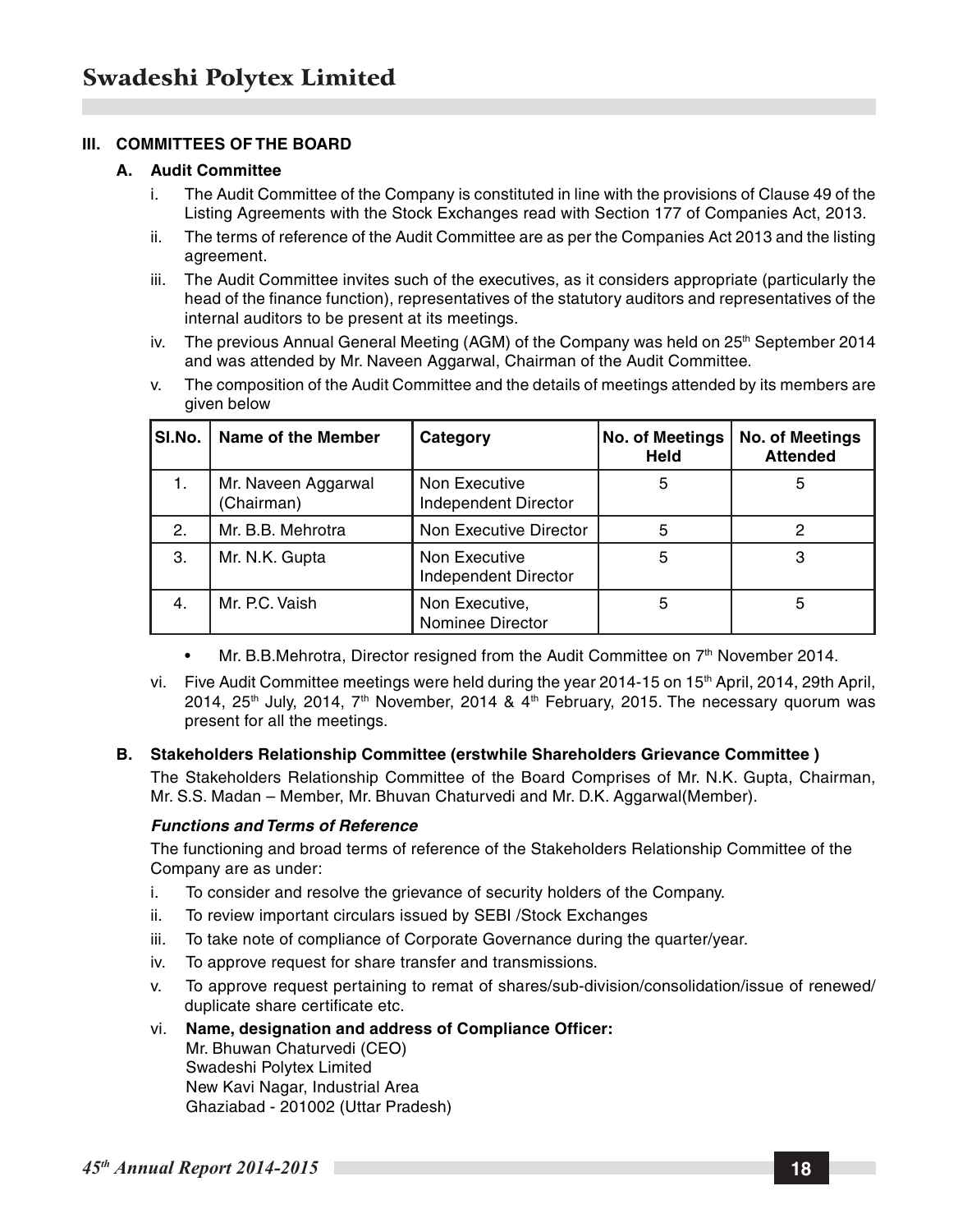#### **III. COMMITTEES OF THE BOARD**

#### **A. Audit Committee**

- i. The Audit Committee of the Company is constituted in line with the provisions of Clause 49 of the Listing Agreements with the Stock Exchanges read with Section 177 of Companies Act, 2013.
- ii. The terms of reference of the Audit Committee are as per the Companies Act 2013 and the listing agreement.
- iii. The Audit Committee invites such of the executives, as it considers appropriate (particularly the head of the finance function), representatives of the statutory auditors and representatives of the internal auditors to be present at its meetings.
- iv. The previous Annual General Meeting (AGM) of the Company was held on 25<sup>th</sup> September 2014 and was attended by Mr. Naveen Aggarwal, Chairman of the Audit Committee.
- v. The composition of the Audit Committee and the details of meetings attended by its members are given below

| SI.No. | Name of the Member                | Category                              | No. of Meetings<br><b>Held</b> | <b>No. of Meetings</b><br><b>Attended</b> |
|--------|-----------------------------------|---------------------------------------|--------------------------------|-------------------------------------------|
| 1.     | Mr. Naveen Aggarwal<br>(Chairman) | Non Executive<br>Independent Director | 5                              | 5                                         |
| 2.     | Mr. B.B. Mehrotra                 | Non Executive Director                | 5                              | っ                                         |
| 3.     | Mr. N.K. Gupta                    | Non Executive<br>Independent Director | 5                              | 3                                         |
| 4.     | Mr. P.C. Vaish                    | Non Executive.<br>Nominee Director    | 5                              | 5                                         |

- Mr. B.B.Mehrotra, Director resigned from the Audit Committee on  $7<sup>th</sup>$  November 2014.
- vi. Five Audit Committee meetings were held during the year 2014-15 on 15<sup>th</sup> April, 2014, 29th April, 2014,  $25<sup>th</sup>$  July, 2014, 7<sup>th</sup> November, 2014 & 4<sup>th</sup> February, 2015. The necessary quorum was present for all the meetings.
- **B. Stakeholders Relationship Committee (erstwhile Shareholders Grievance Committee )** The Stakeholders Relationship Committee of the Board Comprises of Mr. N.K. Gupta, Chairman, Mr. S.S. Madan – Member, Mr. Bhuvan Chaturvedi and Mr. D.K. Aggarwal(Member).

#### **Functions and Terms of Reference**

The functioning and broad terms of reference of the Stakeholders Relationship Committee of the Company are as under:

- i. To consider and resolve the grievance of security holders of the Company.
- ii. To review important circulars issued by SEBI /Stock Exchanges
- iii. To take note of compliance of Corporate Governance during the quarter/year.
- iv. To approve request for share transfer and transmissions.
- v. To approve request pertaining to remat of shares/sub-division/consolidation/issue of renewed/ duplicate share certificate etc.
- vi. **Name, designation and address of Compliance Officer:**

Mr. Bhuwan Chaturvedi (CEO) Swadeshi Polytex Limited New Kavi Nagar, Industrial Area Ghaziabad - 201002 (Uttar Pradesh)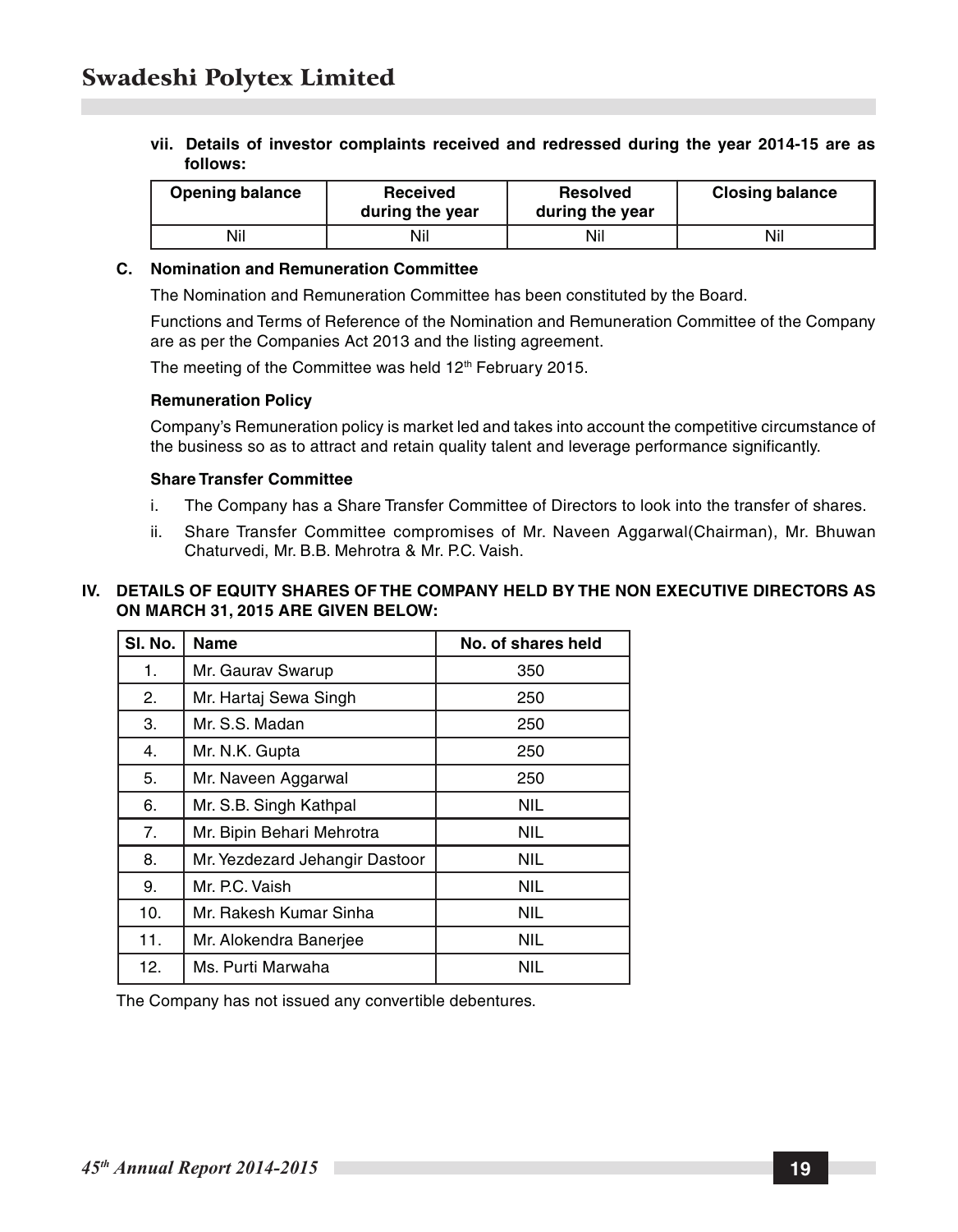**vii. Details of investor complaints received and redressed during the year 2014-15 are as follows:**

| <b>Opening balance</b> | <b>Received</b><br>during the year | <b>Resolved</b><br>during the year | <b>Closing balance</b> |
|------------------------|------------------------------------|------------------------------------|------------------------|
| Nil                    | Nil                                | Nil                                | Nil                    |

#### **C. Nomination and Remuneration Committee**

The Nomination and Remuneration Committee has been constituted by the Board.

Functions and Terms of Reference of the Nomination and Remuneration Committee of the Company are as per the Companies Act 2013 and the listing agreement.

The meeting of the Committee was held 12<sup>th</sup> February 2015.

#### **Remuneration Policy**

Company's Remuneration policy is market led and takes into account the competitive circumstance of the business so as to attract and retain quality talent and leverage performance significantly.

#### **Share Transfer Committee**

- i. The Company has a Share Transfer Committee of Directors to look into the transfer of shares.
- ii. Share Transfer Committee compromises of Mr. Naveen Aggarwal(Chairman), Mr. Bhuwan Chaturvedi, Mr. B.B. Mehrotra & Mr. P.C. Vaish.

#### **IV. DETAILS OF EQUITY SHARES OF THE COMPANY HELD BY THE NON EXECUTIVE DIRECTORS AS ON MARCH 31, 2015 ARE GIVEN BELOW:**

| SI. No. | Name                           | No. of shares held |
|---------|--------------------------------|--------------------|
| 1.      | Mr. Gaurav Swarup              | 350                |
| 2.      | Mr. Hartaj Sewa Singh          | 250                |
| 3.      | Mr. S.S. Madan                 | 250                |
| 4.      | Mr. N.K. Gupta                 | 250                |
| 5.      | Mr. Naveen Aggarwal            | 250                |
| 6.      | Mr. S.B. Singh Kathpal         | <b>NIL</b>         |
| 7.      | Mr. Bipin Behari Mehrotra      | <b>NIL</b>         |
| 8.      | Mr. Yezdezard Jehangir Dastoor | <b>NIL</b>         |
| 9.      | Mr. P.C. Vaish                 | <b>NIL</b>         |
| 10.     | Mr. Rakesh Kumar Sinha         | <b>NIL</b>         |
| 11.     | Mr. Alokendra Banerjee         | NIL                |
| 12.     | Ms. Purti Marwaha              | NIL                |

The Company has not issued any convertible debentures.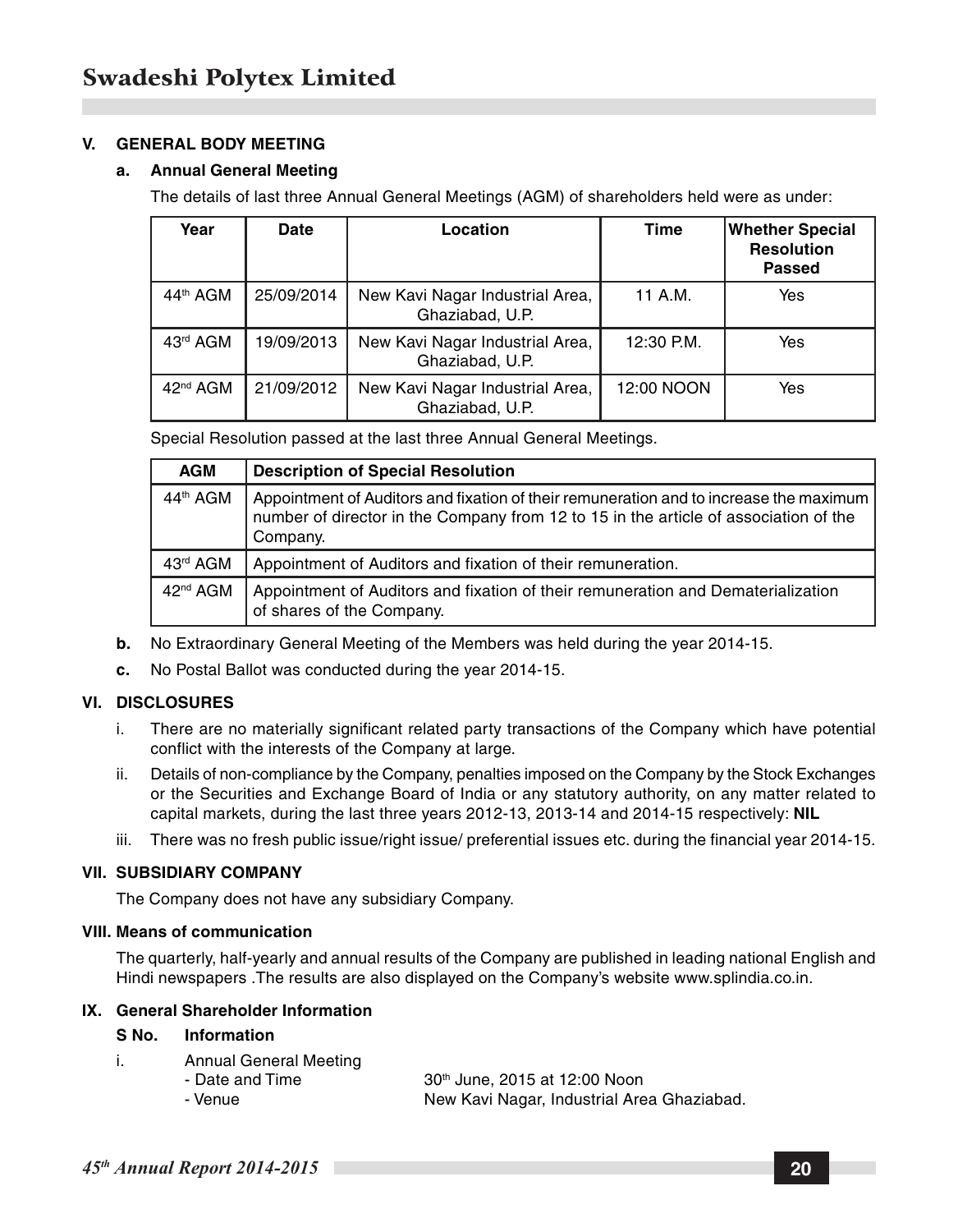#### **V. GENERAL BODY MEETING**

#### **a. Annual General Meeting**

The details of last three Annual General Meetings (AGM) of shareholders held were as under:

| Year                 | Date       | Location                                           | <b>Time</b> | <b>Whether Special</b><br><b>Resolution</b><br><b>Passed</b> |
|----------------------|------------|----------------------------------------------------|-------------|--------------------------------------------------------------|
| 44 <sup>th</sup> AGM | 25/09/2014 | New Kavi Nagar Industrial Area,<br>Ghaziabad, U.P. | 11 A.M.     | Yes                                                          |
| 43rd AGM             | 19/09/2013 | New Kavi Nagar Industrial Area,<br>Ghaziabad, U.P. | 12:30 P.M.  | Yes                                                          |
| 42 <sup>nd</sup> AGM | 21/09/2012 | New Kavi Nagar Industrial Area,<br>Ghaziabad, U.P. | 12:00 NOON  | Yes                                                          |

Special Resolution passed at the last three Annual General Meetings.

| <b>AGM</b>           | <b>Description of Special Resolution</b>                                                                                                                                                   |
|----------------------|--------------------------------------------------------------------------------------------------------------------------------------------------------------------------------------------|
| 44th AGM             | Appointment of Auditors and fixation of their remuneration and to increase the maximum<br>number of director in the Company from 12 to 15 in the article of association of the<br>Company. |
| 43rd AGM             | Appointment of Auditors and fixation of their remuneration.                                                                                                                                |
| 42 <sup>nd</sup> AGM | Appointment of Auditors and fixation of their remuneration and Dematerialization<br>of shares of the Company.                                                                              |

- **b.** No Extraordinary General Meeting of the Members was held during the year 2014-15.
- **c.** No Postal Ballot was conducted during the year 2014-15.

#### **VI. DISCLOSURES**

- i. There are no materially significant related party transactions of the Company which have potential conflict with the interests of the Company at large.
- ii. Details of non-compliance by the Company, penalties imposed on the Company by the Stock Exchanges or the Securities and Exchange Board of India or any statutory authority, on any matter related to capital markets, during the last three years 2012-13, 2013-14 and 2014-15 respectively: **NIL**
- iii. There was no fresh public issue/right issue/ preferential issues etc. during the financial year 2014-15.

#### **VII. SUBSIDIARY COMPANY**

The Company does not have any subsidiary Company.

#### **VIII. Means of communication**

The quarterly, half-yearly and annual results of the Company are published in leading national English and Hindi newspapers .The results are also displayed on the Company's website www.splindia.co.in.

#### **IX. General Shareholder Information**

#### **S No. Information**

- i. **Annual General Meeting**<br>Date and Time
	- $30<sup>th</sup>$  June, 2015 at 12:00 Noon - Venue **New Kavi Nagar, Industrial Area Ghaziabad.**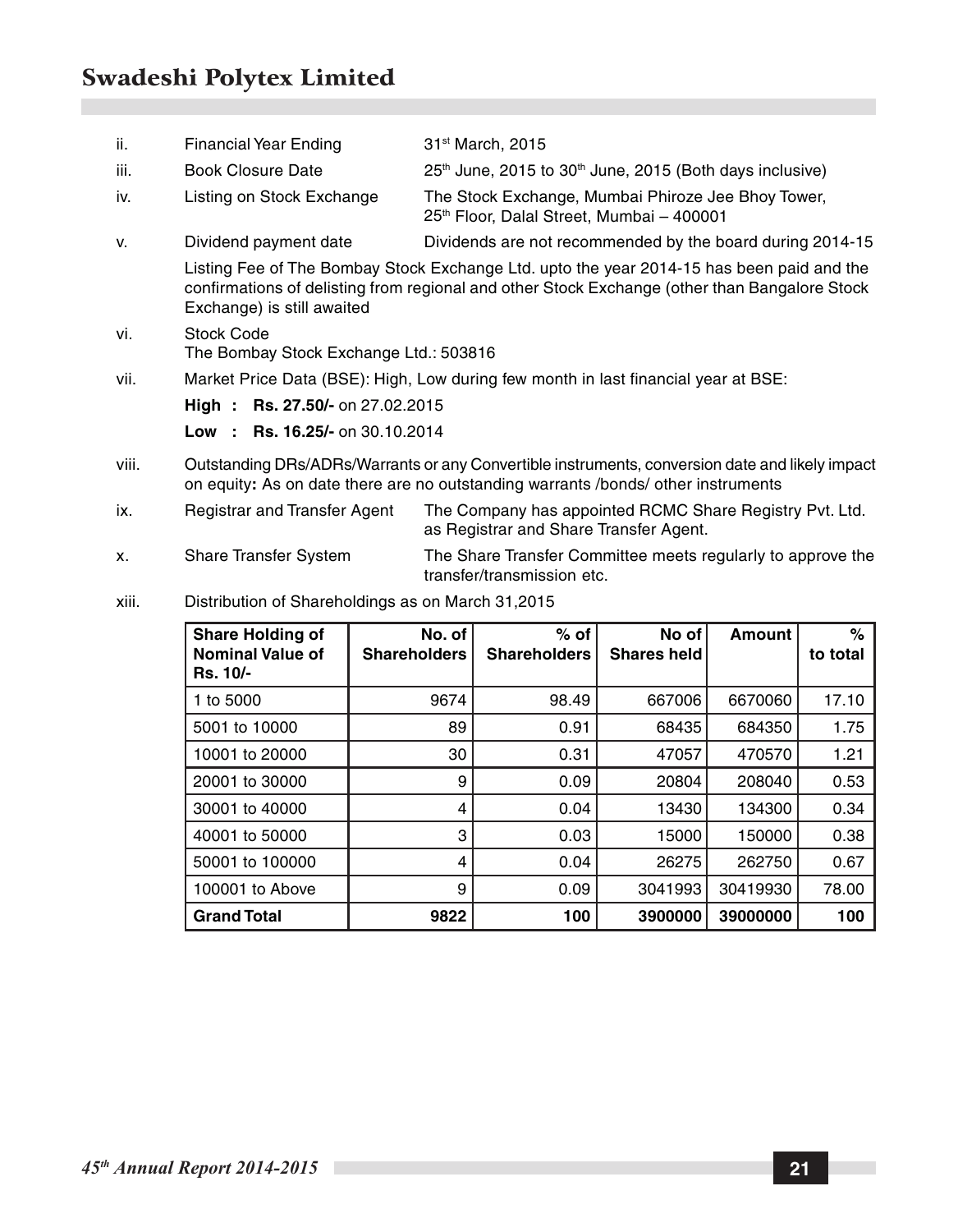| ii.  | <b>Financial Year Ending</b>                                                                                                                                                                                             | 31 <sup>st</sup> March, 2015                                                                    |  |
|------|--------------------------------------------------------------------------------------------------------------------------------------------------------------------------------------------------------------------------|-------------------------------------------------------------------------------------------------|--|
| iii. | Book Closure Date                                                                                                                                                                                                        | $25th$ June, 2015 to 30 <sup>th</sup> June, 2015 (Both days inclusive)                          |  |
| iv.  | Listing on Stock Exchange                                                                                                                                                                                                | The Stock Exchange, Mumbai Phiroze Jee Bhoy Tower,<br>25th Floor, Dalal Street, Mumbai - 400001 |  |
| v.   | Dividend payment date                                                                                                                                                                                                    | Dividends are not recommended by the board during 2014-15                                       |  |
|      | Listing Fee of The Bombay Stock Exchange Ltd. upto the year 2014-15 has been paid and the<br>confirmations of delisting from regional and other Stock Exchange (other than Bangalore Stock<br>Exchange) is still awaited |                                                                                                 |  |
| vi.  | Stock Code<br>The Bombay Stock Exchange Ltd.: 503816                                                                                                                                                                     |                                                                                                 |  |
| vii. | Market Price Data (BSE): High, Low during few month in last financial year at BSE:                                                                                                                                       |                                                                                                 |  |
|      | <b>Rs. 27.50/-</b> on 27.02.2015<br>Hiah : .                                                                                                                                                                             |                                                                                                 |  |
|      | <b>Rs. 16.25/- on 30.10.2014</b><br>Low :                                                                                                                                                                                |                                                                                                 |  |

- viii. Outstanding DRs/ADRs/Warrants or any Convertible instruments, conversion date and likely impact on equity**:** As on date there are no outstanding warrants /bonds/ other instruments
- ix. Registrar and Transfer Agent The Company has appointed RCMC Share Registry Pvt. Ltd. as Registrar and Share Transfer Agent.
- x. Share Transfer System The Share Transfer Committee meets regularly to approve the transfer/transmission etc.
- xiii. Distribution of Shareholdings as on March 31,2015

| <b>Share Holding of</b><br>Nominal Value of<br>Rs. 10/- | No. of<br><b>Shareholders</b> | $%$ of<br><b>Shareholders</b> | No of<br><b>Shares held</b> | Amount   | %<br>to total |
|---------------------------------------------------------|-------------------------------|-------------------------------|-----------------------------|----------|---------------|
| 1 to 5000                                               | 9674                          | 98.49                         | 667006                      | 6670060  | 17.10         |
| 5001 to 10000                                           | 89                            | 0.91                          | 68435                       | 684350   | 1.75          |
| 10001 to 20000                                          | 30                            | 0.31                          | 47057                       | 470570   | 1.21          |
| 20001 to 30000                                          | 9                             | 0.09                          | 20804                       | 208040   | 0.53          |
| 30001 to 40000                                          | 4                             | 0.04                          | 13430                       | 134300   | 0.34          |
| 40001 to 50000                                          | 3                             | 0.03                          | 15000                       | 150000   | 0.38          |
| 50001 to 100000                                         | 4                             | 0.04                          | 26275                       | 262750   | 0.67          |
| 100001 to Above                                         | 9                             | 0.09                          | 3041993                     | 30419930 | 78.00         |
| <b>Grand Total</b>                                      | 9822                          | 100                           | 3900000                     | 39000000 | 100           |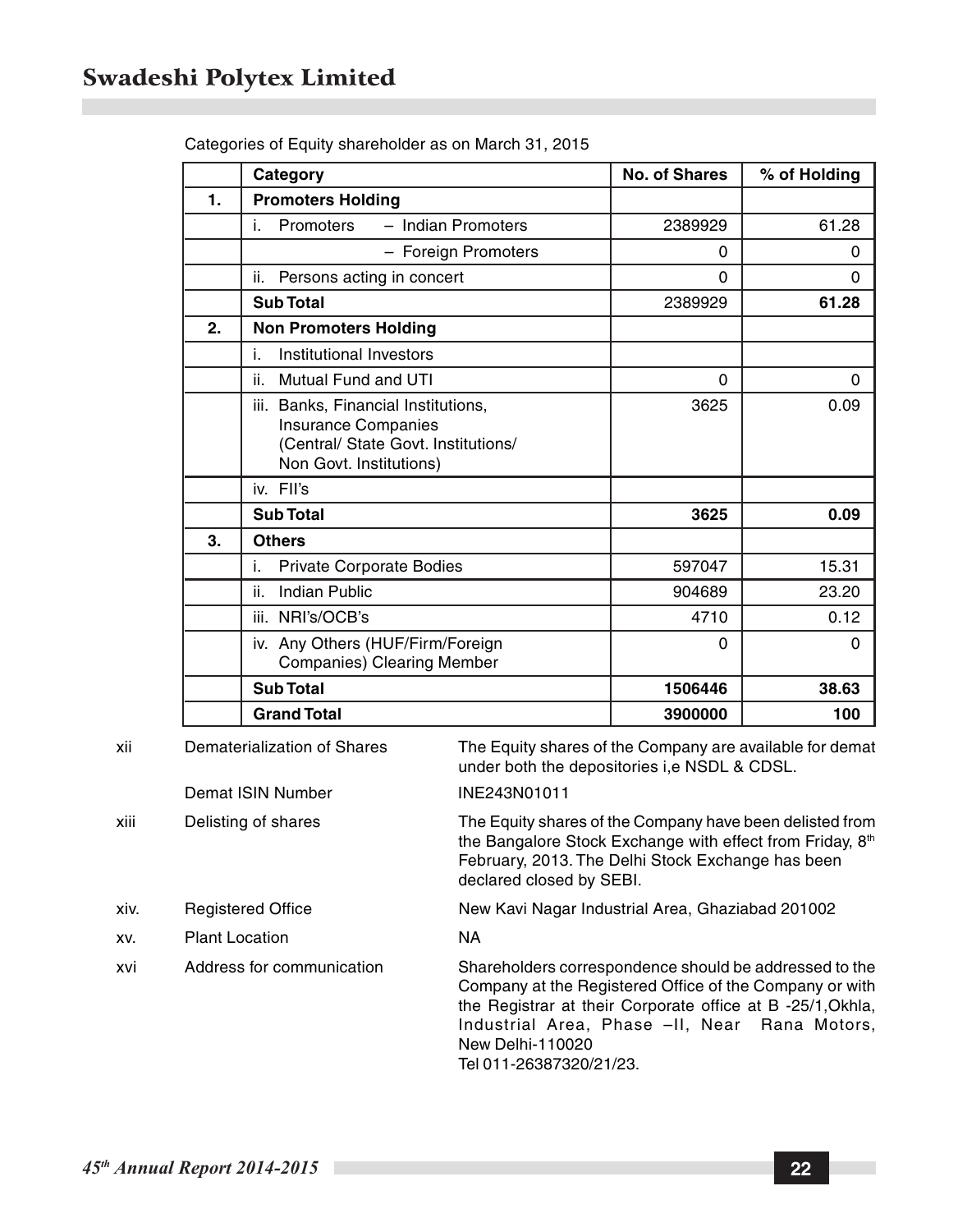|    | Category                                                                                                                            | <b>No. of Shares</b>                                                                                     | % of Holding |
|----|-------------------------------------------------------------------------------------------------------------------------------------|----------------------------------------------------------------------------------------------------------|--------------|
| 1. | <b>Promoters Holding</b>                                                                                                            |                                                                                                          |              |
|    | Promoters<br>- Indian Promoters<br>i.                                                                                               | 2389929                                                                                                  | 61.28        |
|    | - Foreign Promoters                                                                                                                 | $\Omega$                                                                                                 | 0            |
|    | Persons acting in concert<br>ii.                                                                                                    | $\Omega$                                                                                                 | 0            |
|    | <b>Sub Total</b>                                                                                                                    | 2389929                                                                                                  | 61.28        |
| 2. | <b>Non Promoters Holding</b>                                                                                                        |                                                                                                          |              |
|    | Institutional Investors<br>i.                                                                                                       |                                                                                                          |              |
|    | Mutual Fund and UTI<br>ii.                                                                                                          | 0                                                                                                        | 0            |
|    | iii. Banks, Financial Institutions,<br><b>Insurance Companies</b><br>(Central/ State Govt. Institutions/<br>Non Govt. Institutions) | 3625                                                                                                     | 0.09         |
|    | iv. FII's                                                                                                                           |                                                                                                          |              |
|    | <b>Sub Total</b>                                                                                                                    | 3625                                                                                                     | 0.09         |
| 3. | <b>Others</b>                                                                                                                       |                                                                                                          |              |
|    | <b>Private Corporate Bodies</b><br>i.                                                                                               | 597047                                                                                                   | 15.31        |
|    | Indian Public<br>ii.                                                                                                                | 904689                                                                                                   | 23.20        |
|    | iii. NRI's/OCB's                                                                                                                    | 4710                                                                                                     | 0.12         |
|    | iv. Any Others (HUF/Firm/Foreign<br>Companies) Clearing Member                                                                      | $\Omega$                                                                                                 | 0            |
|    | <b>Sub Total</b>                                                                                                                    | 1506446                                                                                                  | 38.63        |
|    | <b>Grand Total</b>                                                                                                                  | 3900000                                                                                                  | 100          |
|    | Dematerialization of Shares<br>Demat ISIN Number<br>INF243N01011                                                                    | The Equity shares of the Company are available for demat<br>under both the depositories i,e NSDL & CDSL. |              |

Categories of Equity shareholder as on March 31, 2015

| xii  | Dematerialization of Shares | The Equity shares of the Company are available for demat<br>under both the depositories i.e NSDL & CDSL.                                                                                                                                             |
|------|-----------------------------|------------------------------------------------------------------------------------------------------------------------------------------------------------------------------------------------------------------------------------------------------|
|      | Demat ISIN Number           | INE243N01011                                                                                                                                                                                                                                         |
| xiii | Delisting of shares         | The Equity shares of the Company have been delisted from<br>the Bangalore Stock Exchange with effect from Friday, 8th<br>February, 2013. The Delhi Stock Exchange has been<br>declared closed by SEBI.                                               |
| xiv. | <b>Registered Office</b>    | New Kavi Nagar Industrial Area, Ghaziabad 201002                                                                                                                                                                                                     |
| XV.  | <b>Plant Location</b>       | <b>NA</b>                                                                                                                                                                                                                                            |
| xvi  | Address for communication   | Shareholders correspondence should be addressed to the<br>Company at the Registered Office of the Company or with<br>the Registrar at their Corporate office at B -25/1, Okhla,<br>Industrial Area, Phase -II, Near Rana Motors,<br>New Delhi-110020 |

Tel 011-26387320/21/23.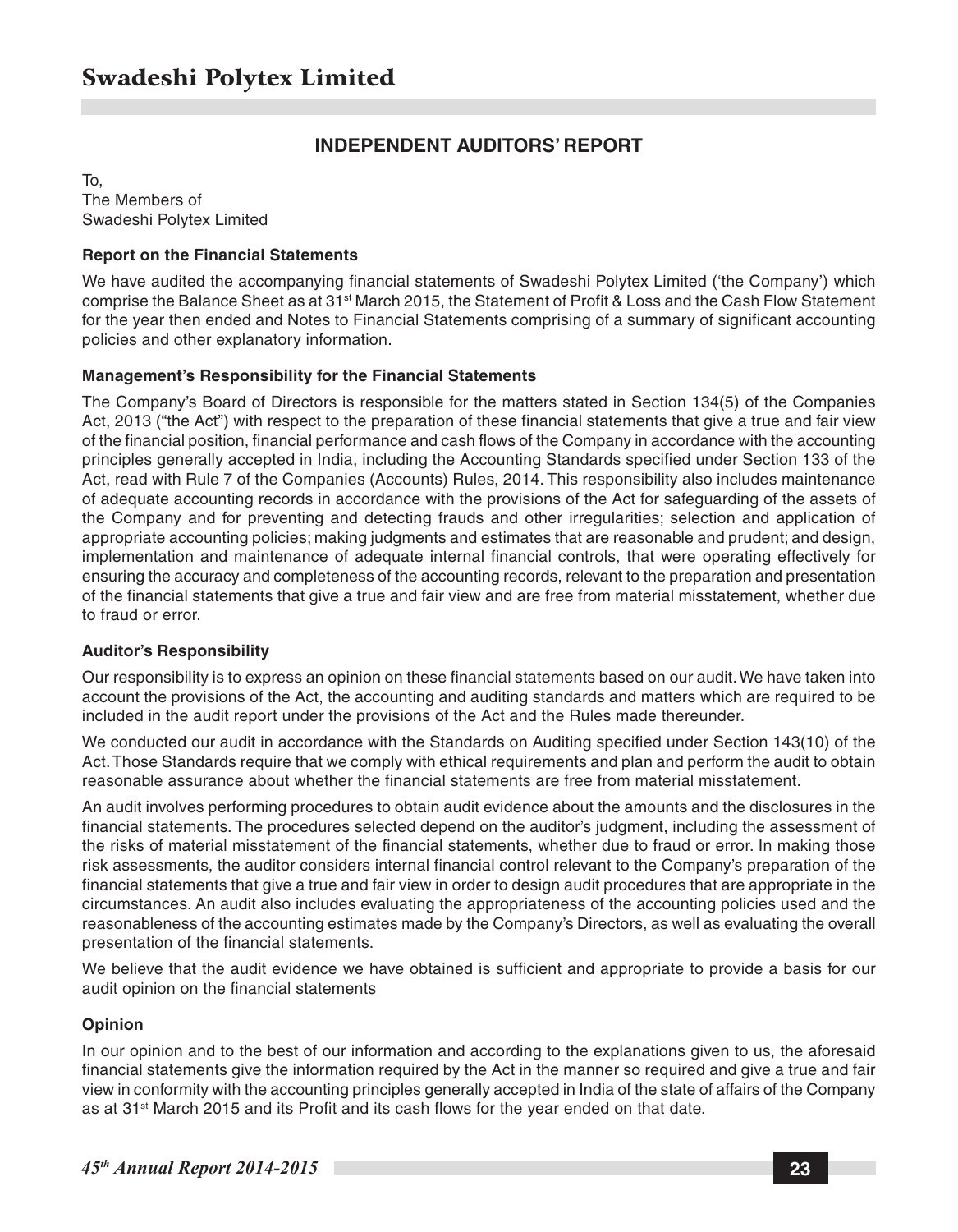### **INDEPENDENT AUDITORS' REPORT**

To, The Members of Swadeshi Polytex Limited

#### **Report on the Financial Statements**

We have audited the accompanying financial statements of Swadeshi Polytex Limited ('the Company') which comprise the Balance Sheet as at 31<sup>st</sup> March 2015, the Statement of Profit & Loss and the Cash Flow Statement for the year then ended and Notes to Financial Statements comprising of a summary of significant accounting policies and other explanatory information.

#### **Management's Responsibility for the Financial Statements**

The Company's Board of Directors is responsible for the matters stated in Section 134(5) of the Companies Act, 2013 ("the Act") with respect to the preparation of these financial statements that give a true and fair view of the financial position, financial performance and cash flows of the Company in accordance with the accounting principles generally accepted in India, including the Accounting Standards specified under Section 133 of the Act, read with Rule 7 of the Companies (Accounts) Rules, 2014. This responsibility also includes maintenance of adequate accounting records in accordance with the provisions of the Act for safeguarding of the assets of the Company and for preventing and detecting frauds and other irregularities; selection and application of appropriate accounting policies; making judgments and estimates that are reasonable and prudent; and design, implementation and maintenance of adequate internal financial controls, that were operating effectively for ensuring the accuracy and completeness of the accounting records, relevant to the preparation and presentation of the financial statements that give a true and fair view and are free from material misstatement, whether due to fraud or error.

#### **Auditor's Responsibility**

Our responsibility is to express an opinion on these financial statements based on our audit. We have taken into account the provisions of the Act, the accounting and auditing standards and matters which are required to be included in the audit report under the provisions of the Act and the Rules made thereunder.

We conducted our audit in accordance with the Standards on Auditing specified under Section 143(10) of the Act. Those Standards require that we comply with ethical requirements and plan and perform the audit to obtain reasonable assurance about whether the financial statements are free from material misstatement.

An audit involves performing procedures to obtain audit evidence about the amounts and the disclosures in the financial statements. The procedures selected depend on the auditor's judgment, including the assessment of the risks of material misstatement of the financial statements, whether due to fraud or error. In making those risk assessments, the auditor considers internal financial control relevant to the Company's preparation of the financial statements that give a true and fair view in order to design audit procedures that are appropriate in the circumstances. An audit also includes evaluating the appropriateness of the accounting policies used and the reasonableness of the accounting estimates made by the Company's Directors, as well as evaluating the overall presentation of the financial statements.

We believe that the audit evidence we have obtained is sufficient and appropriate to provide a basis for our audit opinion on the financial statements

#### **Opinion**

In our opinion and to the best of our information and according to the explanations given to us, the aforesaid financial statements give the information required by the Act in the manner so required and give a true and fair view in conformity with the accounting principles generally accepted in India of the state of affairs of the Company as at  $31<sup>st</sup>$  March 2015 and its Profit and its cash flows for the year ended on that date.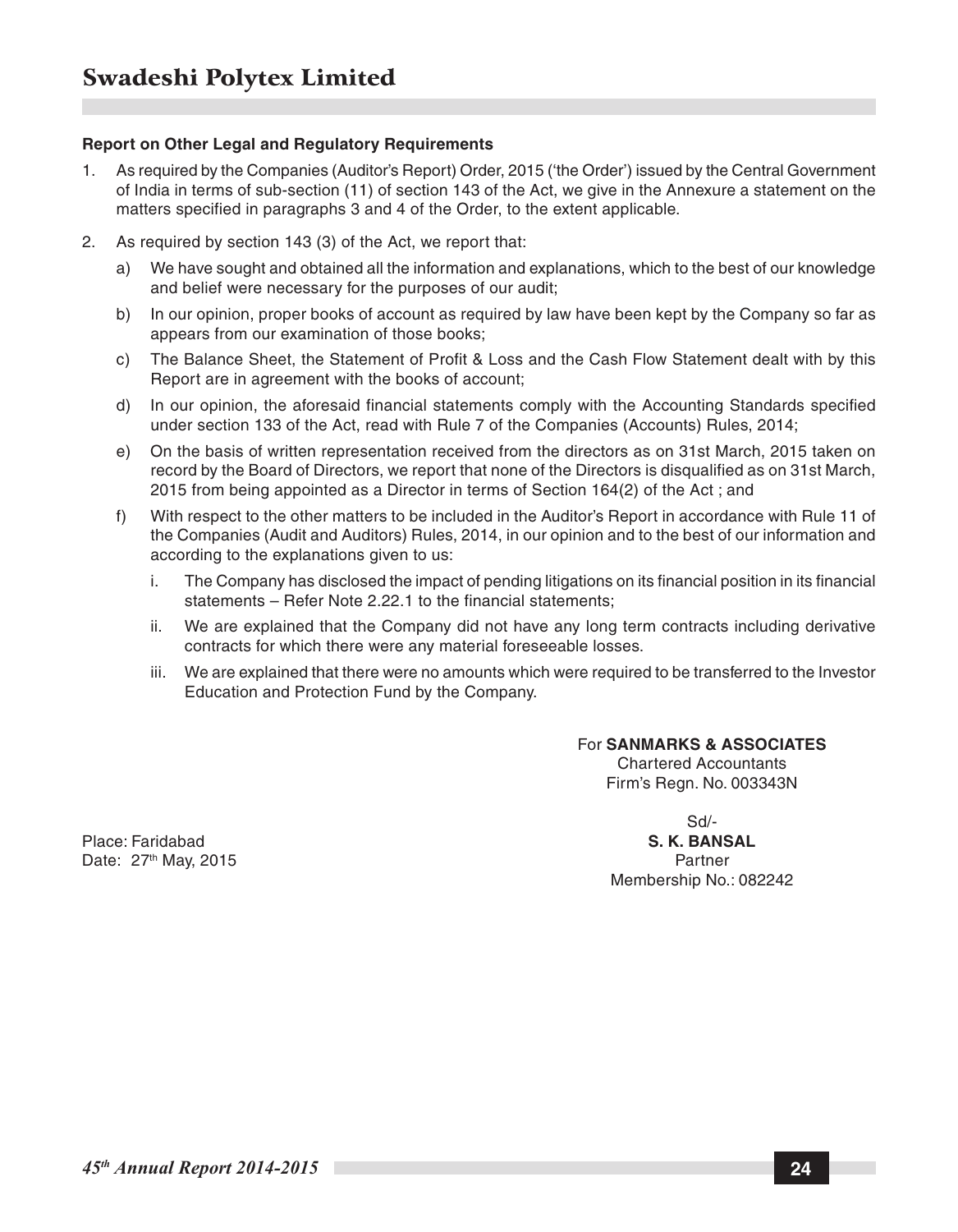#### **Report on Other Legal and Regulatory Requirements**

- 1. As required by the Companies (Auditor's Report) Order, 2015 ('the Order') issued by the Central Government of India in terms of sub-section (11) of section 143 of the Act, we give in the Annexure a statement on the matters specified in paragraphs 3 and 4 of the Order, to the extent applicable.
- 2. As required by section 143 (3) of the Act, we report that:
	- a) We have sought and obtained all the information and explanations, which to the best of our knowledge and belief were necessary for the purposes of our audit;
	- b) In our opinion, proper books of account as required by law have been kept by the Company so far as appears from our examination of those books;
	- c) The Balance Sheet, the Statement of Profit & Loss and the Cash Flow Statement dealt with by this Report are in agreement with the books of account;
	- d) In our opinion, the aforesaid financial statements comply with the Accounting Standards specified under section 133 of the Act, read with Rule 7 of the Companies (Accounts) Rules, 2014;
	- e) On the basis of written representation received from the directors as on 31st March, 2015 taken on record by the Board of Directors, we report that none of the Directors is disqualified as on 31st March, 2015 from being appointed as a Director in terms of Section 164(2) of the Act ; and
	- f) With respect to the other matters to be included in the Auditor's Report in accordance with Rule 11 of the Companies (Audit and Auditors) Rules, 2014, in our opinion and to the best of our information and according to the explanations given to us:
		- i. The Company has disclosed the impact of pending litigations on its financial position in its financial statements – Refer Note 2.22.1 to the financial statements;
		- ii. We are explained that the Company did not have any long term contracts including derivative contracts for which there were any material foreseeable losses.
		- iii. We are explained that there were no amounts which were required to be transferred to the Investor Education and Protection Fund by the Company.

#### For **SANMARKS & ASSOCIATES**

Chartered Accountants Firm's Regn. No. 003343N

Sd/-

Membership No.: 082242

Place: Faridabad **S. K. BANSAL** Date: 27<sup>th</sup> May, 2015 **Partner** Partner **Partner** Partner **Partner**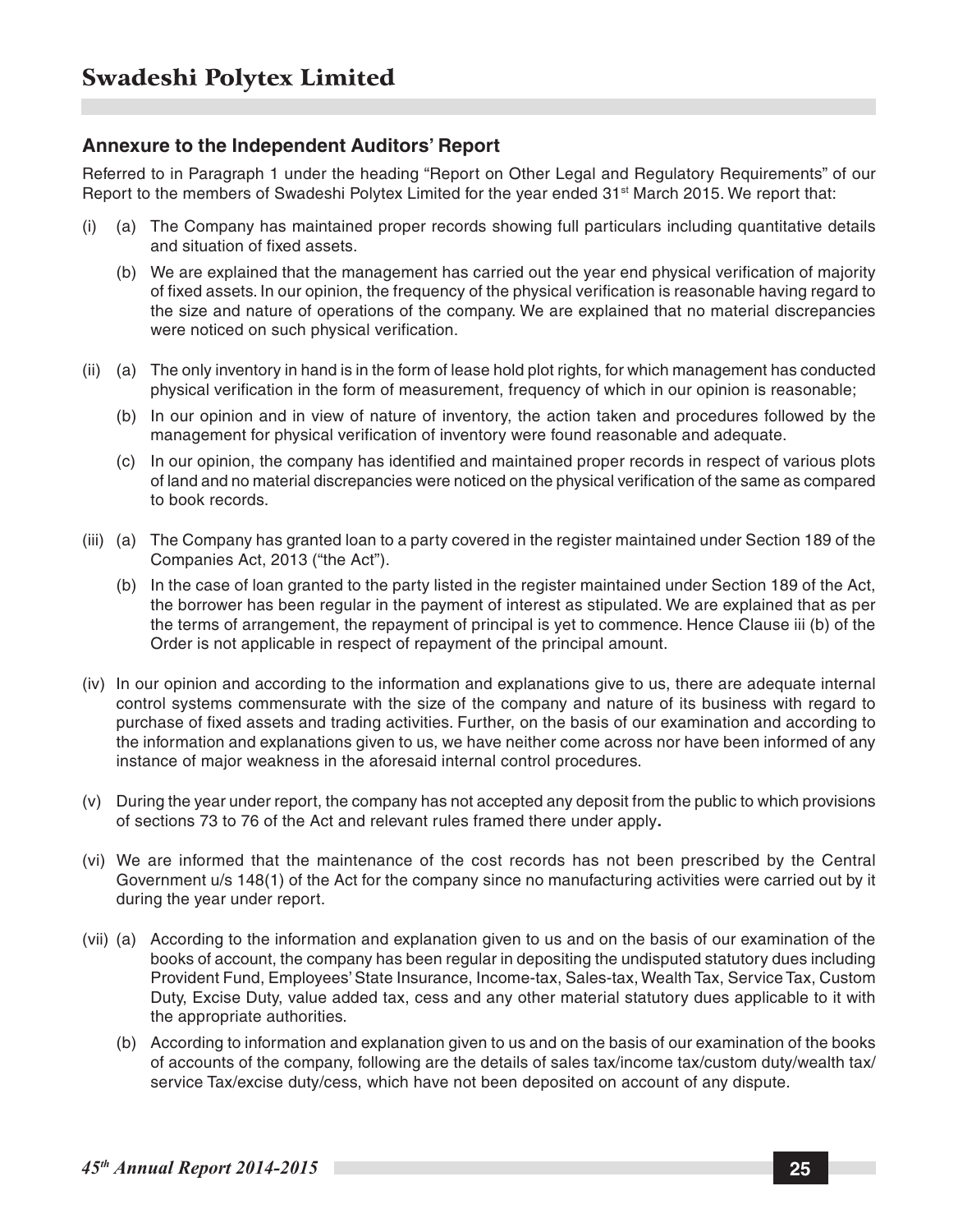#### **Annexure to the Independent Auditors' Report**

Referred to in Paragraph 1 under the heading "Report on Other Legal and Regulatory Requirements" of our Report to the members of Swadeshi Polytex Limited for the year ended 31<sup>st</sup> March 2015. We report that:

- (i) (a) The Company has maintained proper records showing full particulars including quantitative details and situation of fixed assets.
	- (b) We are explained that the management has carried out the year end physical verification of majority of fixed assets. In our opinion, the frequency of the physical verification is reasonable having regard to the size and nature of operations of the company. We are explained that no material discrepancies were noticed on such physical verification.
- (ii) (a) The only inventory in hand is in the form of lease hold plot rights, for which management has conducted physical verification in the form of measurement, frequency of which in our opinion is reasonable;
	- (b) In our opinion and in view of nature of inventory, the action taken and procedures followed by the management for physical verification of inventory were found reasonable and adequate.
	- (c) In our opinion, the company has identified and maintained proper records in respect of various plots of land and no material discrepancies were noticed on the physical verification of the same as compared to book records.
- (iii) (a) The Company has granted loan to a party covered in the register maintained under Section 189 of the Companies Act, 2013 ("the Act").
	- (b) In the case of loan granted to the party listed in the register maintained under Section 189 of the Act, the borrower has been regular in the payment of interest as stipulated. We are explained that as per the terms of arrangement, the repayment of principal is yet to commence. Hence Clause iii (b) of the Order is not applicable in respect of repayment of the principal amount.
- (iv) In our opinion and according to the information and explanations give to us, there are adequate internal control systems commensurate with the size of the company and nature of its business with regard to purchase of fixed assets and trading activities. Further, on the basis of our examination and according to the information and explanations given to us, we have neither come across nor have been informed of any instance of major weakness in the aforesaid internal control procedures.
- (v) During the year under report, the company has not accepted any deposit from the public to which provisions of sections 73 to 76 of the Act and relevant rules framed there under apply**.**
- (vi) We are informed that the maintenance of the cost records has not been prescribed by the Central Government u/s 148(1) of the Act for the company since no manufacturing activities were carried out by it during the year under report.
- (vii) (a) According to the information and explanation given to us and on the basis of our examination of the books of account, the company has been regular in depositing the undisputed statutory dues including Provident Fund, Employees' State Insurance, Income-tax, Sales-tax, Wealth Tax, Service Tax, Custom Duty, Excise Duty, value added tax, cess and any other material statutory dues applicable to it with the appropriate authorities.
	- (b) According to information and explanation given to us and on the basis of our examination of the books of accounts of the company, following are the details of sales tax/income tax/custom duty/wealth tax/ service Tax/excise duty/cess, which have not been deposited on account of any dispute.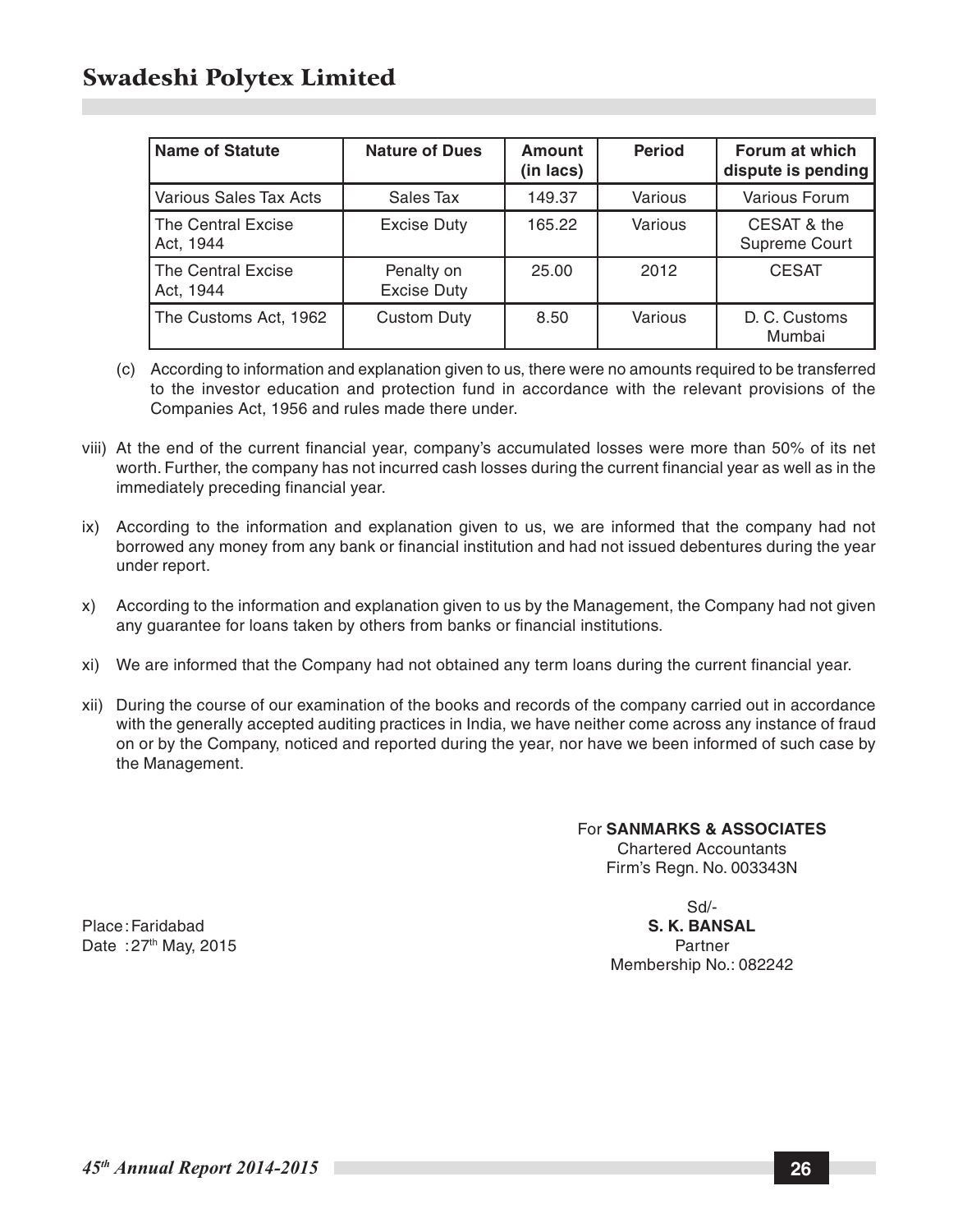| <b>Name of Statute</b>          | <b>Nature of Dues</b>            | Amount<br>(in lacs) | <b>Period</b> | Forum at which<br>dispute is pending |
|---------------------------------|----------------------------------|---------------------|---------------|--------------------------------------|
| Various Sales Tax Acts          | Sales Tax                        | 149.37              | Various       | Various Forum                        |
| The Central Excise<br>Act. 1944 | <b>Excise Duty</b>               | 165.22              | Various       | CESAT & the<br>Supreme Court         |
| The Central Excise<br>Act, 1944 | Penalty on<br><b>Excise Duty</b> | 25.00               | 2012          | <b>CESAT</b>                         |
| The Customs Act, 1962           | Custom Duty                      | 8.50                | Various       | D. C. Customs<br>Mumbai              |

- (c) According to information and explanation given to us, there were no amounts required to be transferred to the investor education and protection fund in accordance with the relevant provisions of the Companies Act, 1956 and rules made there under.
- viii) At the end of the current financial year, company's accumulated losses were more than 50% of its net worth. Further, the company has not incurred cash losses during the current financial year as well as in the immediately preceding financial year.
- ix) According to the information and explanation given to us, we are informed that the company had not borrowed any money from any bank or financial institution and had not issued debentures during the year under report.
- x) According to the information and explanation given to us by the Management, the Company had not given any guarantee for loans taken by others from banks or financial institutions.
- xi) We are informed that the Company had not obtained any term loans during the current financial year.
- xii) During the course of our examination of the books and records of the company carried out in accordance with the generally accepted auditing practices in India, we have neither come across any instance of fraud on or by the Company, noticed and reported during the year, nor have we been informed of such case by the Management.

For **SANMARKS & ASSOCIATES** Chartered Accountants Firm's Regn. No. 003343N

Place:Faridabad **S. K. BANSAL** Date :27<sup>th</sup> May, 2015 **Partner** Partner **Partner** 

Sd/- Membership No.: 082242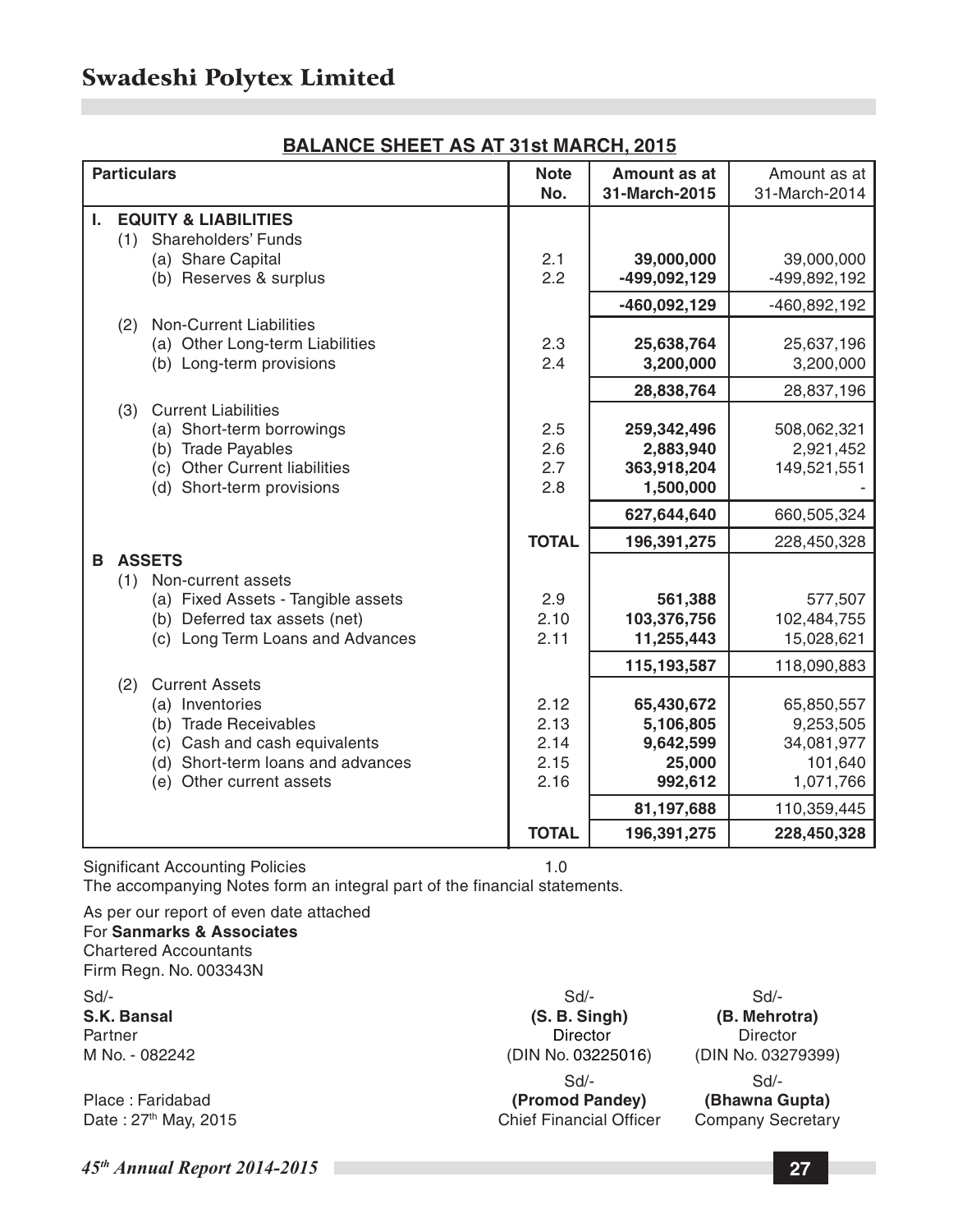#### **BALANCE SHEET AS AT 31st MARCH, 2015**

|    | <b>Particulars</b>                                                  | <b>Note</b>  | Amount as at              | Amount as at              |
|----|---------------------------------------------------------------------|--------------|---------------------------|---------------------------|
|    |                                                                     | No.          | 31-March-2015             | 31-March-2014             |
| ı. | <b>EQUITY &amp; LIABILITIES</b>                                     |              |                           |                           |
|    | Shareholders' Funds<br>(1)                                          |              |                           |                           |
|    | (a) Share Capital                                                   | 2.1          | 39,000,000                | 39,000,000                |
|    | (b) Reserves & surplus                                              | 2.2          | -499,092,129              | -499,892,192              |
|    |                                                                     |              | -460,092,129              | -460,892,192              |
|    | Non-Current Liabilities<br>(2)                                      |              |                           |                           |
|    | (a) Other Long-term Liabilities                                     | 2.3          | 25,638,764                | 25,637,196                |
|    | (b) Long-term provisions                                            | 2.4          | 3,200,000                 | 3,200,000                 |
|    |                                                                     |              | 28,838,764                | 28,837,196                |
|    | <b>Current Liabilities</b><br>(3)                                   |              |                           |                           |
|    | (a) Short-term borrowings                                           | 2.5          | 259,342,496               | 508,062,321               |
|    | (b) Trade Payables                                                  | 2.6<br>2.7   | 2,883,940                 | 2,921,452                 |
|    | (c) Other Current liabilities<br>(d) Short-term provisions          | 2.8          | 363,918,204<br>1,500,000  | 149,521,551               |
|    |                                                                     |              |                           |                           |
|    |                                                                     |              | 627,644,640               | 660,505,324               |
|    |                                                                     | <b>TOTAL</b> | 196,391,275               | 228,450,328               |
| в  | <b>ASSETS</b>                                                       |              |                           |                           |
|    | (1) Non-current assets                                              |              |                           |                           |
|    | (a) Fixed Assets - Tangible assets<br>(b) Deferred tax assets (net) | 2.9<br>2.10  | 561,388                   | 577,507                   |
|    | (c) Long Term Loans and Advances                                    | 2.11         | 103,376,756<br>11,255,443 | 102,484,755<br>15,028,621 |
|    |                                                                     |              |                           |                           |
|    |                                                                     |              | 115,193,587               | 118,090,883               |
|    | <b>Current Assets</b><br>(2)<br>(a) Inventories                     | 2.12         | 65,430,672                | 65,850,557                |
|    | (b) Trade Receivables                                               | 2.13         | 5,106,805                 | 9,253,505                 |
|    | (c) Cash and cash equivalents                                       | 2.14         | 9,642,599                 | 34,081,977                |
|    | (d) Short-term loans and advances                                   | 2.15         | 25,000                    | 101,640                   |
|    | (e) Other current assets                                            | 2.16         | 992,612                   | 1,071,766                 |
|    |                                                                     |              | 81,197,688                | 110,359,445               |
|    |                                                                     | <b>TOTAL</b> | 196,391,275               | 228,450,328               |

Significant Accounting Policies 1.0 The accompanying Notes form an integral part of the financial statements.

As per our report of even date attached For **Sanmarks & Associates** Chartered Accountants Firm Regn. No. 003343N

Date:  $27<sup>th</sup>$  May, 2015

Sd/- Sd/- Sd/- **S.K. Bansal (S. B. Singh) (B. Mehrotra)** Partner Director Director Director Director Director Director Director Director M No. - 082242 (DIN No. 03225016) (DIN No. 03279399) Sd/- Sd/- Place : Faridabad **(Promod Pandey) (Bhawna Gupta)**<br>
Date : 27<sup>th</sup> May, 2015 **(Promod Pandey)** (Chief Financial Officer Company Secretary

*45th Annual Report 2014-2015* **27**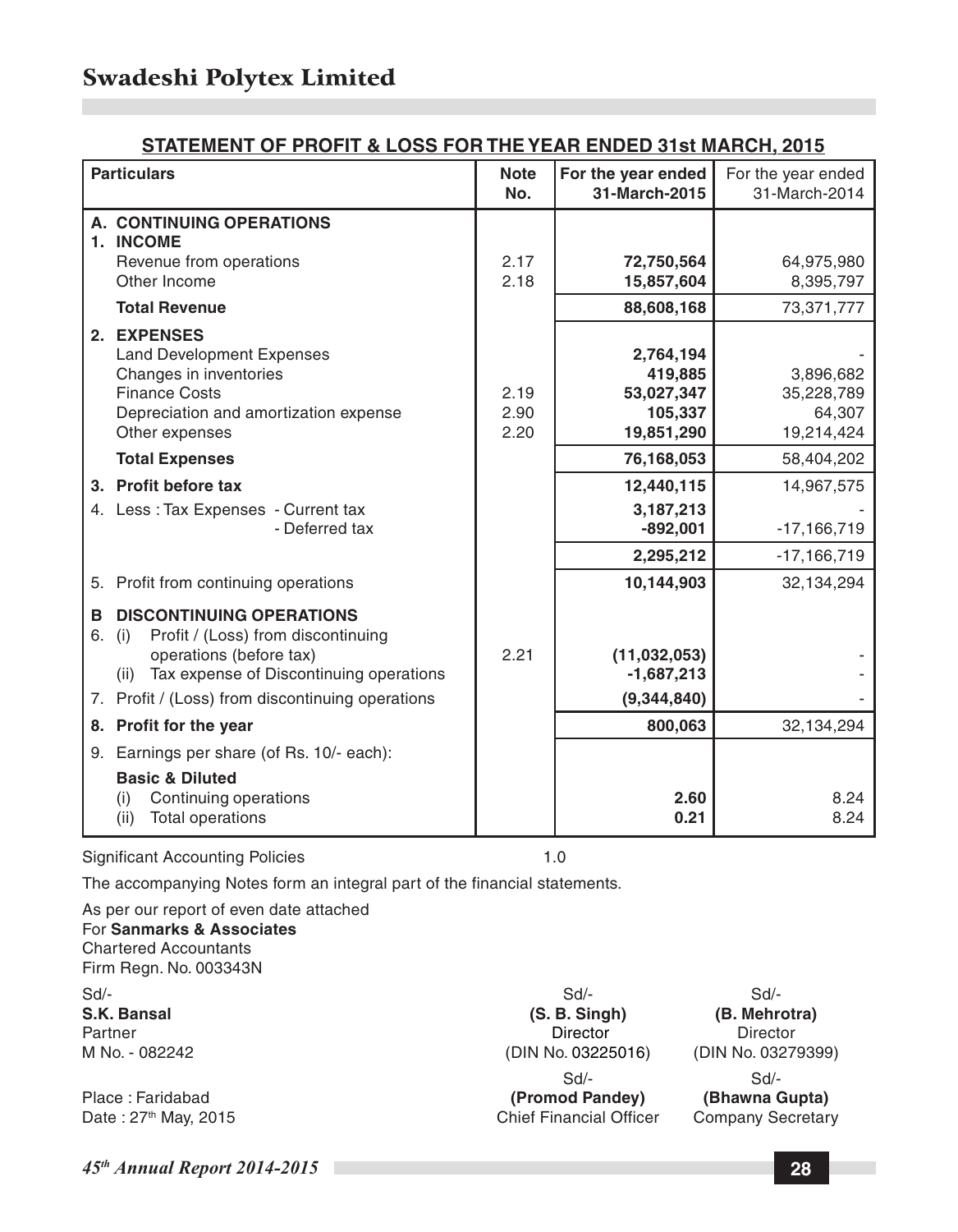| STATEMENT OF PROFIT & LOSS FOR THE YEAR ENDED 31st MARCH, 2015 |
|----------------------------------------------------------------|
|----------------------------------------------------------------|

|   | <b>Particulars</b>                                                                                                                                                                                                | <b>Note</b><br>No.   | For the year ended<br>31-March-2015                         | For the year ended<br>31-March-2014             |
|---|-------------------------------------------------------------------------------------------------------------------------------------------------------------------------------------------------------------------|----------------------|-------------------------------------------------------------|-------------------------------------------------|
|   | A. CONTINUING OPERATIONS<br>1. INCOME<br>Revenue from operations                                                                                                                                                  | 2.17                 | 72,750,564                                                  | 64,975,980                                      |
|   | Other Income                                                                                                                                                                                                      | 2.18                 | 15,857,604                                                  | 8,395,797                                       |
|   | <b>Total Revenue</b>                                                                                                                                                                                              |                      | 88,608,168                                                  | 73,371,777                                      |
|   | 2. EXPENSES<br><b>Land Development Expenses</b><br>Changes in inventories<br><b>Finance Costs</b><br>Depreciation and amortization expense<br>Other expenses                                                      | 2.19<br>2.90<br>2.20 | 2,764,194<br>419,885<br>53,027,347<br>105,337<br>19,851,290 | 3,896,682<br>35,228,789<br>64.307<br>19,214,424 |
|   | <b>Total Expenses</b>                                                                                                                                                                                             |                      | 76,168,053                                                  | 58,404,202                                      |
|   | 3. Profit before tax                                                                                                                                                                                              |                      | 12,440,115                                                  | 14,967,575                                      |
|   | 4. Less: Tax Expenses - Current tax<br>- Deferred tax                                                                                                                                                             |                      | 3,187,213<br>$-892,001$                                     | $-17,166,719$                                   |
|   |                                                                                                                                                                                                                   |                      | 2,295,212                                                   | $-17,166,719$                                   |
|   | 5. Profit from continuing operations                                                                                                                                                                              |                      | 10,144,903                                                  | 32,134,294                                      |
| в | <b>DISCONTINUING OPERATIONS</b><br>Profit / (Loss) from discontinuing<br>6. (i)<br>operations (before tax)<br>Tax expense of Discontinuing operations<br>(ii)<br>7. Profit / (Loss) from discontinuing operations | 2.21                 | (11,032,053)<br>$-1,687,213$<br>(9, 344, 840)               |                                                 |
|   | 8. Profit for the year                                                                                                                                                                                            |                      | 800,063                                                     | 32,134,294                                      |
|   | 9. Earnings per share (of Rs. 10/- each):                                                                                                                                                                         |                      |                                                             |                                                 |
|   | <b>Basic &amp; Diluted</b><br>Continuing operations<br>(i)<br>Total operations<br>(ii)                                                                                                                            |                      | 2.60<br>0.21                                                | 8.24<br>8.24                                    |

Significant Accounting Policies 1.0

The accompanying Notes form an integral part of the financial statements.

As per our report of even date attached For **Sanmarks & Associates** Chartered Accountants Firm Regn. No. 003343N Sd/- Sd/- Sd/- **S.K. Bansal (S. B. Singh) (B. Mehrotra)** Partner Director Director Director Director Director Director Director Director M No. - 082242 (DIN No. 03225016) (DIN No. 03279399)

Date : 27<sup>th</sup> May, 2015 **Chief Financial Officer** Company Secretary

Place : Faridabad **(Promod Pandey) (Promod Pandey)** 

Sd/-<br> **Sd/-** Sd/-<br> **Sd Pandey)** (Bhawna Gupta)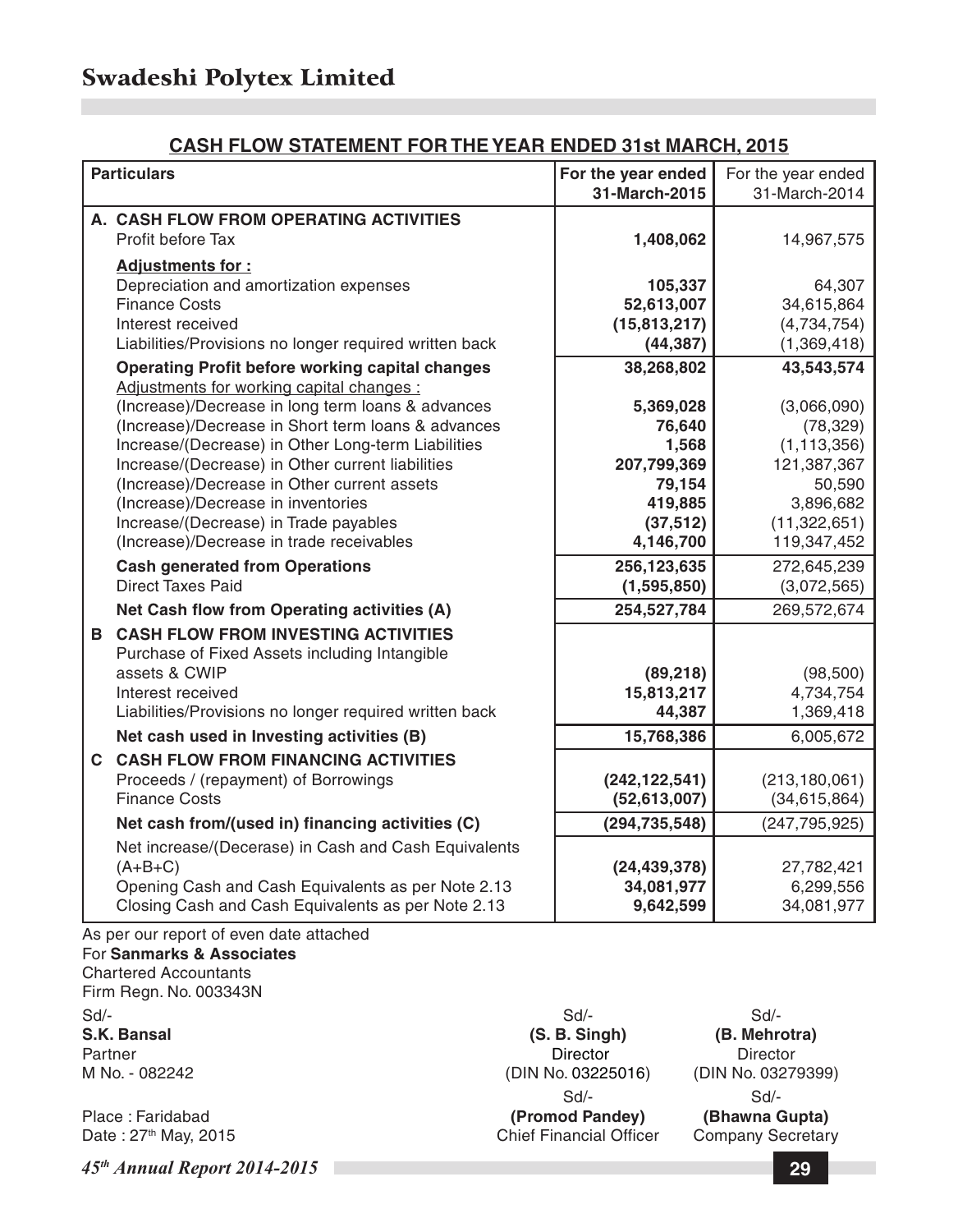#### **CASH FLOW STATEMENT FOR THE YEAR ENDED 31st MARCH, 2015**

|        | <b>Particulars</b>                                                                                                                                                                                                                                                  | For the year ended<br>31-March-2015                        | For the year ended<br>31-March-2014                               |
|--------|---------------------------------------------------------------------------------------------------------------------------------------------------------------------------------------------------------------------------------------------------------------------|------------------------------------------------------------|-------------------------------------------------------------------|
|        | A. CASH FLOW FROM OPERATING ACTIVITIES<br>Profit before Tax                                                                                                                                                                                                         | 1,408,062                                                  | 14,967,575                                                        |
|        | <b>Adjustments for:</b><br>Depreciation and amortization expenses<br><b>Finance Costs</b><br>Interest received<br>Liabilities/Provisions no longer required written back                                                                                            | 105,337<br>52,613,007<br>(15,813,217)<br>(44, 387)         | 64,307<br>34,615,864<br>(4,734,754)<br>(1,369,418)                |
|        | <b>Operating Profit before working capital changes</b><br>Adjustments for working capital changes:<br>(Increase)/Decrease in long term loans & advances<br>(Increase)/Decrease in Short term loans & advances<br>Increase/(Decrease) in Other Long-term Liabilities | 38,268,802<br>5,369,028<br>76,640<br>1,568                 | 43,543,574<br>(3,066,090)<br>(78, 329)<br>(1, 113, 356)           |
|        | Increase/(Decrease) in Other current liabilities<br>(Increase)/Decrease in Other current assets<br>(Increase)/Decrease in inventories<br>Increase/(Decrease) in Trade payables<br>(Increase)/Decrease in trade receivables                                          | 207,799,369<br>79,154<br>419,885<br>(37, 512)<br>4,146,700 | 121,387,367<br>50,590<br>3,896,682<br>(11,322,651)<br>119,347,452 |
|        | <b>Cash generated from Operations</b><br><b>Direct Taxes Paid</b>                                                                                                                                                                                                   | 256,123,635<br>(1,595,850)                                 | 272,645,239<br>(3,072,565)                                        |
|        | Net Cash flow from Operating activities (A)                                                                                                                                                                                                                         | 254,527,784                                                | 269,572,674                                                       |
|        | <b>B CASH FLOW FROM INVESTING ACTIVITIES</b><br>Purchase of Fixed Assets including Intangible<br>assets & CWIP<br>Interest received<br>Liabilities/Provisions no longer required written back                                                                       | (89, 218)<br>15,813,217<br>44,387                          | (98, 500)<br>4,734,754<br>1,369,418                               |
|        | Net cash used in Investing activities (B)                                                                                                                                                                                                                           | 15,768,386                                                 | 6,005,672                                                         |
|        | <b>C. CASH FLOW FROM FINANCING ACTIVITIES</b><br>Proceeds / (repayment) of Borrowings<br><b>Finance Costs</b>                                                                                                                                                       | (242, 122, 541)<br>(52, 613, 007)                          | (213, 180, 061)<br>(34, 615, 864)                                 |
|        | Net cash from/(used in) financing activities (C)                                                                                                                                                                                                                    | (294, 735, 548)                                            | (247, 795, 925)                                                   |
|        | Net increase/(Decerase) in Cash and Cash Equivalents<br>$(A+B+C)$<br>Opening Cash and Cash Equivalents as per Note 2.13<br>Closing Cash and Cash Equivalents as per Note 2.13                                                                                       | (24, 439, 378)<br>34,081,977<br>9,642,599                  | 27,782,421<br>6,299,556<br>34,081,977                             |
| $Sd$ - | As per our report of even date attached<br>For Sanmarks & Associates<br><b>Chartered Accountants</b><br>Firm Regn. No. 003343N                                                                                                                                      | Sd                                                         | Sd                                                                |

Date:  $27<sup>th</sup>$  May, 2015

*45th Annual Report 2014-2015* **29**

**S.K. Bansal (S. B. Singh) (B. Mehrotra)** Partner Director Director Director Director Director Director Director Director M No. - 082242 (DIN No. 03225016) (DIN No. 03279399) Place : Faridabad **(Promod Pandey) (Bhawna Gupta)**<br>Date : 27<sup>th</sup> May, 2015 **(Promod Pandey)** (Chief Financial Officer Company Secretary

Sd/-<br> **Sd/-** Sd/-<br> **Sd/Pandey)** (Bhawna Gupta)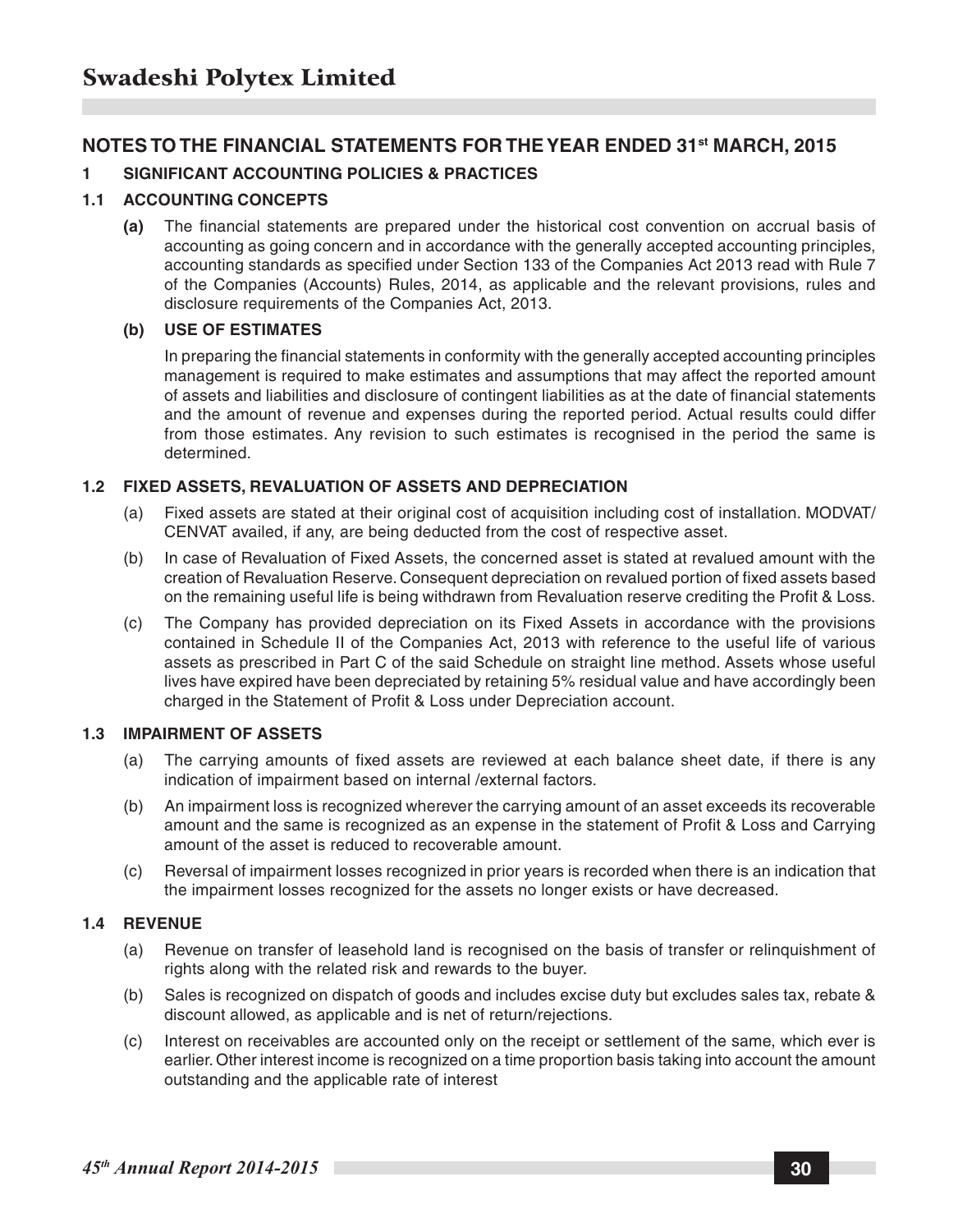#### **NOTES TO THE FINANCIAL STATEMENTS FOR THE YEAR ENDED 31st MARCH, 2015**

#### **1 SIGNIFICANT ACCOUNTING POLICIES & PRACTICES**

#### **1.1 ACCOUNTING CONCEPTS**

**(a)** The financial statements are prepared under the historical cost convention on accrual basis of accounting as going concern and in accordance with the generally accepted accounting principles, accounting standards as specified under Section 133 of the Companies Act 2013 read with Rule 7 of the Companies (Accounts) Rules, 2014, as applicable and the relevant provisions, rules and disclosure requirements of the Companies Act, 2013.

#### **(b) USE OF ESTIMATES**

In preparing the financial statements in conformity with the generally accepted accounting principles management is required to make estimates and assumptions that may affect the reported amount of assets and liabilities and disclosure of contingent liabilities as at the date of financial statements and the amount of revenue and expenses during the reported period. Actual results could differ from those estimates. Any revision to such estimates is recognised in the period the same is determined.

#### **1.2 FIXED ASSETS, REVALUATION OF ASSETS AND DEPRECIATION**

- (a) Fixed assets are stated at their original cost of acquisition including cost of installation. MODVAT/ CENVAT availed, if any, are being deducted from the cost of respective asset.
- (b) In case of Revaluation of Fixed Assets, the concerned asset is stated at revalued amount with the creation of Revaluation Reserve. Consequent depreciation on revalued portion of fixed assets based on the remaining useful life is being withdrawn from Revaluation reserve crediting the Profit & Loss.
- (c) The Company has provided depreciation on its Fixed Assets in accordance with the provisions contained in Schedule II of the Companies Act, 2013 with reference to the useful life of various assets as prescribed in Part C of the said Schedule on straight line method. Assets whose useful lives have expired have been depreciated by retaining 5% residual value and have accordingly been charged in the Statement of Profit & Loss under Depreciation account.

#### **1.3 IMPAIRMENT OF ASSETS**

- (a) The carrying amounts of fixed assets are reviewed at each balance sheet date, if there is any indication of impairment based on internal /external factors.
- (b) An impairment loss is recognized wherever the carrying amount of an asset exceeds its recoverable amount and the same is recognized as an expense in the statement of Profit & Loss and Carrying amount of the asset is reduced to recoverable amount.
- (c) Reversal of impairment losses recognized in prior years is recorded when there is an indication that the impairment losses recognized for the assets no longer exists or have decreased.

#### **1.4 REVENUE**

- (a) Revenue on transfer of leasehold land is recognised on the basis of transfer or relinquishment of rights along with the related risk and rewards to the buyer.
- (b) Sales is recognized on dispatch of goods and includes excise duty but excludes sales tax, rebate & discount allowed, as applicable and is net of return/rejections.
- (c) Interest on receivables are accounted only on the receipt or settlement of the same, which ever is earlier. Other interest income is recognized on a time proportion basis taking into account the amount outstanding and the applicable rate of interest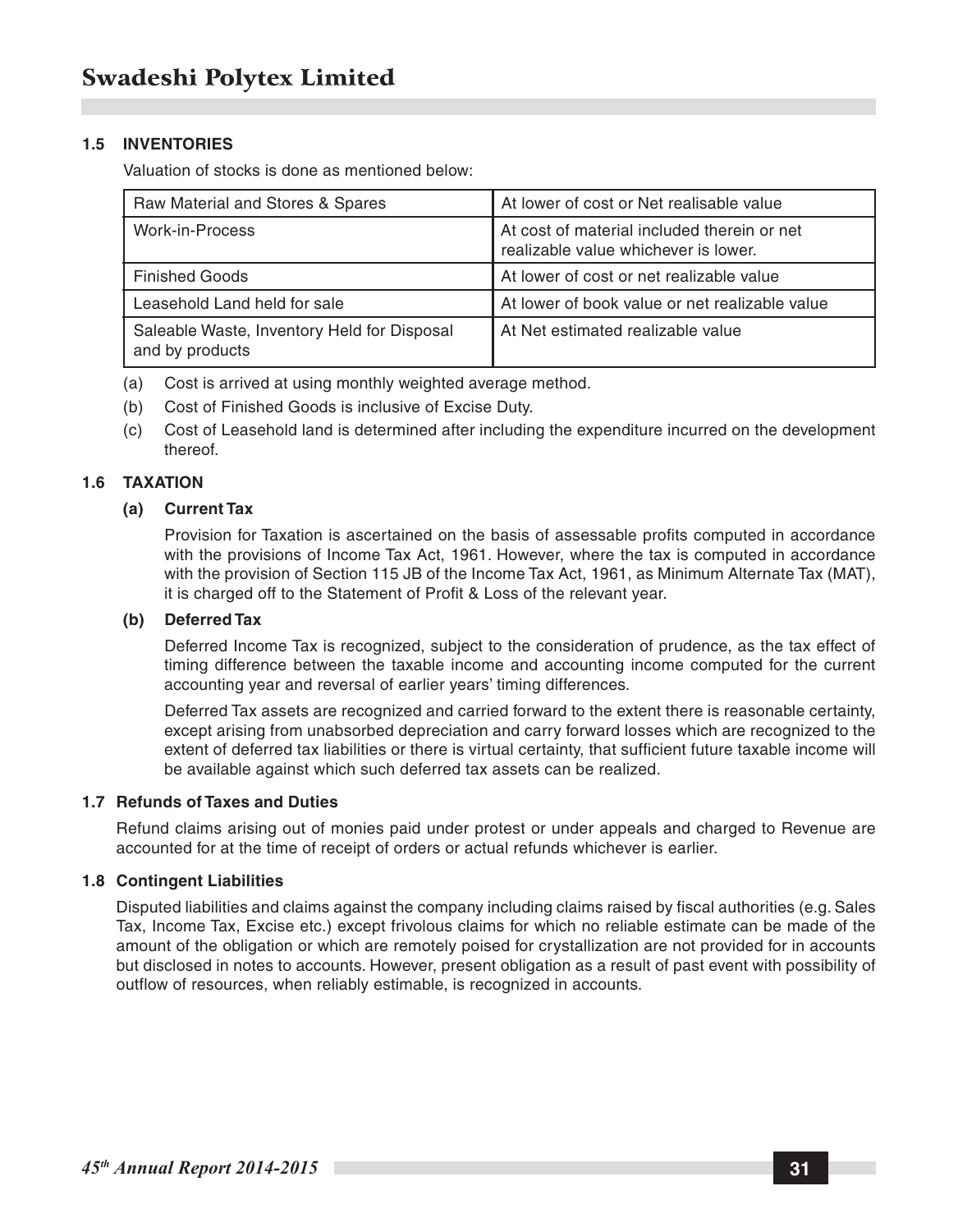#### **1.5 INVENTORIES**

Valuation of stocks is done as mentioned below:

| Raw Material and Stores & Spares                               | At lower of cost or Net realisable value                                            |
|----------------------------------------------------------------|-------------------------------------------------------------------------------------|
| Work-in-Process                                                | At cost of material included therein or net<br>realizable value whichever is lower. |
| <b>Finished Goods</b>                                          | At lower of cost or net realizable value                                            |
| Leasehold Land held for sale                                   | At lower of book value or net realizable value                                      |
| Saleable Waste, Inventory Held for Disposal<br>and by products | At Net estimated realizable value                                                   |

- (a) Cost is arrived at using monthly weighted average method.
- (b) Cost of Finished Goods is inclusive of Excise Duty.
- (c) Cost of Leasehold land is determined after including the expenditure incurred on the development thereof.

#### **1.6 TAXATION**

#### **(a) Current Tax**

Provision for Taxation is ascertained on the basis of assessable profits computed in accordance with the provisions of Income Tax Act, 1961. However, where the tax is computed in accordance with the provision of Section 115 JB of the Income Tax Act, 1961, as Minimum Alternate Tax (MAT), it is charged off to the Statement of Profit & Loss of the relevant year.

#### **(b) Deferred Tax**

Deferred Income Tax is recognized, subject to the consideration of prudence, as the tax effect of timing difference between the taxable income and accounting income computed for the current accounting year and reversal of earlier years' timing differences.

Deferred Tax assets are recognized and carried forward to the extent there is reasonable certainty, except arising from unabsorbed depreciation and carry forward losses which are recognized to the extent of deferred tax liabilities or there is virtual certainty, that sufficient future taxable income will be available against which such deferred tax assets can be realized.

#### **1.7 Refunds of Taxes and Duties**

Refund claims arising out of monies paid under protest or under appeals and charged to Revenue are accounted for at the time of receipt of orders or actual refunds whichever is earlier.

#### **1.8 Contingent Liabilities**

Disputed liabilities and claims against the company including claims raised by fiscal authorities (e.g. Sales Tax, Income Tax, Excise etc.) except frivolous claims for which no reliable estimate can be made of the amount of the obligation or which are remotely poised for crystallization are not provided for in accounts but disclosed in notes to accounts. However, present obligation as a result of past event with possibility of outflow of resources, when reliably estimable, is recognized in accounts.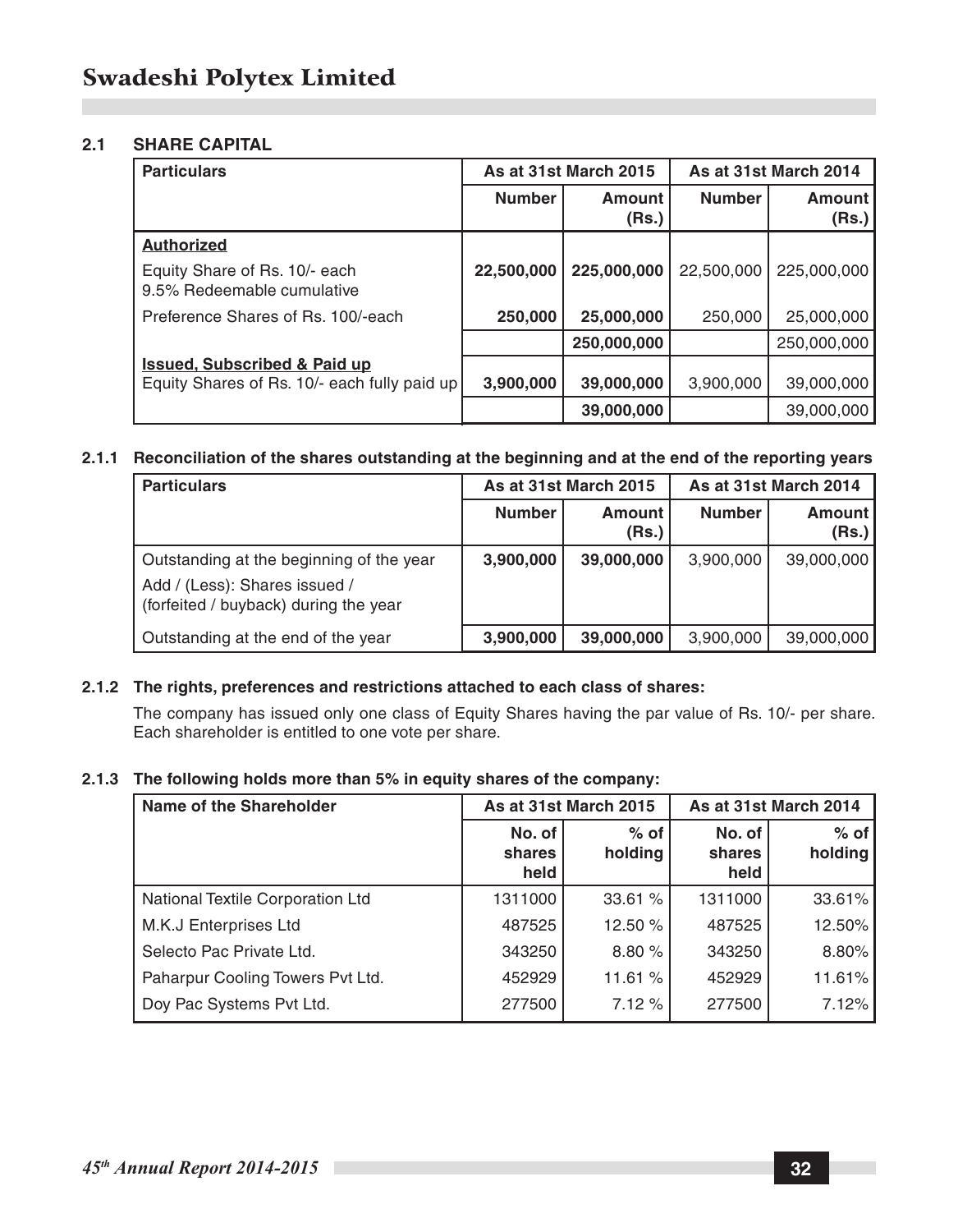#### **2.1 SHARE CAPITAL**

| <b>Particulars</b>                                          | As at 31st March 2015 |                 | As at 31st March 2014 |                 |
|-------------------------------------------------------------|-----------------------|-----------------|-----------------------|-----------------|
|                                                             | <b>Number</b>         | Amount<br>(Rs.) | <b>Number</b>         | Amount<br>(Rs.) |
| <b>Authorized</b>                                           |                       |                 |                       |                 |
| Equity Share of Rs. 10/- each<br>9.5% Redeemable cumulative | 22,500,000            | 225,000,000     | 22,500,000            | 225,000,000     |
| Preference Shares of Rs. 100/-each                          | 250,000               | 25,000,000      | 250,000               | 25,000,000      |
|                                                             |                       | 250,000,000     |                       | 250,000,000     |
| <b>Issued, Subscribed &amp; Paid up</b>                     |                       |                 |                       |                 |
| Equity Shares of Rs. 10/- each fully paid up                | 3,900,000             | 39,000,000      | 3,900,000             | 39,000,000      |
|                                                             |                       | 39,000,000      |                       | 39,000,000      |

#### **2.1.1 Reconciliation of the shares outstanding at the beginning and at the end of the reporting years**

| <b>Particulars</b>                                                                                                 | As at 31st March 2015 |                 |               | As at 31st March 2014 |
|--------------------------------------------------------------------------------------------------------------------|-----------------------|-----------------|---------------|-----------------------|
|                                                                                                                    | <b>Number</b>         | Amount<br>(Rs.) | <b>Number</b> | Amount<br>(Rs.)       |
| Outstanding at the beginning of the year<br>Add / (Less): Shares issued /<br>(forfeited / buyback) during the year | 3,900,000             | 39,000,000      | 3,900,000     | 39,000,000            |
| Outstanding at the end of the year                                                                                 | 3,900,000             | 39,000,000      | 3,900,000     | 39,000,000            |

#### **2.1.2 The rights, preferences and restrictions attached to each class of shares:**

The company has issued only one class of Equity Shares having the par value of Rs. 10/- per share. Each shareholder is entitled to one vote per share.

#### **2.1.3 The following holds more than 5% in equity shares of the company:**

| Name of the Shareholder          | As at 31st March 2015    |                   |                          | As at 31st March 2014 |  |
|----------------------------------|--------------------------|-------------------|--------------------------|-----------------------|--|
|                                  | No. of<br>shares<br>held | $%$ of<br>holding | No. of<br>shares<br>held | $%$ of $ $<br>holding |  |
| National Textile Corporation Ltd | 1311000                  | 33.61%            | 1311000                  | $33.61\%$             |  |
| M.K.J Enterprises Ltd            | 487525                   | 12.50 %           | 487525                   | 12.50%                |  |
| Selecto Pac Private Ltd.         | 343250                   | 8.80%             | 343250                   | $8.80\%$              |  |
| Paharpur Cooling Towers Pvt Ltd. | 452929                   | 11.61%            | 452929                   | 11.61%                |  |
| Doy Pac Systems Pvt Ltd.         | 277500                   | 7.12%             | 277500                   | 7.12%                 |  |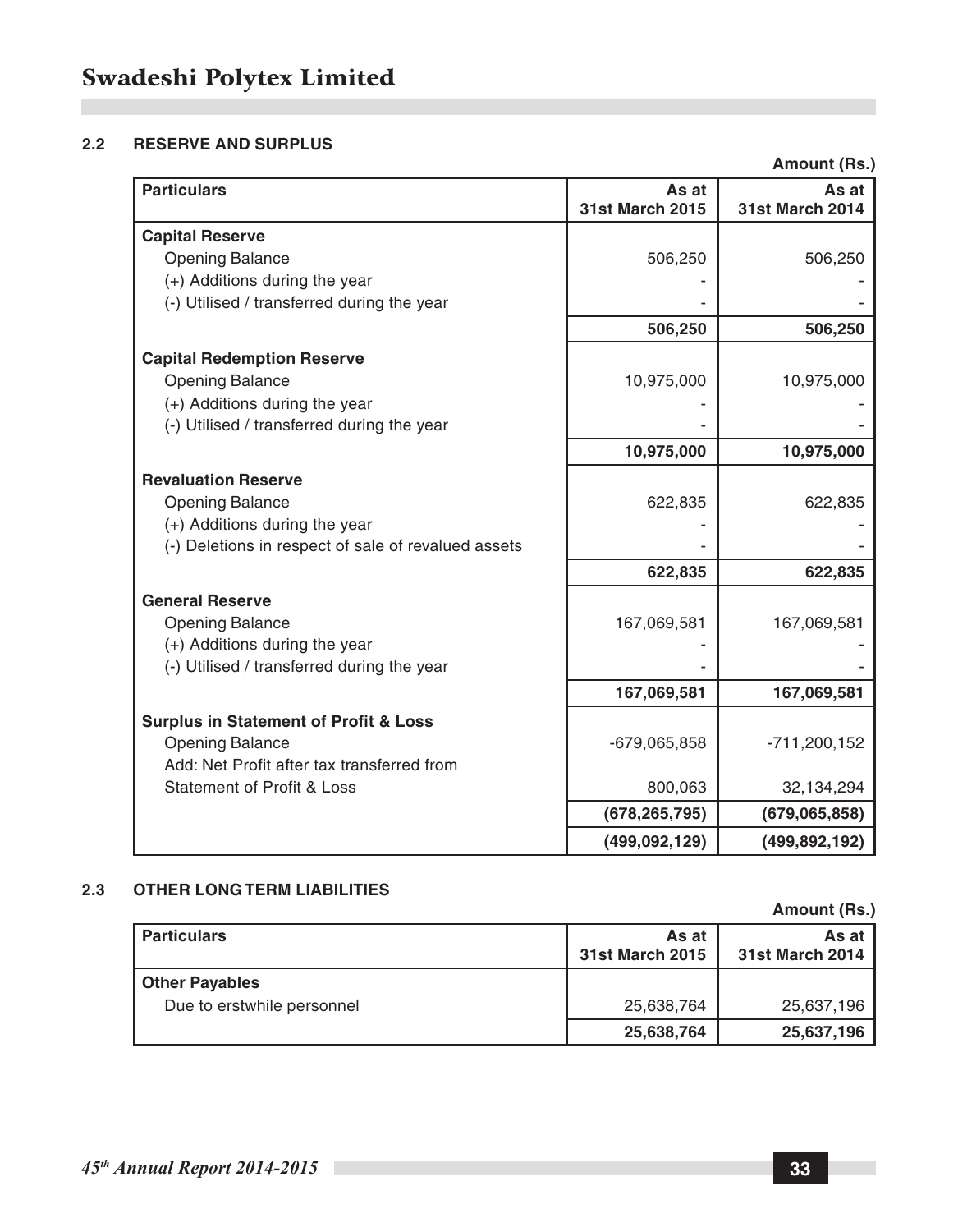#### **2.2 RESERVE AND SURPLUS**

**Amount (Rs.)**

| <b>Particulars</b>                                  | As at<br><b>31st March 2015</b> | As at<br><b>31st March 2014</b> |
|-----------------------------------------------------|---------------------------------|---------------------------------|
| <b>Capital Reserve</b>                              |                                 |                                 |
| <b>Opening Balance</b>                              | 506,250                         | 506,250                         |
| (+) Additions during the year                       |                                 |                                 |
| (-) Utilised / transferred during the year          |                                 |                                 |
|                                                     | 506,250                         | 506,250                         |
| <b>Capital Redemption Reserve</b>                   |                                 |                                 |
| <b>Opening Balance</b>                              | 10,975,000                      | 10,975,000                      |
| (+) Additions during the year                       |                                 |                                 |
| (-) Utilised / transferred during the year          |                                 |                                 |
|                                                     | 10,975,000                      | 10,975,000                      |
| <b>Revaluation Reserve</b>                          |                                 |                                 |
| <b>Opening Balance</b>                              | 622,835                         | 622,835                         |
| (+) Additions during the year                       |                                 |                                 |
| (-) Deletions in respect of sale of revalued assets |                                 |                                 |
|                                                     | 622,835                         | 622,835                         |
| <b>General Reserve</b>                              |                                 |                                 |
| <b>Opening Balance</b>                              | 167,069,581                     | 167,069,581                     |
| (+) Additions during the year                       |                                 |                                 |
| (-) Utilised / transferred during the year          |                                 |                                 |
|                                                     | 167,069,581                     | 167,069,581                     |
| <b>Surplus in Statement of Profit &amp; Loss</b>    |                                 |                                 |
| <b>Opening Balance</b>                              | $-679,065,858$                  | $-711,200,152$                  |
| Add: Net Profit after tax transferred from          |                                 |                                 |
| Statement of Profit & Loss                          | 800,063                         | 32,134,294                      |
|                                                     | (678, 265, 795)                 | (679,065,858)                   |
|                                                     | (499,092,129)                   | (499, 892, 192)                 |

#### **2.3 OTHER LONG TERM LIABILITIES**

|                            |                                 | Amount (Rs.)                      |
|----------------------------|---------------------------------|-----------------------------------|
| <b>Particulars</b>         | As at<br><b>31st March 2015</b> | As at I<br><b>31st March 2014</b> |
| <b>Other Payables</b>      |                                 |                                   |
| Due to erstwhile personnel | 25,638,764                      | 25,637,196                        |
|                            | 25,638,764                      | 25,637,196                        |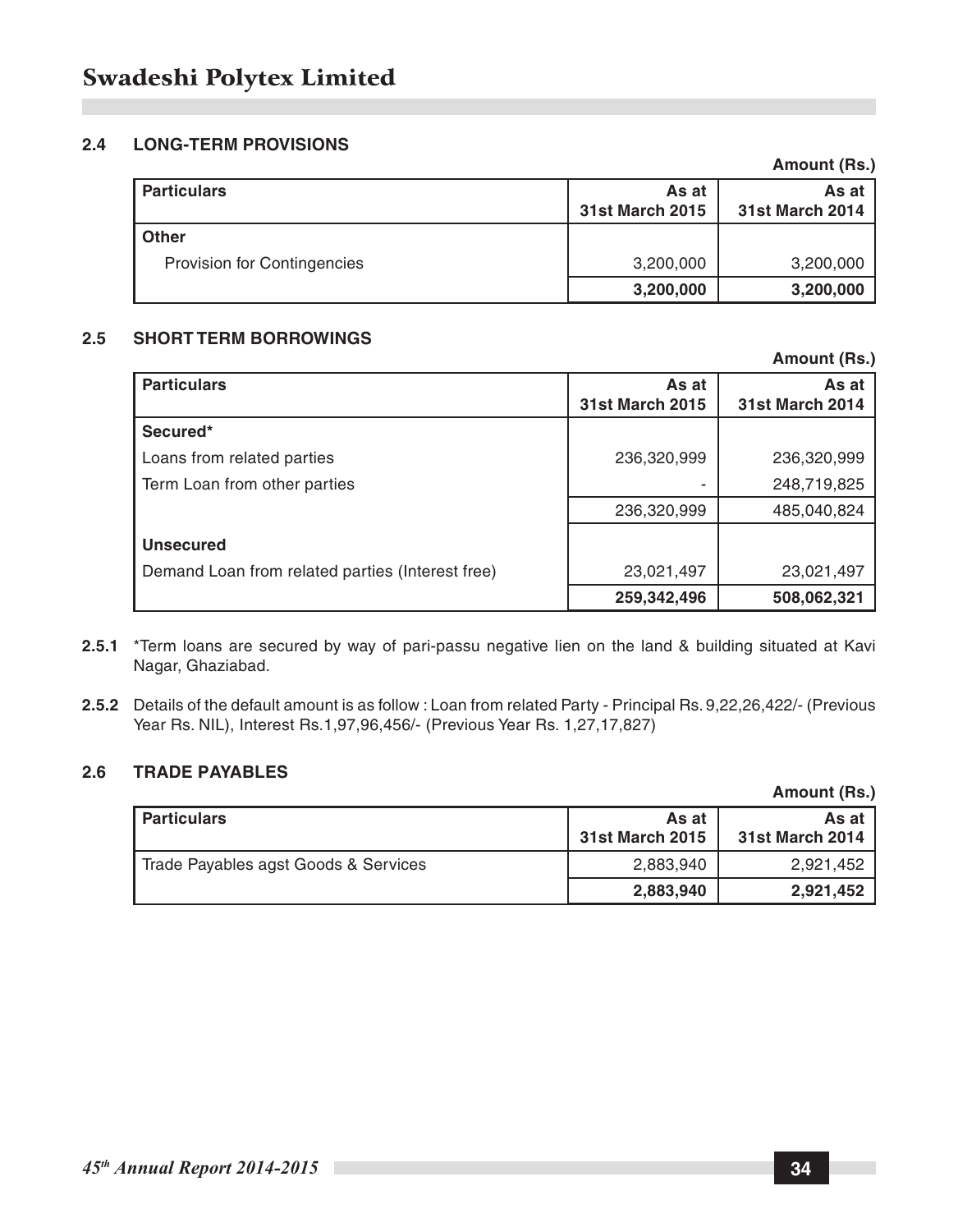#### **2.4 LONG-TERM PROVISIONS**

|                                    |                                 | Amount (Rs.)                    |
|------------------------------------|---------------------------------|---------------------------------|
| <b>Particulars</b>                 | As at<br><b>31st March 2015</b> | As at<br><b>31st March 2014</b> |
| <b>Other</b>                       |                                 |                                 |
| <b>Provision for Contingencies</b> | 3,200,000                       | 3,200,000                       |
|                                    | 3,200,000                       | 3,200,000                       |

#### **2.5 SHORT TERM BORROWINGS**

|                                                  |                        | Amount (Rs.)           |
|--------------------------------------------------|------------------------|------------------------|
| <b>Particulars</b>                               | As at                  | As at                  |
|                                                  | <b>31st March 2015</b> | <b>31st March 2014</b> |
| Secured*                                         |                        |                        |
| Loans from related parties                       | 236,320,999            | 236,320,999            |
| Term Loan from other parties                     |                        | 248,719,825            |
|                                                  | 236,320,999            | 485,040,824            |
| <b>Unsecured</b>                                 |                        |                        |
| Demand Loan from related parties (Interest free) | 23,021,497             | 23,021,497             |
|                                                  | 259,342,496            | 508,062,321            |

- **2.5.1** \*Term loans are secured by way of pari-passu negative lien on the land & building situated at Kavi Nagar, Ghaziabad.
- **2.5.2** Details of the default amount is as follow : Loan from related Party Principal Rs. 9,22,26,422/- (Previous Year Rs. NIL), Interest Rs.1,97,96,456/- (Previous Year Rs. 1,27,17,827)

#### **2.6 TRADE PAYABLES**

|                                      |                          | Amount (Rs.)             |
|--------------------------------------|--------------------------|--------------------------|
| <b>Particulars</b>                   | As at<br>31st March 2015 | As at<br>31st March 2014 |
| Trade Payables agst Goods & Services | 2,883,940                | 2.921.452                |
|                                      | 2,883,940                | 2.921.452                |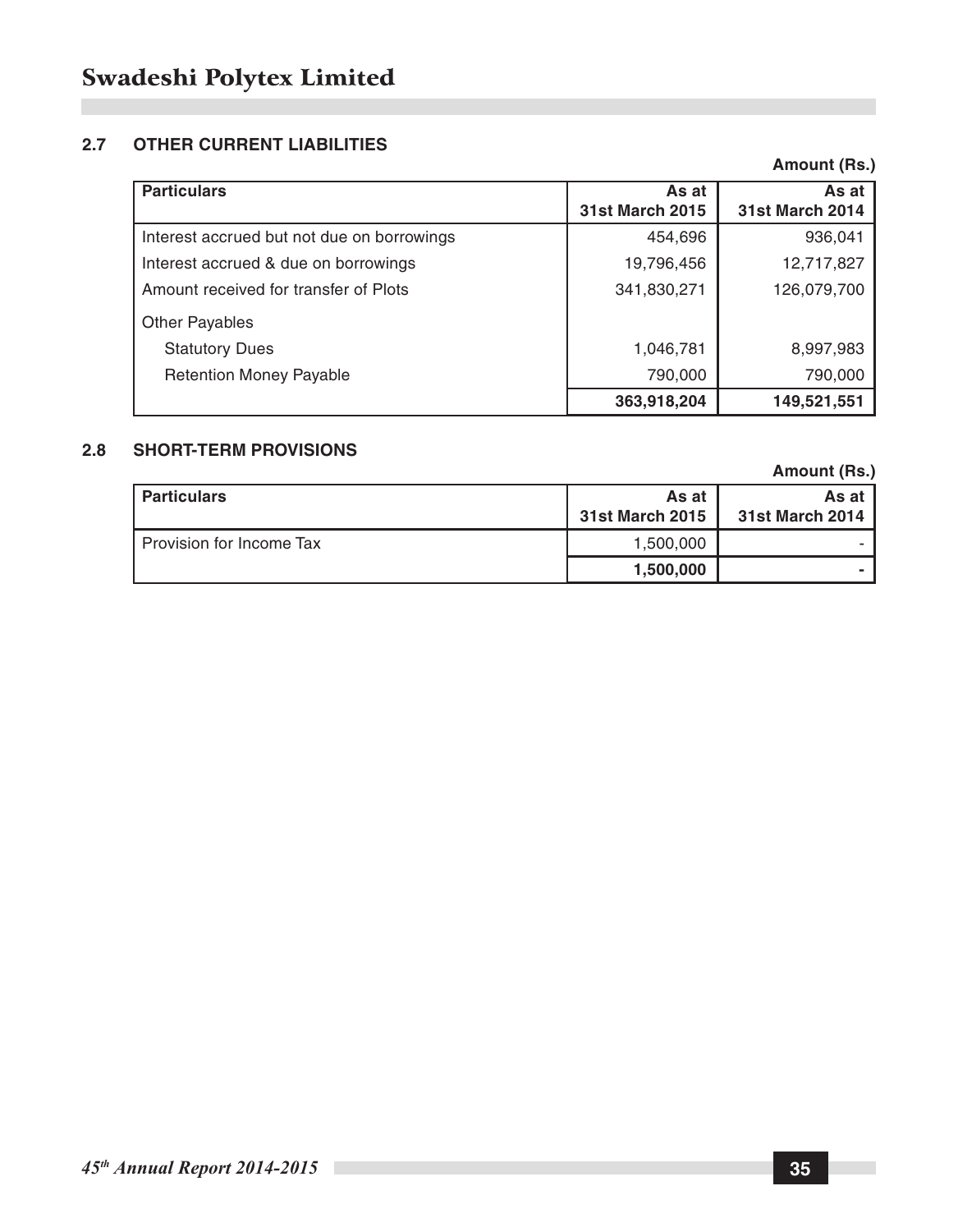#### **2.7 OTHER CURRENT LIABILITIES**

#### **Amount (Rs.)**

| <b>Particulars</b>                         | As at                  | As at                  |
|--------------------------------------------|------------------------|------------------------|
|                                            | <b>31st March 2015</b> | <b>31st March 2014</b> |
| Interest accrued but not due on borrowings | 454,696                | 936,041                |
| Interest accrued & due on borrowings       | 19,796,456             | 12,717,827             |
| Amount received for transfer of Plots      | 341,830,271            | 126,079,700            |
| <b>Other Payables</b>                      |                        |                        |
| <b>Statutory Dues</b>                      | 1,046,781              | 8,997,983              |
| <b>Retention Money Payable</b>             | 790,000                | 790,000                |
|                                            | 363,918,204            | 149,521,551            |

#### **2.8 SHORT-TERM PROVISIONS**

|                          |                          | Amount (Rs.)             |
|--------------------------|--------------------------|--------------------------|
| <b>Particulars</b>       | As at<br>31st March 2015 | As at<br>31st March 2014 |
| Provision for Income Tax | 1,500,000                |                          |
|                          | 1,500,000                |                          |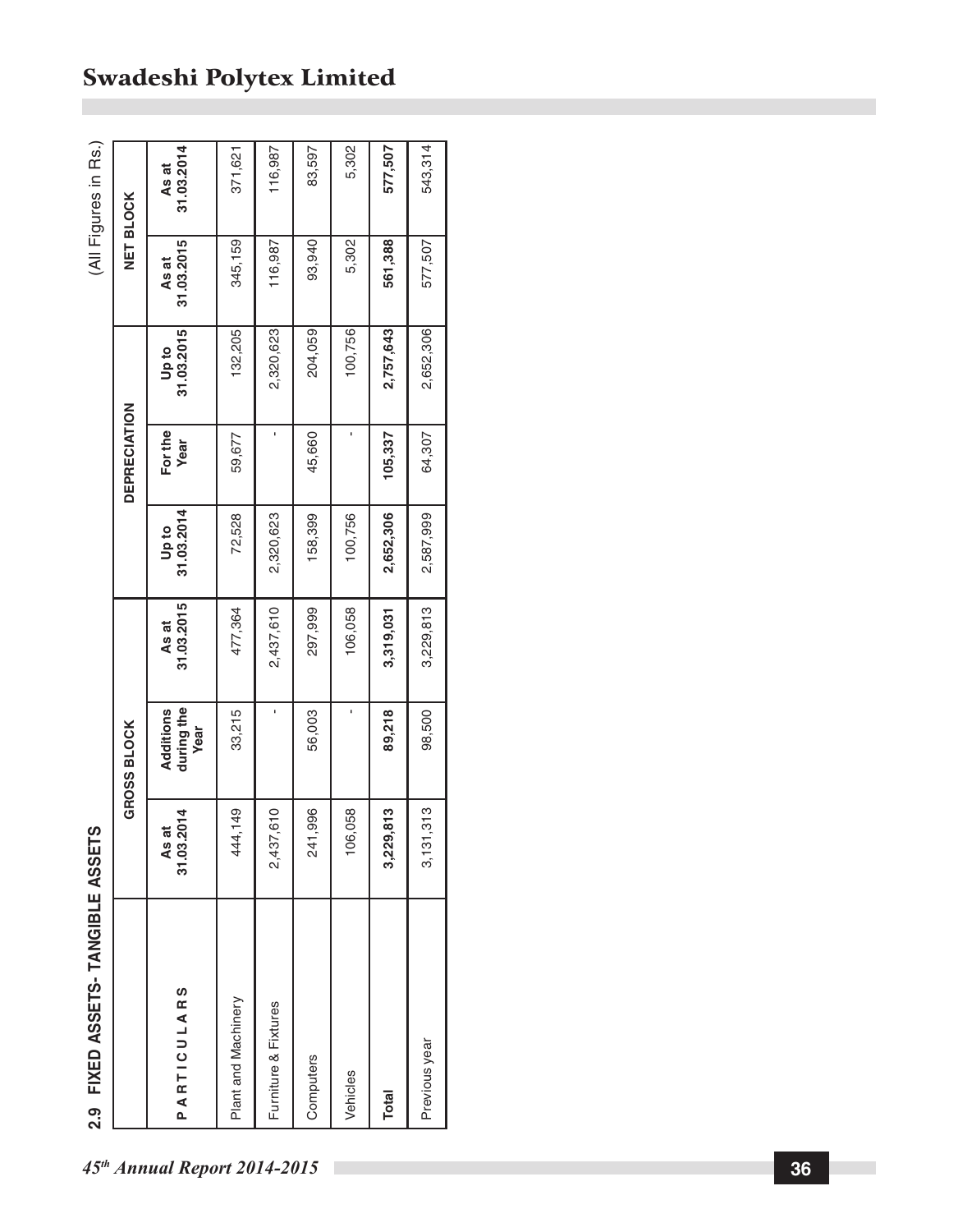| i<br>ı |
|--------|
| I<br>ı |
| i      |
|        |
|        |
| ¢      |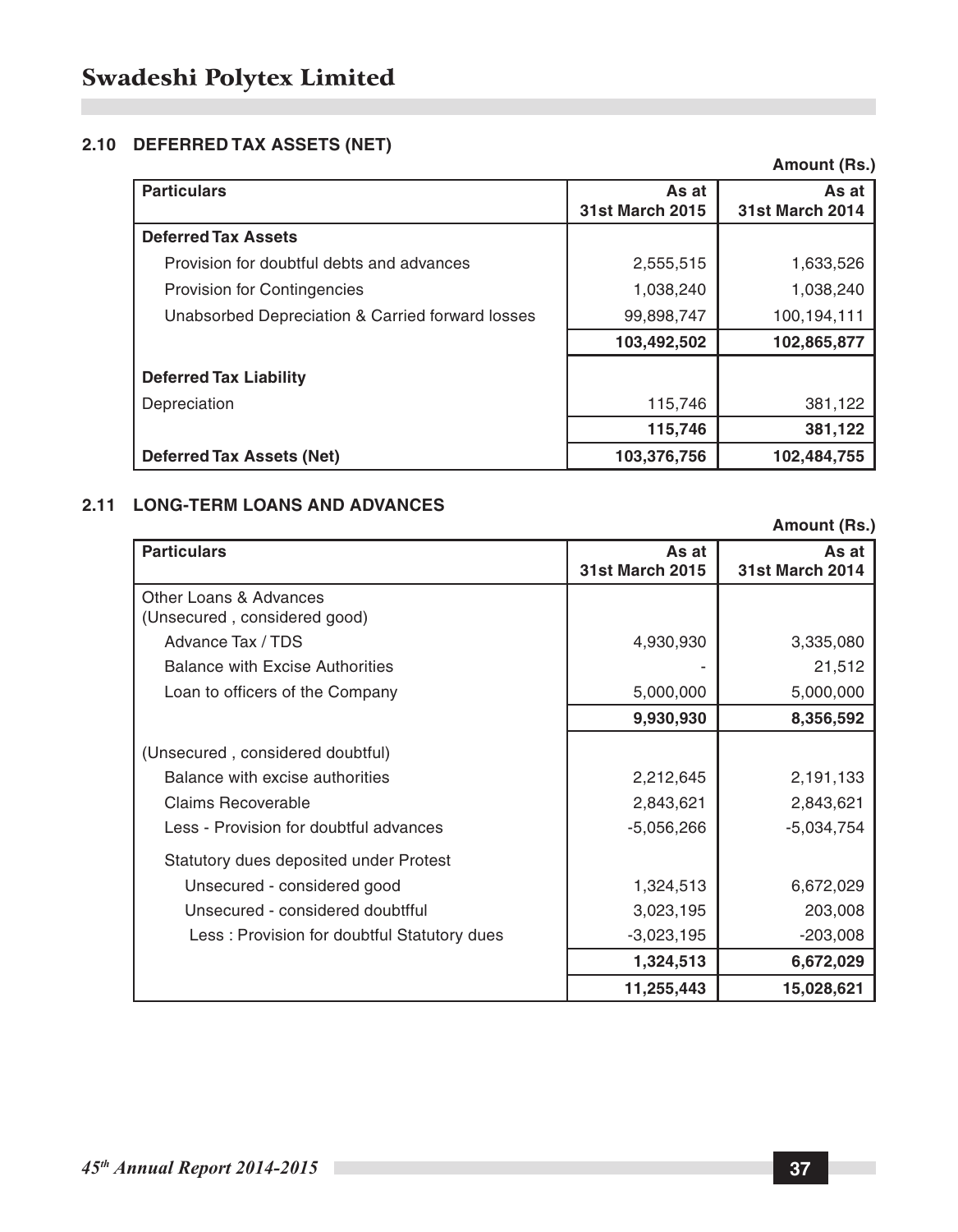#### **2.10 DEFERRED TAX ASSETS (NET)**

|                                                  |                                 | Amount (Rs.)                    |
|--------------------------------------------------|---------------------------------|---------------------------------|
| <b>Particulars</b>                               | As at<br><b>31st March 2015</b> | As at<br><b>31st March 2014</b> |
| <b>Deferred Tax Assets</b>                       |                                 |                                 |
| Provision for doubtful debts and advances        | 2,555,515                       | 1,633,526                       |
| <b>Provision for Contingencies</b>               | 1,038,240                       | 1,038,240                       |
| Unabsorbed Depreciation & Carried forward losses | 99.898.747                      | 100.194.111                     |
|                                                  | 103,492,502                     | 102,865,877                     |
| <b>Deferred Tax Liability</b>                    |                                 |                                 |
| Depreciation                                     | 115,746                         | 381,122                         |
|                                                  | 115,746                         | 381,122                         |
| <b>Deferred Tax Assets (Net)</b>                 | 103,376,756                     | 102,484,755                     |

#### **2.11 LONG-TERM LOANS AND ADVANCES**

| <b>Particulars</b>                          | As at                  | As at                  |
|---------------------------------------------|------------------------|------------------------|
|                                             | <b>31st March 2015</b> | <b>31st March 2014</b> |
| <b>Other Loans &amp; Advances</b>           |                        |                        |
| (Unsecured, considered good)                |                        |                        |
| Advance Tax / TDS                           | 4,930,930              | 3,335,080              |
| <b>Balance with Excise Authorities</b>      |                        | 21,512                 |
| Loan to officers of the Company             | 5,000,000              | 5,000,000              |
|                                             | 9,930,930              | 8,356,592              |
| (Unsecured, considered doubtful)            |                        |                        |
| Balance with excise authorities             | 2,212,645              | 2,191,133              |
| Claims Recoverable                          | 2,843,621              | 2,843,621              |
| Less - Provision for doubtful advances      | $-5,056,266$           | $-5,034,754$           |
| Statutory dues deposited under Protest      |                        |                        |
| Unsecured - considered good                 | 1,324,513              | 6,672,029              |
| Unsecured - considered doubtfful            | 3,023,195              | 203,008                |
| Less: Provision for doubtful Statutory dues | $-3,023,195$           | $-203,008$             |
|                                             | 1,324,513              | 6,672,029              |
|                                             | 11,255,443             | 15,028,621             |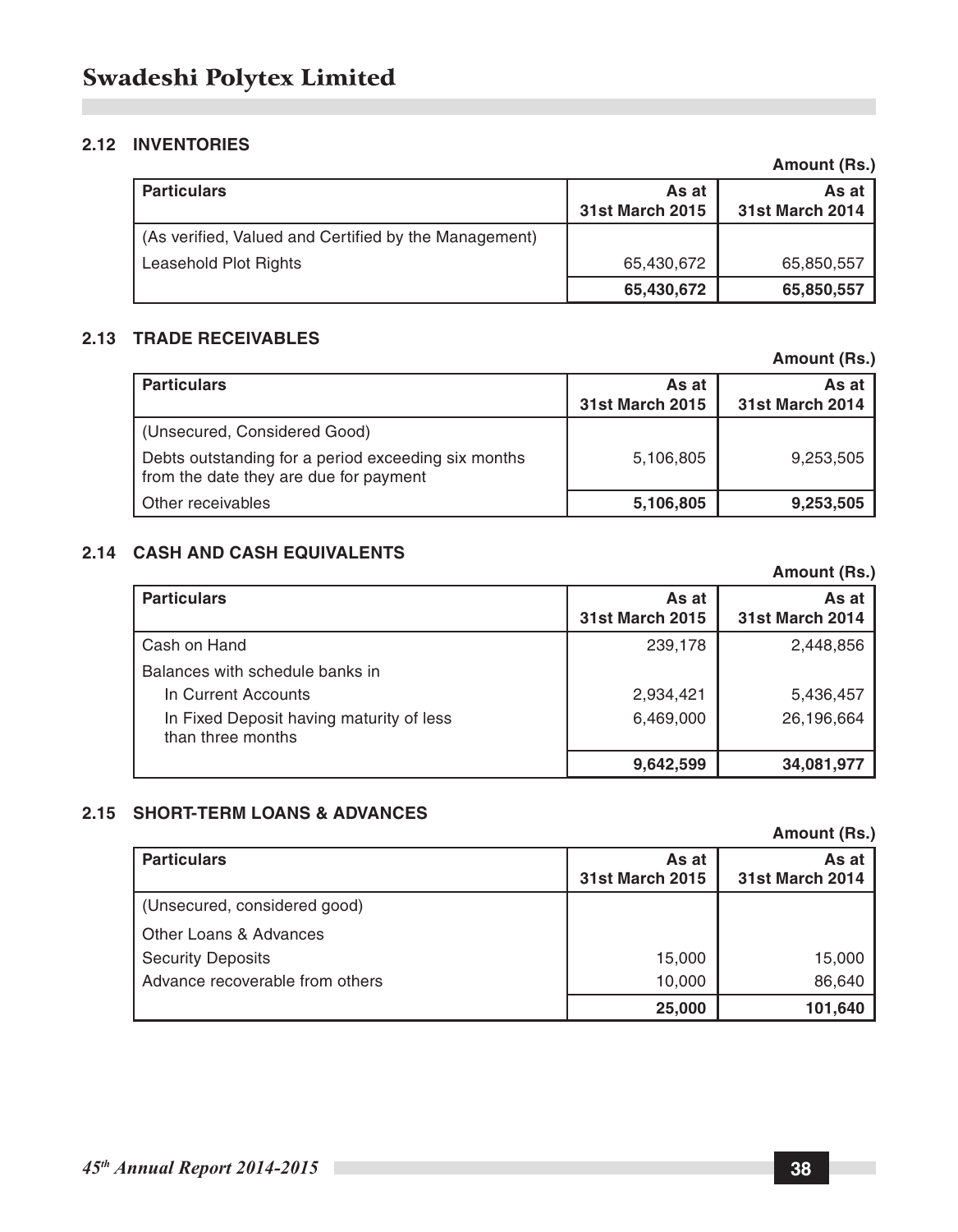#### **2.12 INVENTORIES**

|                                                       |                                 | Amount (Rs.)                    |
|-------------------------------------------------------|---------------------------------|---------------------------------|
| <b>Particulars</b>                                    | As at<br><b>31st March 2015</b> | As at<br><b>31st March 2014</b> |
| (As verified, Valued and Certified by the Management) |                                 |                                 |
| Leasehold Plot Rights                                 | 65,430,672                      | 65,850,557                      |
|                                                       | 65,430,672                      | 65,850,557                      |

#### **2.13 TRADE RECEIVABLES**

|                                                                                               |                                 | Amount (Rs.)                    |
|-----------------------------------------------------------------------------------------------|---------------------------------|---------------------------------|
| <b>Particulars</b>                                                                            | As at<br><b>31st March 2015</b> | As at<br><b>31st March 2014</b> |
| (Unsecured, Considered Good)                                                                  |                                 |                                 |
| Debts outstanding for a period exceeding six months<br>from the date they are due for payment | 5,106,805                       | 9,253,505                       |
| Other receivables                                                                             | 5,106,805                       | 9,253,505                       |

#### **2.14 CASH AND CASH EQUIVALENTS**

|                                                               |                                 | Amount (Rs.)                    |
|---------------------------------------------------------------|---------------------------------|---------------------------------|
| <b>Particulars</b>                                            | As at<br><b>31st March 2015</b> | As at<br><b>31st March 2014</b> |
| Cash on Hand                                                  | 239,178                         | 2,448,856                       |
| Balances with schedule banks in                               |                                 |                                 |
| In Current Accounts                                           | 2,934,421                       | 5,436,457                       |
| In Fixed Deposit having maturity of less<br>than three months | 6,469,000                       | 26,196,664                      |
|                                                               | 9,642,599                       | 34,081,977                      |

#### **2.15 SHORT-TERM LOANS & ADVANCES**

|                                 |                        | $1.1119$ and $1.1911$  |
|---------------------------------|------------------------|------------------------|
| <b>Particulars</b>              | As at                  | As at                  |
|                                 | <b>31st March 2015</b> | <b>31st March 2014</b> |
| (Unsecured, considered good)    |                        |                        |
| Other Loans & Advances          |                        |                        |
| <b>Security Deposits</b>        | 15,000                 | 15,000                 |
| Advance recoverable from others | 10,000                 | 86,640                 |
|                                 | 25,000                 | 101,640                |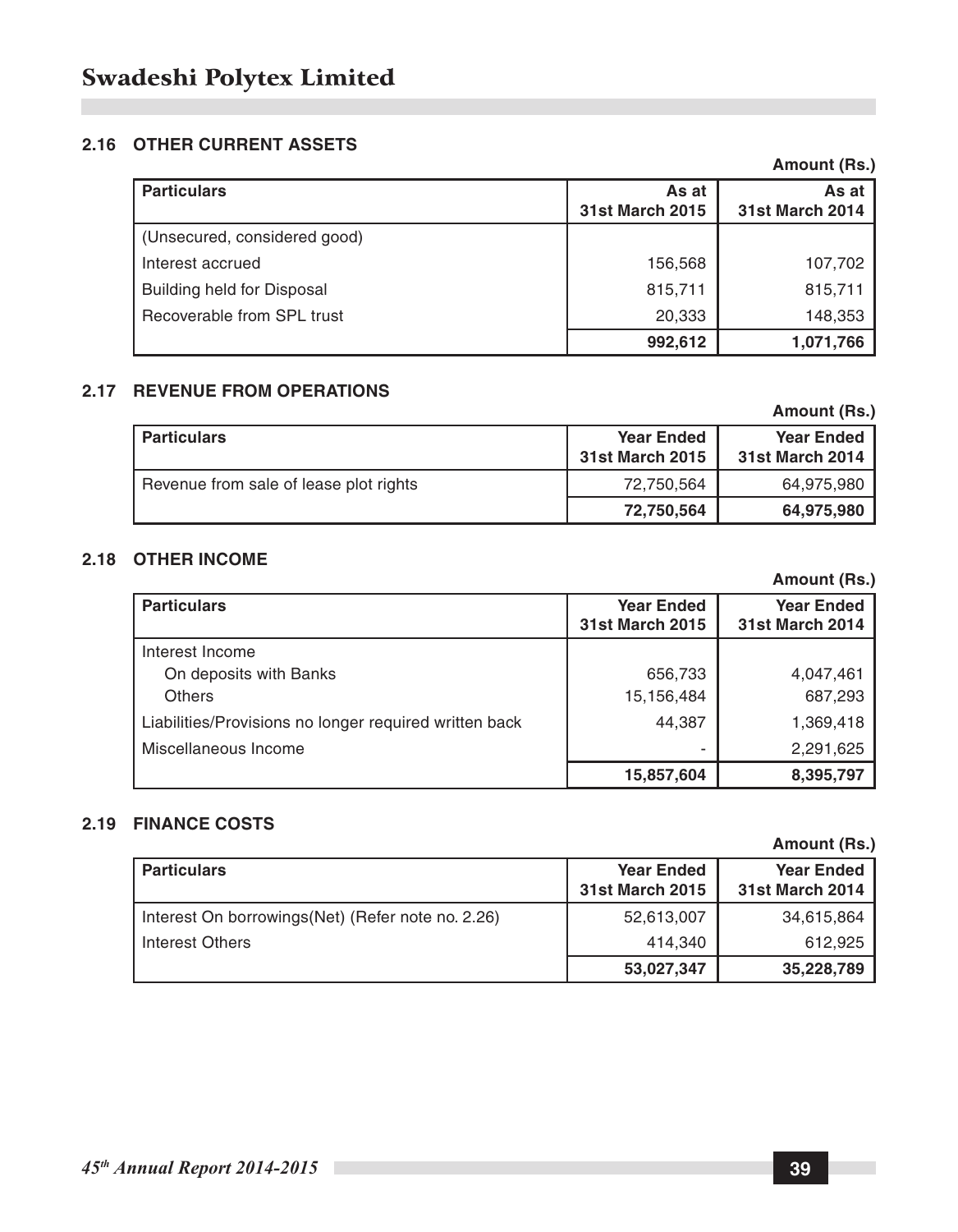#### **2.16 OTHER CURRENT ASSETS**

|                              |                                 | Amount (Rs.)                    |
|------------------------------|---------------------------------|---------------------------------|
| <b>Particulars</b>           | As at<br><b>31st March 2015</b> | As at<br><b>31st March 2014</b> |
| (Unsecured, considered good) |                                 |                                 |
| Interest accrued             | 156,568                         | 107,702                         |
| Building held for Disposal   | 815,711                         | 815,711                         |
| Recoverable from SPL trust   | 20,333                          | 148,353                         |
|                              | 992,612                         | 1,071,766                       |

#### **2.17 REVENUE FROM OPERATIONS**

|                                        |                                      | Amount (Rs.)                                |
|----------------------------------------|--------------------------------------|---------------------------------------------|
| <b>Particulars</b>                     | <b>Year Ended</b><br>31st March 2015 | <b>Year Ended</b><br><b>31st March 2014</b> |
| Revenue from sale of lease plot rights | 72,750,564                           | 64,975,980                                  |
|                                        | 72,750,564                           | 64,975,980                                  |

#### **2.18 OTHER INCOME**

| <b>Particulars</b>                                     | <b>Year Ended</b>      | <b>Year Ended</b>      |
|--------------------------------------------------------|------------------------|------------------------|
|                                                        | <b>31st March 2015</b> | <b>31st March 2014</b> |
| Interest Income                                        |                        |                        |
| On deposits with Banks                                 | 656,733                | 4,047,461              |
| Others                                                 | 15,156,484             | 687,293                |
| Liabilities/Provisions no longer required written back | 44,387                 | 1,369,418              |
| Miscellaneous Income                                   |                        | 2,291,625              |
|                                                        | 15,857,604             | 8,395,797              |

#### **2.19 FINANCE COSTS**

|                                                    |                                             | Amount (Rs.)                                |
|----------------------------------------------------|---------------------------------------------|---------------------------------------------|
| <b>Particulars</b>                                 | <b>Year Ended</b><br><b>31st March 2015</b> | <b>Year Ended</b><br><b>31st March 2014</b> |
| Interest On borrowings (Net) (Refer note no. 2.26) | 52,613,007                                  | 34,615,864                                  |
| Interest Others                                    | 414.340                                     | 612,925                                     |
|                                                    | 53,027,347                                  | 35,228,789                                  |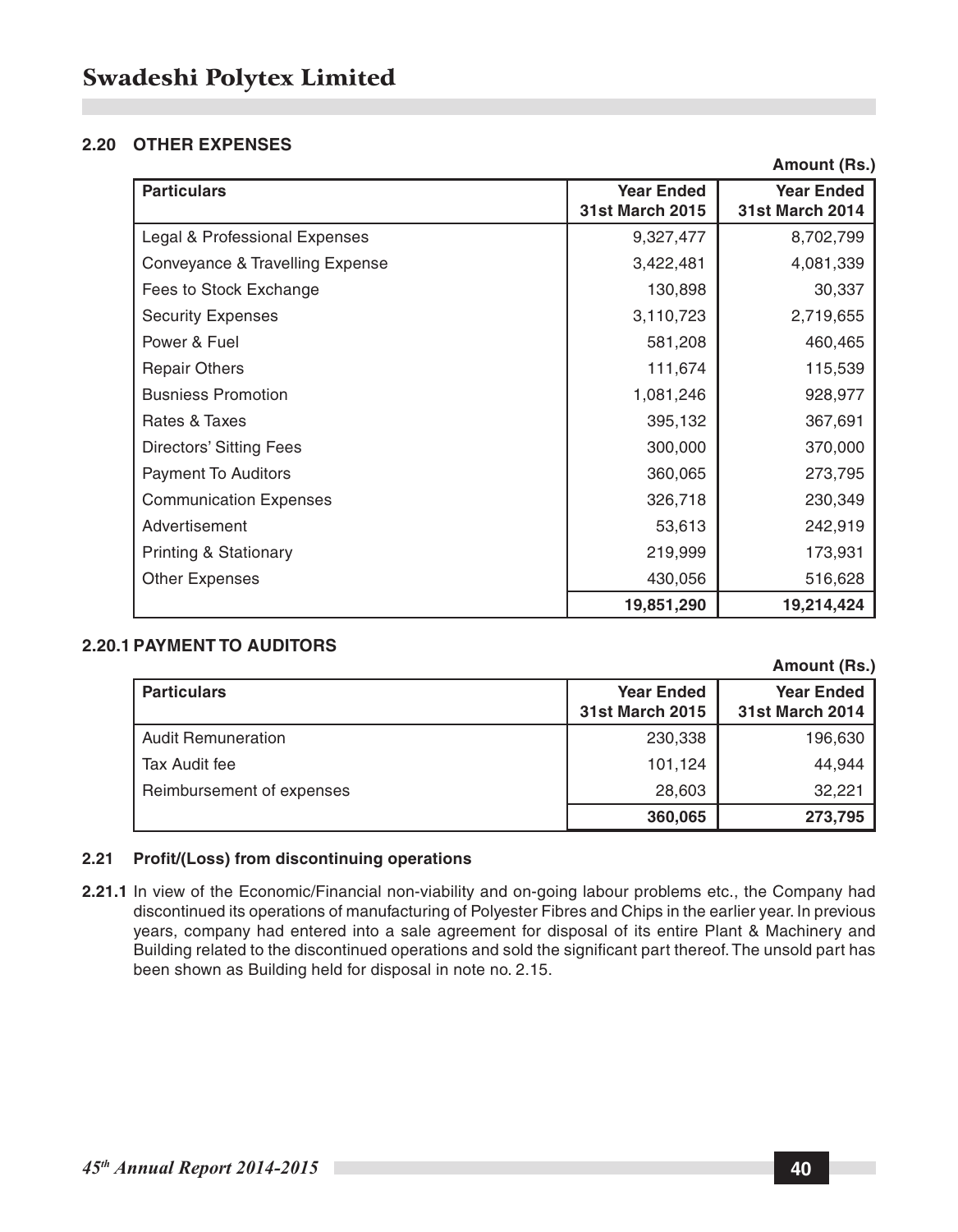#### **2.20 OTHER EXPENSES**

|                                  |                                             | AMOUNI (RS.                                 |
|----------------------------------|---------------------------------------------|---------------------------------------------|
| <b>Particulars</b>               | <b>Year Ended</b><br><b>31st March 2015</b> | <b>Year Ended</b><br><b>31st March 2014</b> |
| Legal & Professional Expenses    | 9,327,477                                   | 8,702,799                                   |
| Conveyance & Travelling Expense  | 3,422,481                                   | 4,081,339                                   |
| Fees to Stock Exchange           | 130,898                                     | 30,337                                      |
| <b>Security Expenses</b>         | 3,110,723                                   | 2,719,655                                   |
| Power & Fuel                     | 581,208                                     | 460,465                                     |
| <b>Repair Others</b>             | 111,674                                     | 115,539                                     |
| <b>Busniess Promotion</b>        | 1,081,246                                   | 928,977                                     |
| Rates & Taxes                    | 395,132                                     | 367,691                                     |
| Directors' Sitting Fees          | 300,000                                     | 370,000                                     |
| <b>Payment To Auditors</b>       | 360,065                                     | 273,795                                     |
| <b>Communication Expenses</b>    | 326,718                                     | 230,349                                     |
| Advertisement                    | 53,613                                      | 242,919                                     |
| <b>Printing &amp; Stationary</b> | 219,999                                     | 173,931                                     |
| Other Expenses                   | 430,056                                     | 516,628                                     |
|                                  | 19,851,290                                  | 19,214,424                                  |

#### **2.20.1 PAYMENT TO AUDITORS**

|                           |                                             | Allivulit (113.)                            |
|---------------------------|---------------------------------------------|---------------------------------------------|
| <b>Particulars</b>        | <b>Year Ended</b><br><b>31st March 2015</b> | <b>Year Ended</b><br><b>31st March 2014</b> |
| l Audit Remuneration      | 230,338                                     | 196,630                                     |
| Tax Audit fee             | 101,124                                     | 44.944                                      |
| Reimbursement of expenses | 28,603                                      | 32.221                                      |
|                           | 360,065                                     | 273,795                                     |

#### **2.21 Profit/(Loss) from discontinuing operations**

**2.21.1** In view of the Economic/Financial non-viability and on-going labour problems etc., the Company had discontinued its operations of manufacturing of Polyester Fibres and Chips in the earlier year. In previous years, company had entered into a sale agreement for disposal of its entire Plant & Machinery and Building related to the discontinued operations and sold the significant part thereof. The unsold part has been shown as Building held for disposal in note no. 2.15.

#### **Amount (Rs.)**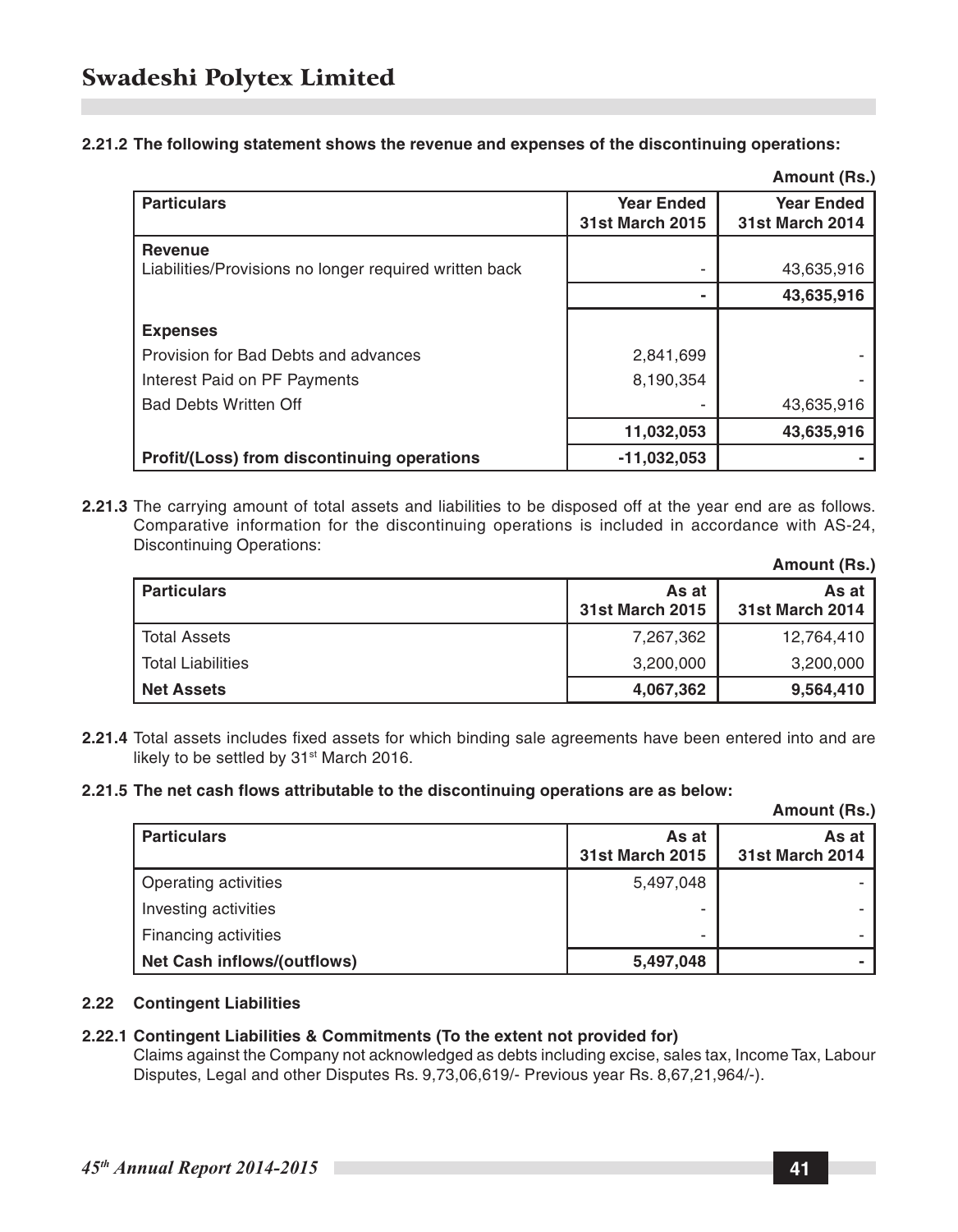**2.21.2 The following statement shows the revenue and expenses of the discontinuing operations:**

|                                                        |                        | Amount (Rs.)           |
|--------------------------------------------------------|------------------------|------------------------|
| <b>Particulars</b>                                     | <b>Year Ended</b>      | <b>Year Ended</b>      |
|                                                        | <b>31st March 2015</b> | <b>31st March 2014</b> |
| Revenue                                                |                        |                        |
| Liabilities/Provisions no longer required written back |                        | 43,635,916             |
|                                                        |                        | 43,635,916             |
| <b>Expenses</b>                                        |                        |                        |
| Provision for Bad Debts and advances                   | 2,841,699              |                        |
| Interest Paid on PF Payments                           | 8,190,354              |                        |
| <b>Bad Debts Written Off</b>                           |                        | 43,635,916             |
|                                                        | 11,032,053             | 43,635,916             |
| Profit/(Loss) from discontinuing operations            | $-11,032,053$          |                        |

**2.21.3** The carrying amount of total assets and liabilities to be disposed off at the year end are as follows. Comparative information for the discontinuing operations is included in accordance with AS-24, Discontinuing Operations:

| <b>Particulars</b>       | As at<br>31st March 2015 | As at<br>31st March 2014 |
|--------------------------|--------------------------|--------------------------|
| <b>Total Assets</b>      | 7,267,362                | 12,764,410               |
| <b>Total Liabilities</b> | 3,200,000                | 3,200,000                |
| <b>Net Assets</b>        | 4,067,362                | 9,564,410                |

**2.21.4** Total assets includes fixed assets for which binding sale agreements have been entered into and are likely to be settled by 31<sup>st</sup> March 2016.

#### **2.21.5 The net cash flows attributable to the discontinuing operations are as below:**

|                                    |                        | Amount (Rs.)    |
|------------------------------------|------------------------|-----------------|
| <b>Particulars</b>                 | As at                  | As at           |
|                                    | <b>31st March 2015</b> | 31st March 2014 |
| Operating activities               | 5,497,048              |                 |
| Investing activities               |                        |                 |
| Financing activities               |                        |                 |
| <b>Net Cash inflows/(outflows)</b> | 5,497,048              |                 |

#### **2.22 Contingent Liabilities**

#### **2.22.1 Contingent Liabilities & Commitments (To the extent not provided for)**

Claims against the Company not acknowledged as debts including excise, sales tax, Income Tax, Labour Disputes, Legal and other Disputes Rs. 9,73,06,619/- Previous year Rs. 8,67,21,964/-).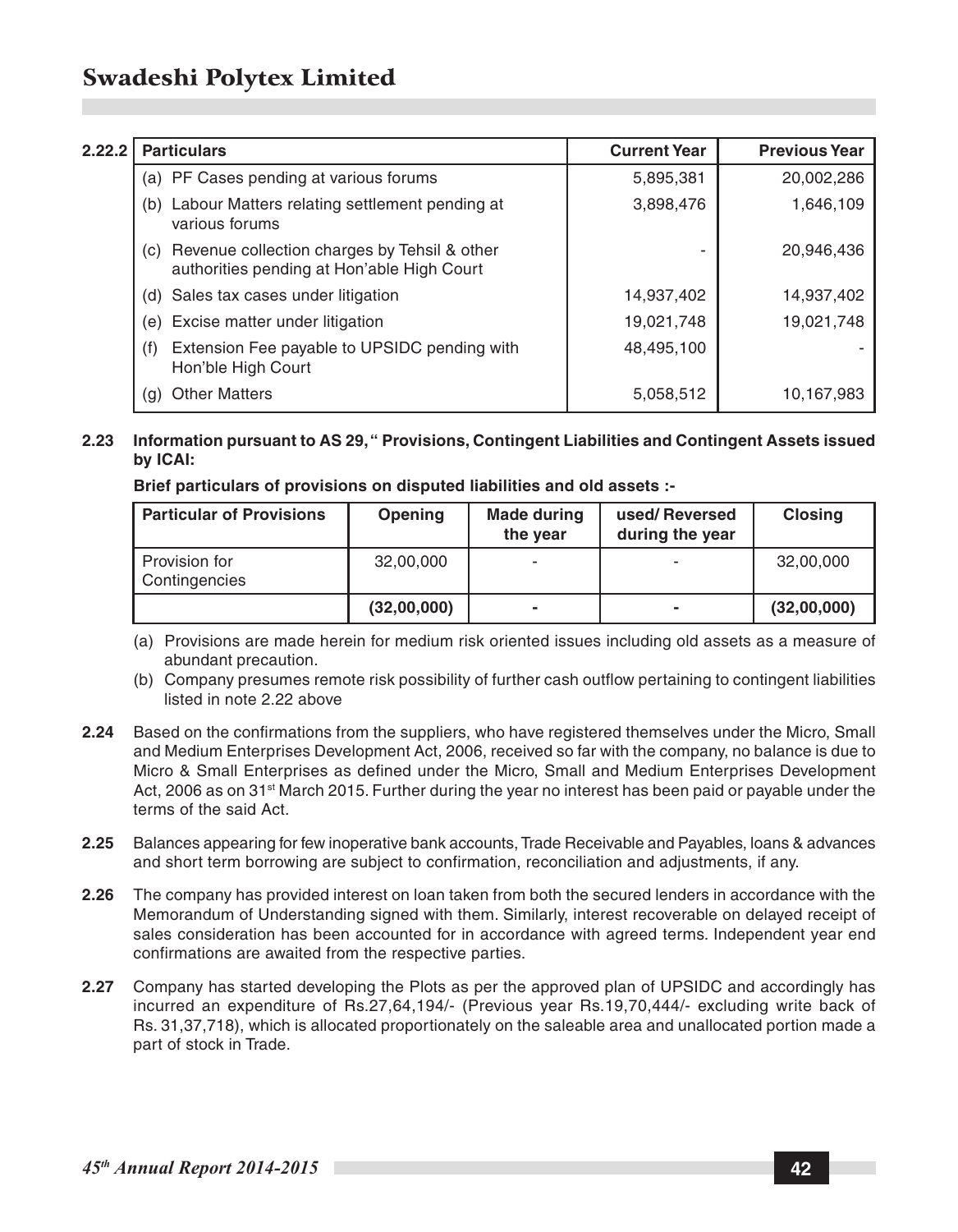| 2.22.2 | <b>Particulars</b>                                                                             | <b>Current Year</b> | <b>Previous Year</b> |
|--------|------------------------------------------------------------------------------------------------|---------------------|----------------------|
|        | (a) PF Cases pending at various forums                                                         | 5,895,381           | 20,002,286           |
|        | (b) Labour Matters relating settlement pending at<br>various forums                            | 3,898,476           | 1,646,109            |
|        | (c) Revenue collection charges by Tehsil & other<br>authorities pending at Hon'able High Court |                     | 20.946.436           |
|        | (d) Sales tax cases under litigation                                                           | 14,937,402          | 14,937,402           |
|        | (e) Excise matter under litigation                                                             | 19,021,748          | 19,021,748           |
|        | Extension Fee payable to UPSIDC pending with<br>(f)<br>Hon'ble High Court                      | 48,495,100          |                      |
|        | <b>Other Matters</b><br>(g)                                                                    | 5,058,512           | 10.167.983           |

#### **2.23 Information pursuant to AS 29, " Provisions, Contingent Liabilities and Contingent Assets issued by ICAI:**

|  |  | Brief particulars of provisions on disputed liabilities and old assets :- |  |  |  |  |
|--|--|---------------------------------------------------------------------------|--|--|--|--|
|--|--|---------------------------------------------------------------------------|--|--|--|--|

| <b>Particular of Provisions</b> | <b>Opening</b> | Made during<br>the year  | used/Reversed<br>during the year | <b>Closing</b> |
|---------------------------------|----------------|--------------------------|----------------------------------|----------------|
| Provision for<br>Contingencies  | 32,00,000      | $\overline{\phantom{a}}$ |                                  | 32,00,000      |
|                                 | (32,00,000)    | ۰                        |                                  | (32,00,000)    |

(a) Provisions are made herein for medium risk oriented issues including old assets as a measure of abundant precaution.

- (b) Company presumes remote risk possibility of further cash outflow pertaining to contingent liabilities listed in note 2.22 above
- **2.24** Based on the confirmations from the suppliers, who have registered themselves under the Micro, Small and Medium Enterprises Development Act, 2006, received so far with the company, no balance is due to Micro & Small Enterprises as defined under the Micro, Small and Medium Enterprises Development Act, 2006 as on 31<sup>st</sup> March 2015. Further during the year no interest has been paid or payable under the terms of the said Act.
- **2.25** Balances appearing for few inoperative bank accounts, Trade Receivable and Payables, loans & advances and short term borrowing are subject to confirmation, reconciliation and adjustments, if any.
- **2.26** The company has provided interest on loan taken from both the secured lenders in accordance with the Memorandum of Understanding signed with them. Similarly, interest recoverable on delayed receipt of sales consideration has been accounted for in accordance with agreed terms. Independent year end confirmations are awaited from the respective parties.
- **2.27** Company has started developing the Plots as per the approved plan of UPSIDC and accordingly has incurred an expenditure of Rs.27,64,194/- (Previous year Rs.19,70,444/- excluding write back of Rs. 31,37,718), which is allocated proportionately on the saleable area and unallocated portion made a part of stock in Trade.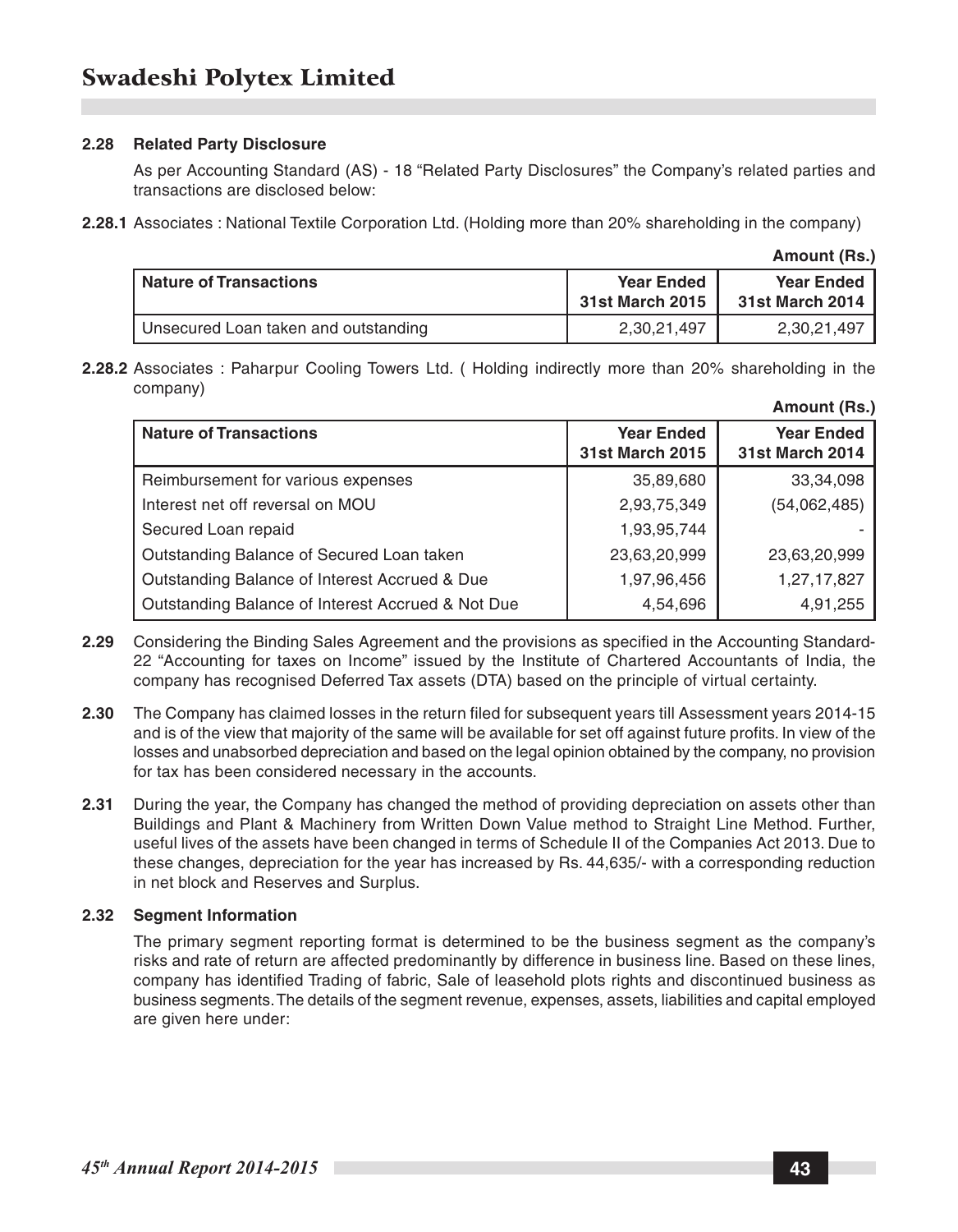#### **2.28 Related Party Disclosure**

As per Accounting Standard (AS) - 18 "Related Party Disclosures" the Company's related parties and transactions are disclosed below:

**2.28.1** Associates : National Textile Corporation Ltd. (Holding more than 20% shareholding in the company)

|                                      |                                      | Amount (Rs.)                         |
|--------------------------------------|--------------------------------------|--------------------------------------|
| <b>Nature of Transactions</b>        | <b>Year Ended</b><br>31st March 2015 | <b>Year Ended</b><br>31st March 2014 |
| Unsecured Loan taken and outstanding | 2,30,21,497                          | 2,30,21,497                          |

**2.28.2** Associates : Paharpur Cooling Towers Ltd. ( Holding indirectly more than 20% shareholding in the company) **Amount (Rs.)**

| <b>Year Ended</b><br><b>31st March 2015</b> | <b>Year Ended</b><br><b>31st March 2014</b> |
|---------------------------------------------|---------------------------------------------|
|                                             |                                             |
| 35,89,680                                   | 33,34,098                                   |
| 2,93,75,349                                 | (54,062,485)                                |
| 1,93,95,744                                 |                                             |
| 23,63,20,999                                | 23,63,20,999                                |
| 1,97,96,456                                 | 1,27,17,827                                 |
| 4,54,696                                    | 4,91,255                                    |
|                                             |                                             |

- **2.29** Considering the Binding Sales Agreement and the provisions as specified in the Accounting Standard-22 "Accounting for taxes on Income" issued by the Institute of Chartered Accountants of India, the company has recognised Deferred Tax assets (DTA) based on the principle of virtual certainty.
- **2.30** The Company has claimed losses in the return filed for subsequent years till Assessment years 2014-15 and is of the view that majority of the same will be available for set off against future profits. In view of the losses and unabsorbed depreciation and based on the legal opinion obtained by the company, no provision for tax has been considered necessary in the accounts.
- **2.31** During the year, the Company has changed the method of providing depreciation on assets other than Buildings and Plant & Machinery from Written Down Value method to Straight Line Method. Further, useful lives of the assets have been changed in terms of Schedule II of the Companies Act 2013. Due to these changes, depreciation for the year has increased by Rs. 44,635/- with a corresponding reduction in net block and Reserves and Surplus.

#### **2.32 Segment Information**

The primary segment reporting format is determined to be the business segment as the company's risks and rate of return are affected predominantly by difference in business line. Based on these lines, company has identified Trading of fabric, Sale of leasehold plots rights and discontinued business as business segments. The details of the segment revenue, expenses, assets, liabilities and capital employed are given here under: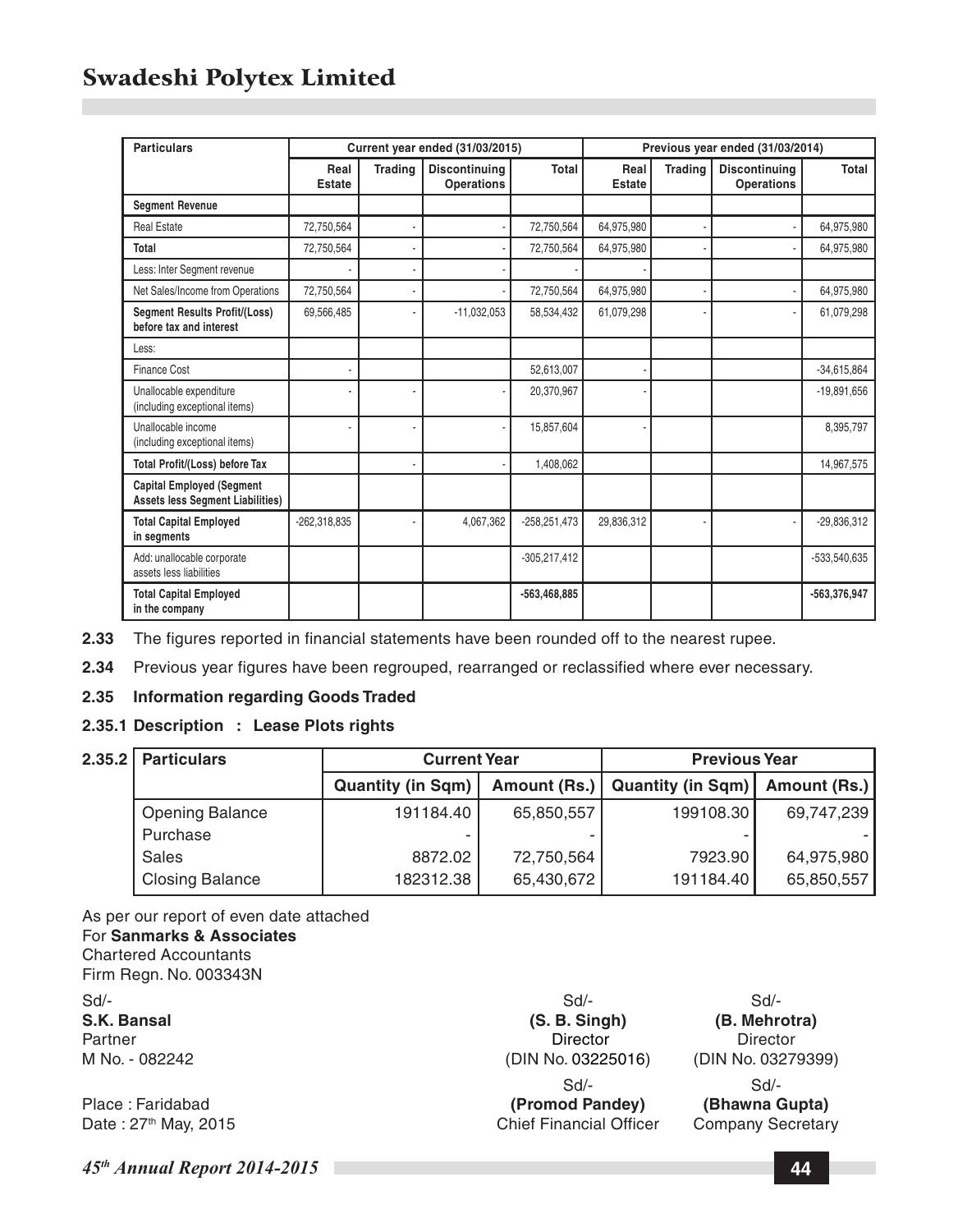| <b>Particulars</b>                                                          | Current year ended (31/03/2015) |                |                                           | Previous year ended (31/03/2014) |                       |                |                                           |                |
|-----------------------------------------------------------------------------|---------------------------------|----------------|-------------------------------------------|----------------------------------|-----------------------|----------------|-------------------------------------------|----------------|
|                                                                             | Real<br><b>Estate</b>           | <b>Trading</b> | <b>Discontinuing</b><br><b>Operations</b> | Total                            | Real<br><b>Estate</b> | <b>Trading</b> | <b>Discontinuing</b><br><b>Operations</b> | Total          |
| <b>Seqment Revenue</b>                                                      |                                 |                |                                           |                                  |                       |                |                                           |                |
| Real Estate                                                                 | 72.750.564                      |                |                                           | 72,750,564                       | 64,975,980            |                |                                           | 64,975,980     |
| Total                                                                       | 72,750,564                      |                |                                           | 72,750,564                       | 64,975,980            |                |                                           | 64,975,980     |
| Less: Inter Segment revenue                                                 |                                 |                |                                           |                                  |                       |                |                                           |                |
| Net Sales/Income from Operations                                            | 72.750.564                      |                |                                           | 72.750.564                       | 64.975.980            |                |                                           | 64,975,980     |
| <b>Segment Results Profit/(Loss)</b><br>before tax and interest             | 69,566,485                      |                | $-11,032,053$                             | 58,534,432                       | 61,079,298            |                |                                           | 61,079,298     |
| Less:                                                                       |                                 |                |                                           |                                  |                       |                |                                           |                |
| <b>Finance Cost</b>                                                         |                                 |                |                                           | 52,613,007                       |                       |                |                                           | $-34,615,864$  |
| Unallocable expenditure<br>(including exceptional items)                    |                                 |                |                                           | 20,370,967                       |                       |                |                                           | $-19,891,656$  |
| Unallocable income<br>(including exceptional items)                         |                                 |                |                                           | 15,857,604                       |                       |                |                                           | 8,395,797      |
| <b>Total Profit/(Loss) before Tax</b>                                       |                                 |                |                                           | 1.408.062                        |                       |                |                                           | 14,967,575     |
| <b>Capital Employed (Segment</b><br><b>Assets less Segment Liabilities)</b> |                                 |                |                                           |                                  |                       |                |                                           |                |
| <b>Total Capital Employed</b><br>in segments                                | $-262,318,835$                  |                | 4,067,362                                 | $-258,251,473$                   | 29,836,312            |                |                                           | $-29,836,312$  |
| Add: unallocable corporate<br>assets less liabilities                       |                                 |                |                                           | $-305,217,412$                   |                       |                |                                           | $-533,540,635$ |
| <b>Total Capital Employed</b><br>in the company                             |                                 |                |                                           | -563,468,885                     |                       |                |                                           | -563,376,947   |

**2.33** The figures reported in financial statements have been rounded off to the nearest rupee.

**2.34** Previous year figures have been regrouped, rearranged or reclassified where ever necessary.

#### **2.35 Information regarding Goods Traded**

#### **2.35.1 Description : Lease Plots rights**

| 2.35.2 l | Particulars            | <b>Current Year</b> |            | <b>Previous Year</b>             |              |
|----------|------------------------|---------------------|------------|----------------------------------|--------------|
|          |                        | Quantity (in Sqm)   |            | Amount (Rs.)   Quantity (in Sqm) | Amount (Rs.) |
|          | <b>Opening Balance</b> | 191184.40           | 65,850,557 | 199108.30                        | 69,747,239   |
|          | Purchase               |                     |            |                                  |              |
|          | Sales                  | 8872.02             | 72,750,564 | 7923.90                          | 64,975,980   |
|          | <b>Closing Balance</b> | 182312.38           | 65,430,672 | 191184.40                        | 65,850,557   |

As per our report of even date attached For **Sanmarks & Associates** Chartered Accountants Firm Regn. No. 003343N Sd/- Sd/- Sd/-

**S.K. Bansal (S. B. Singh) (B. Mehrotra)** Partner Director Director Director Director Director Director Director Director M No. - 082242 (DIN No. 03225016) (DIN No. 03279399) Sd/- Sd/- Place : Faridabad **(Promod Pandey) (Bhawna Gupta)**

Company Secretary

*45th Annual Report 2014-2015* **44**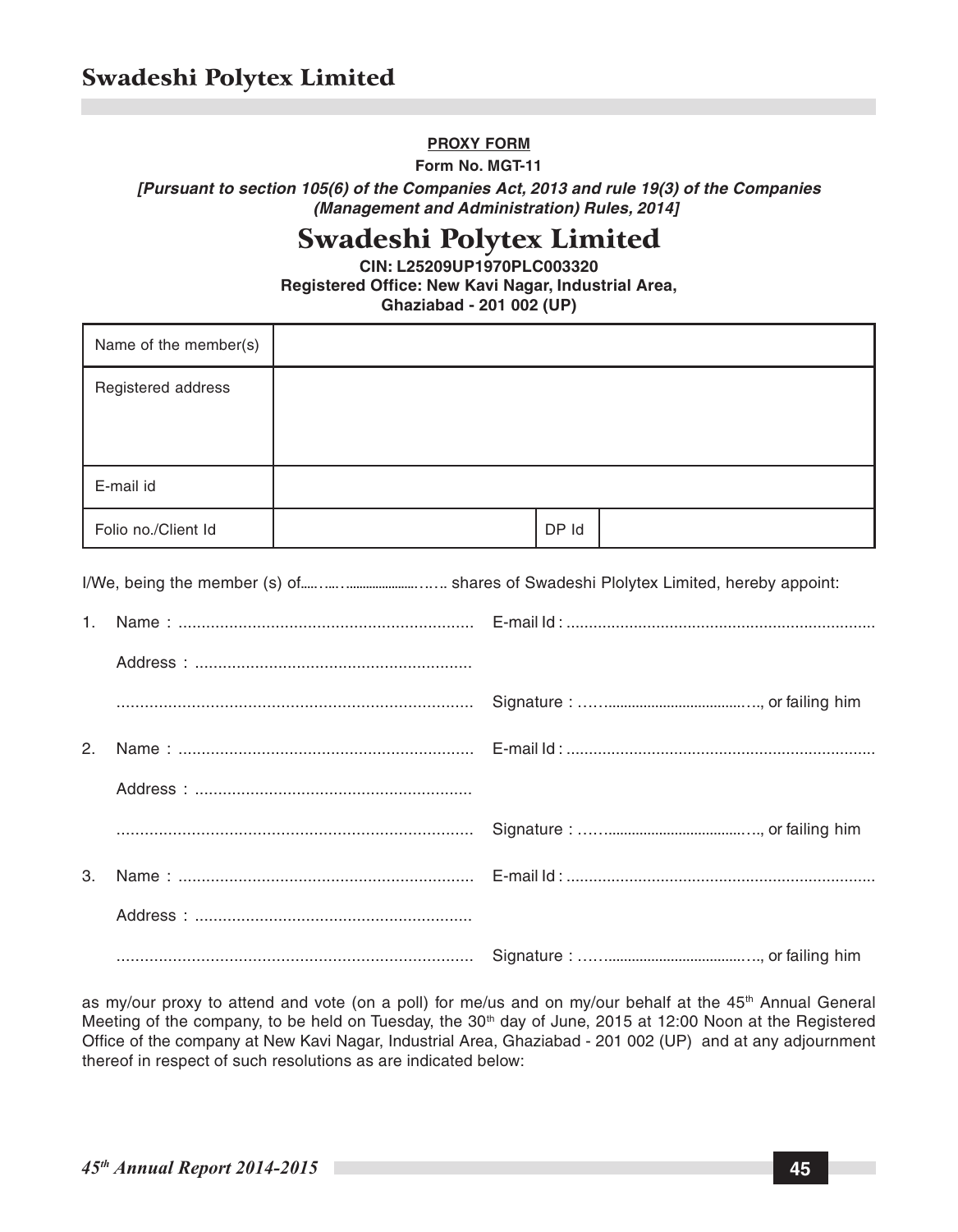#### **PROXY FORM**

**Form No. MGT-11**

**[Pursuant to section 105(6) of the Companies Act, 2013 and rule 19(3) of the Companies (Management and Administration) Rules, 2014]**

### Swadeshi Polytex Limited

**CIN: L25209UP1970PLC003320 Registered Office: New Kavi Nagar, Industrial Area, Ghaziabad - 201 002 (UP)**

| Name of the member(s) |       |  |
|-----------------------|-------|--|
| Registered address    |       |  |
| E-mail id             |       |  |
| Folio no./Client Id   | DP Id |  |
|                       |       |  |

I/We, being the member (s) of....…..…....................……. shares of Swadeshi Plolytex Limited, hereby appoint:

as my/our proxy to attend and vote (on a poll) for me/us and on my/our behalf at the 45<sup>th</sup> Annual General Meeting of the company, to be held on Tuesday, the 30<sup>th</sup> day of June, 2015 at 12:00 Noon at the Registered Office of the company at New Kavi Nagar, Industrial Area, Ghaziabad - 201 002 (UP) and at any adjournment thereof in respect of such resolutions as are indicated below: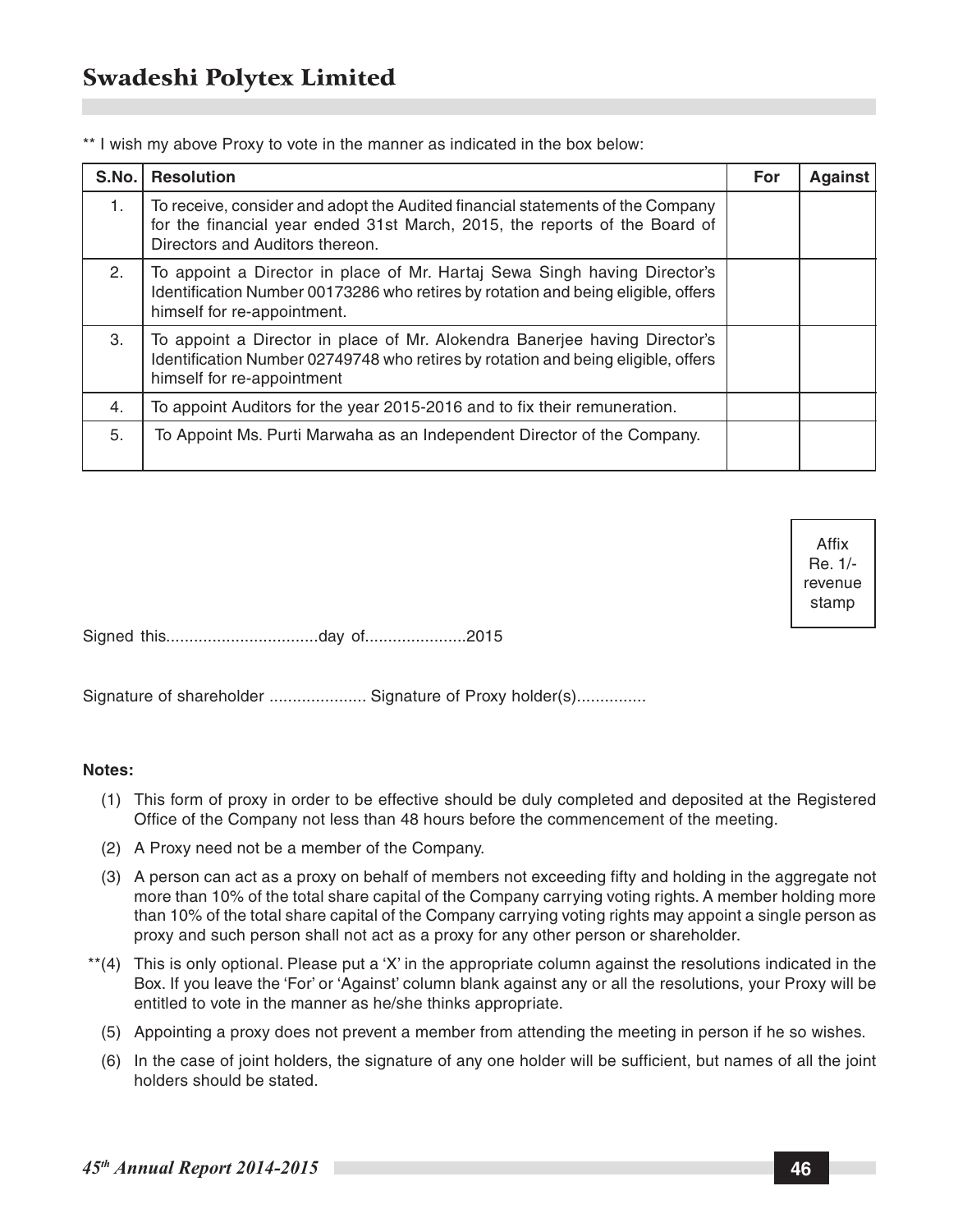\*\* I wish my above Proxy to vote in the manner as indicated in the box below:

| S.No. | <b>Resolution</b>                                                                                                                                                                               | For | Against |
|-------|-------------------------------------------------------------------------------------------------------------------------------------------------------------------------------------------------|-----|---------|
| 1.    | To receive, consider and adopt the Audited financial statements of the Company<br>for the financial year ended 31st March, 2015, the reports of the Board of<br>Directors and Auditors thereon. |     |         |
| 2.    | To appoint a Director in place of Mr. Hartaj Sewa Singh having Director's<br>Identification Number 00173286 who retires by rotation and being eligible, offers<br>himself for re-appointment.   |     |         |
| 3.    | To appoint a Director in place of Mr. Alokendra Banerjee having Director's<br>Identification Number 02749748 who retires by rotation and being eligible, offers<br>himself for re-appointment   |     |         |
| 4.    | To appoint Auditors for the year 2015-2016 and to fix their remuneration.                                                                                                                       |     |         |
| 5.    | To Appoint Ms. Purti Marwaha as an Independent Director of the Company.                                                                                                                         |     |         |

Affix Re. 1/ revenue stamp

Signed this.................................day of......................2015

Signature of shareholder ..................... Signature of Proxy holder(s)...............

#### **Notes:**

- (1) This form of proxy in order to be effective should be duly completed and deposited at the Registered Office of the Company not less than 48 hours before the commencement of the meeting.
- (2) A Proxy need not be a member of the Company.
- (3) A person can act as a proxy on behalf of members not exceeding fifty and holding in the aggregate not more than 10% of the total share capital of the Company carrying voting rights. A member holding more than 10% of the total share capital of the Company carrying voting rights may appoint a single person as proxy and such person shall not act as a proxy for any other person or shareholder.
- \*\*(4) This is only optional. Please put a 'X' in the appropriate column against the resolutions indicated in the Box. If you leave the 'For' or 'Against' column blank against any or all the resolutions, your Proxy will be entitled to vote in the manner as he/she thinks appropriate.
	- (5) Appointing a proxy does not prevent a member from attending the meeting in person if he so wishes.
	- (6) In the case of joint holders, the signature of any one holder will be sufficient, but names of all the joint holders should be stated.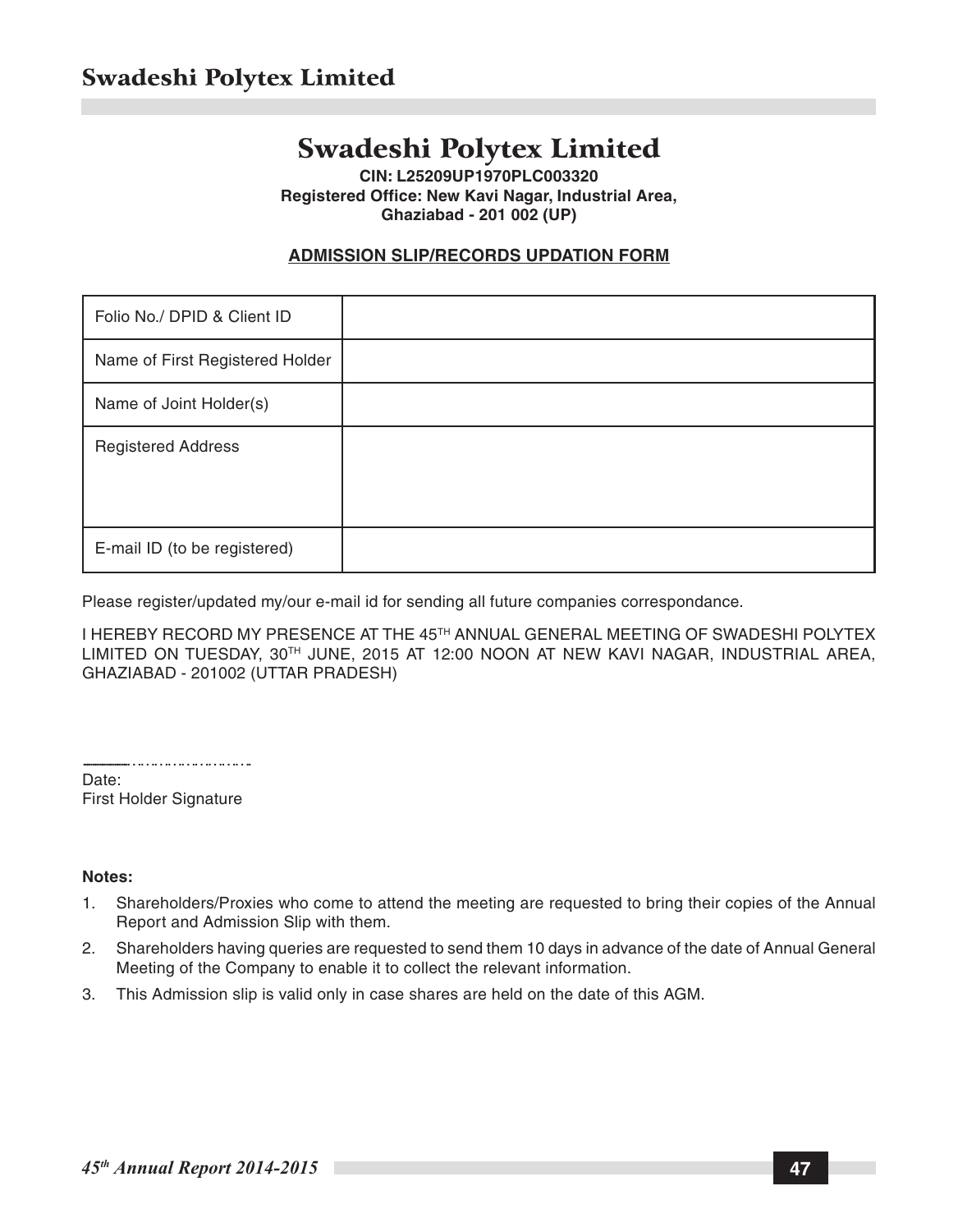**CIN: L25209UP1970PLC003320 Registered Office: New Kavi Nagar, Industrial Area, Ghaziabad - 201 002 (UP)**

#### **ADMISSION SLIP/RECORDS UPDATION FORM**

| Folio No./ DPID & Client ID     |  |
|---------------------------------|--|
| Name of First Registered Holder |  |
| Name of Joint Holder(s)         |  |
| <b>Registered Address</b>       |  |
| E-mail ID (to be registered)    |  |

Please register/updated my/our e-mail id for sending all future companies correspondance.

I HEREBY RECORD MY PRESENCE AT THE 45TH ANNUAL GENERAL MEETING OF SWADESHI POLYTEX LIMITED ON TUESDAY, 30TH JUNE, 2015 AT 12:00 NOON AT NEW KAVI NAGAR, INDUSTRIAL AREA, GHAZIABAD - 201002 (UTTAR PRADESH)

........................……………………….

Date: First Holder Signature

#### **Notes:**

- 1. Shareholders/Proxies who come to attend the meeting are requested to bring their copies of the Annual Report and Admission Slip with them.
- 2. Shareholders having queries are requested to send them 10 days in advance of the date of Annual General Meeting of the Company to enable it to collect the relevant information.
- 3. This Admission slip is valid only in case shares are held on the date of this AGM.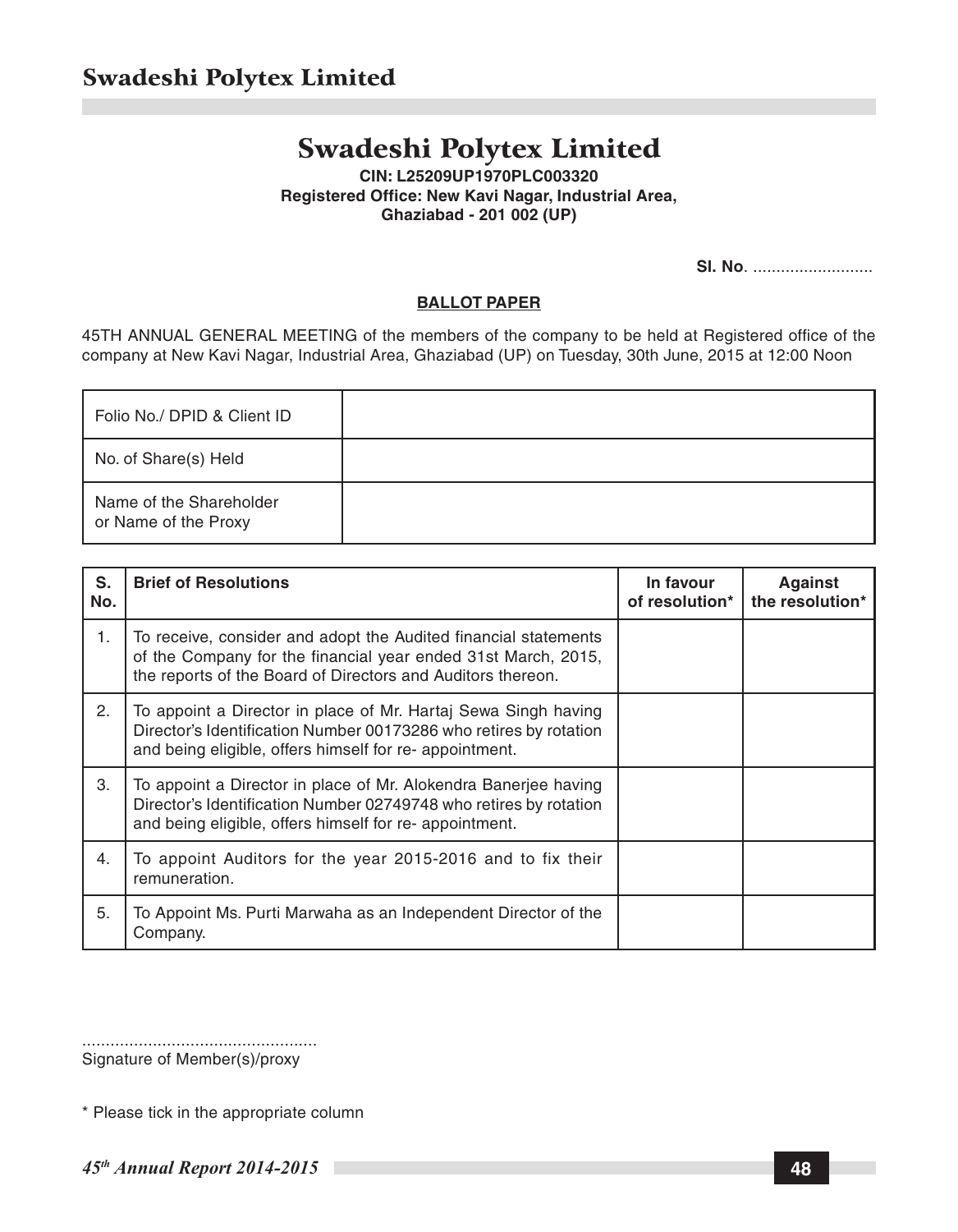**CIN: L25209UP1970PLC003320 Registered Office: New Kavi Nagar, Industrial Area, Ghaziabad - 201 002 (UP)**

**Sl. No**. ..........................

#### **BALLOT PAPER**

45TH ANNUAL GENERAL MEETING of the members of the company to be held at Registered office of the company at New Kavi Nagar, Industrial Area, Ghaziabad (UP) on Tuesday, 30th June, 2015 at 12:00 Noon

| Folio No./ DPID & Client ID                     |  |
|-------------------------------------------------|--|
| No. of Share(s) Held                            |  |
| Name of the Shareholder<br>or Name of the Proxy |  |

| S.<br>No. | <b>Brief of Resolutions</b>                                                                                                                                                                     | In favour<br>of resolution* | <b>Against</b><br>the resolution* |
|-----------|-------------------------------------------------------------------------------------------------------------------------------------------------------------------------------------------------|-----------------------------|-----------------------------------|
| 1.        | To receive, consider and adopt the Audited financial statements<br>of the Company for the financial year ended 31st March, 2015,<br>the reports of the Board of Directors and Auditors thereon. |                             |                                   |
| 2.        | To appoint a Director in place of Mr. Hartaj Sewa Singh having<br>Director's Identification Number 00173286 who retires by rotation<br>and being eligible, offers himself for re-appointment.   |                             |                                   |
| 3.        | To appoint a Director in place of Mr. Alokendra Baneriee having<br>Director's Identification Number 02749748 who retires by rotation<br>and being eligible, offers himself for re-appointment.  |                             |                                   |
| 4.        | To appoint Auditors for the year 2015-2016 and to fix their<br>remuneration.                                                                                                                    |                             |                                   |
| 5.        | To Appoint Ms. Purti Marwaha as an Independent Director of the<br>Company.                                                                                                                      |                             |                                   |

.................................................. Signature of Member(s)/proxy

\* Please tick in the appropriate column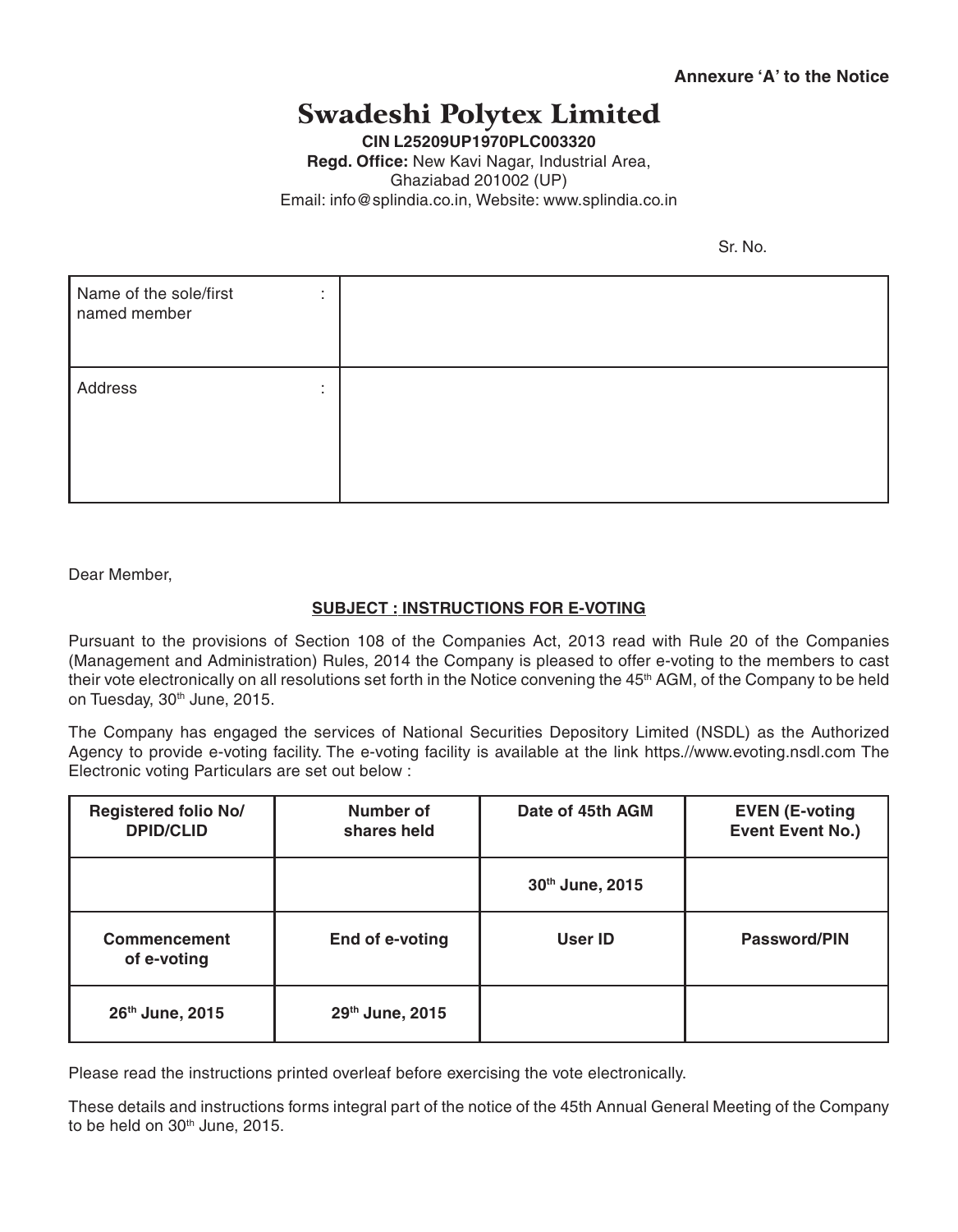**CIN L25209UP1970PLC003320 Regd. Office:** New Kavi Nagar, Industrial Area, Ghaziabad 201002 (UP) Email: info@splindia.co.in, Website: www.splindia.co.in

Sr. No.

| Name of the sole/first<br>named member | $\cdot$<br>$\overline{\phantom{a}}$ |  |
|----------------------------------------|-------------------------------------|--|
| Address                                |                                     |  |

Dear Member,

#### **SUBJECT : INSTRUCTIONS FOR E-VOTING**

Pursuant to the provisions of Section 108 of the Companies Act, 2013 read with Rule 20 of the Companies (Management and Administration) Rules, 2014 the Company is pleased to offer e-voting to the members to cast their vote electronically on all resolutions set forth in the Notice convening the 45<sup>th</sup> AGM, of the Company to be held on Tuesday, 30<sup>th</sup> June, 2015.

The Company has engaged the services of National Securities Depository Limited (NSDL) as the Authorized Agency to provide e-voting facility. The e-voting facility is available at the link https.//www.evoting.nsdl.com The Electronic voting Particulars are set out below :

| Registered folio No/<br><b>DPID/CLID</b> | Number of<br>shares held | Date of 45th AGM | <b>EVEN (E-voting</b><br><b>Event Event No.)</b> |
|------------------------------------------|--------------------------|------------------|--------------------------------------------------|
|                                          |                          | 30th June, 2015  |                                                  |
| Commencement<br>of e-voting              | End of e-voting          | User ID          | <b>Password/PIN</b>                              |
| 26 <sup>th</sup> June, 2015              | 29th June, 2015          |                  |                                                  |

Please read the instructions printed overleaf before exercising the vote electronically.

These details and instructions forms integral part of the notice of the 45th Annual General Meeting of the Company to be held on 30<sup>th</sup> June, 2015.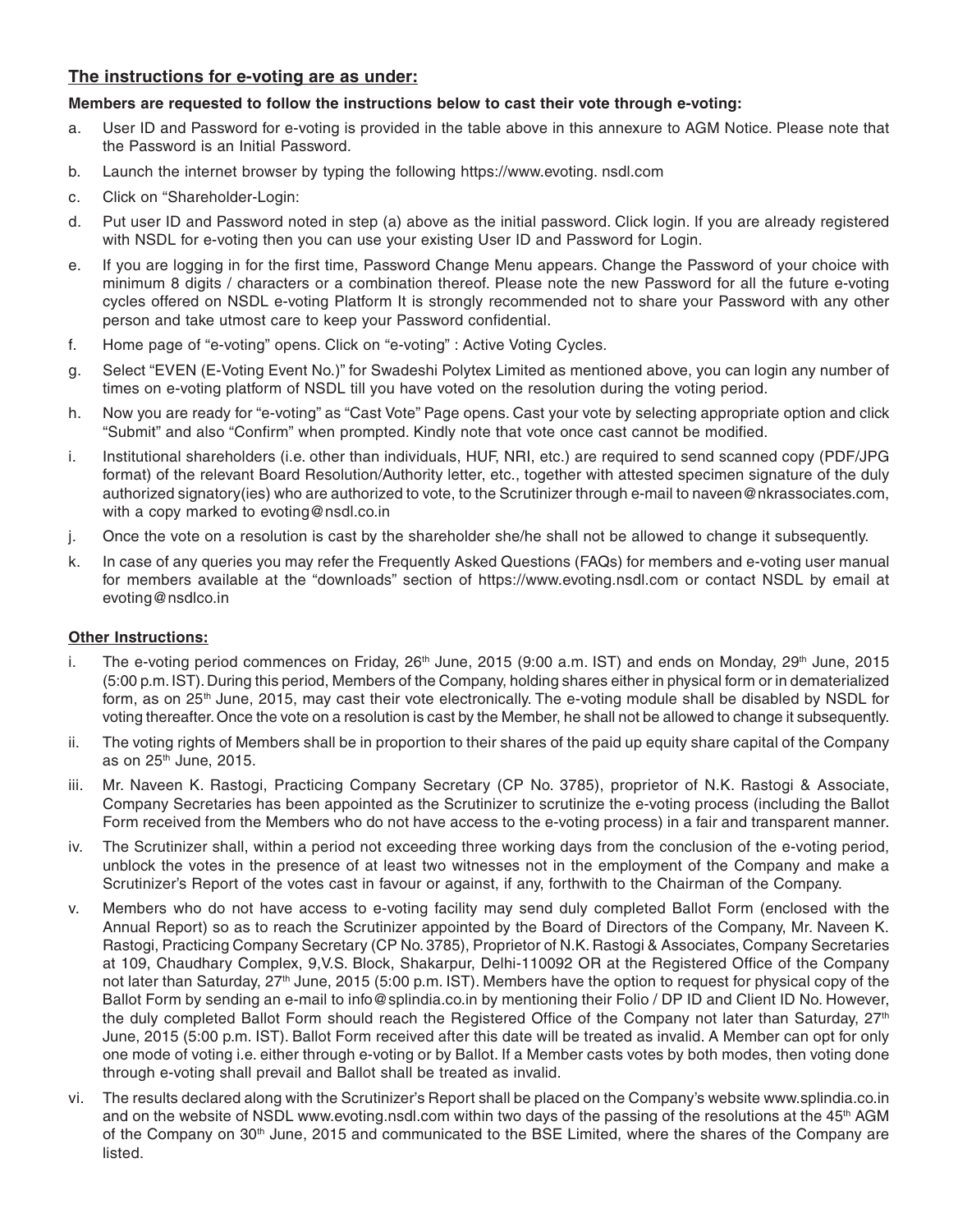#### **The instructions for e-voting are as under:**

#### **Members are requested to follow the instructions below to cast their vote through e-voting:**

- a. User ID and Password for e-voting is provided in the table above in this annexure to AGM Notice. Please note that the Password is an Initial Password.
- b. Launch the internet browser by typing the following https://www.evoting. nsdl.com
- c. Click on "Shareholder-Login:
- d. Put user ID and Password noted in step (a) above as the initial password. Click login. If you are already registered with NSDL for e-voting then you can use your existing User ID and Password for Login.
- e. If you are logging in for the first time, Password Change Menu appears. Change the Password of your choice with minimum 8 digits / characters or a combination thereof. Please note the new Password for all the future e-voting cycles offered on NSDL e-voting Platform It is strongly recommended not to share your Password with any other person and take utmost care to keep your Password confidential.
- f. Home page of "e-voting" opens. Click on "e-voting" : Active Voting Cycles.
- g. Select "EVEN (E-Voting Event No.)" for Swadeshi Polytex Limited as mentioned above, you can login any number of times on e-voting platform of NSDL till you have voted on the resolution during the voting period.
- h. Now you are ready for "e-voting" as "Cast Vote" Page opens. Cast your vote by selecting appropriate option and click "Submit" and also "Confirm" when prompted. Kindly note that vote once cast cannot be modified.
- i. Institutional shareholders (i.e. other than individuals, HUF, NRI, etc.) are required to send scanned copy (PDF/JPG format) of the relevant Board Resolution/Authority letter, etc., together with attested specimen signature of the duly authorized signatory(ies) who are authorized to vote, to the Scrutinizer through e-mail to naveen@nkrassociates.com, with a copy marked to evoting@nsdl.co.in
- j. Once the vote on a resolution is cast by the shareholder she/he shall not be allowed to change it subsequently.
- k. In case of any queries you may refer the Frequently Asked Questions (FAQs) for members and e-voting user manual for members available at the "downloads" section of https://www.evoting.nsdl.com or contact NSDL by email at evoting@nsdlco.in

#### **Other Instructions:**

- i. The e-voting period commences on Friday,  $26th$  June, 2015 (9:00 a.m. IST) and ends on Monday,  $29th$  June, 2015 (5:00 p.m. IST). During this period, Members of the Company, holding shares either in physical form or in dematerialized form, as on 25<sup>th</sup> June, 2015, may cast their vote electronically. The e-voting module shall be disabled by NSDL for voting thereafter. Once the vote on a resolution is cast by the Member, he shall not be allowed to change it subsequently.
- ii. The voting rights of Members shall be in proportion to their shares of the paid up equity share capital of the Company as on  $25<sup>th</sup>$  June,  $2015$ .
- iii. Mr. Naveen K. Rastogi, Practicing Company Secretary (CP No. 3785), proprietor of N.K. Rastogi & Associate, Company Secretaries has been appointed as the Scrutinizer to scrutinize the e-voting process (including the Ballot Form received from the Members who do not have access to the e-voting process) in a fair and transparent manner.
- iv. The Scrutinizer shall, within a period not exceeding three working days from the conclusion of the e-voting period, unblock the votes in the presence of at least two witnesses not in the employment of the Company and make a Scrutinizer's Report of the votes cast in favour or against, if any, forthwith to the Chairman of the Company.
- v. Members who do not have access to e-voting facility may send duly completed Ballot Form (enclosed with the Annual Report) so as to reach the Scrutinizer appointed by the Board of Directors of the Company, Mr. Naveen K. Rastogi, Practicing Company Secretary (CP No. 3785), Proprietor of N.K. Rastogi & Associates, Company Secretaries at 109, Chaudhary Complex, 9,V.S. Block, Shakarpur, Delhi-110092 OR at the Registered Office of the Company not later than Saturday, 27<sup>th</sup> June, 2015 (5:00 p.m. IST). Members have the option to request for physical copy of the Ballot Form by sending an e-mail to info@splindia.co.in by mentioning their Folio / DP ID and Client ID No. However, the duly completed Ballot Form should reach the Registered Office of the Company not later than Saturday, 27<sup>th</sup> June, 2015 (5:00 p.m. IST). Ballot Form received after this date will be treated as invalid. A Member can opt for only one mode of voting i.e. either through e-voting or by Ballot. If a Member casts votes by both modes, then voting done through e-voting shall prevail and Ballot shall be treated as invalid.
- vi. The results declared along with the Scrutinizer's Report shall be placed on the Company's website www.splindia.co.in and on the website of NSDL www.evoting.nsdl.com within two days of the passing of the resolutions at the 45<sup>th</sup> AGM of the Company on 30<sup>th</sup> June, 2015 and communicated to the BSE Limited, where the shares of the Company are listed.